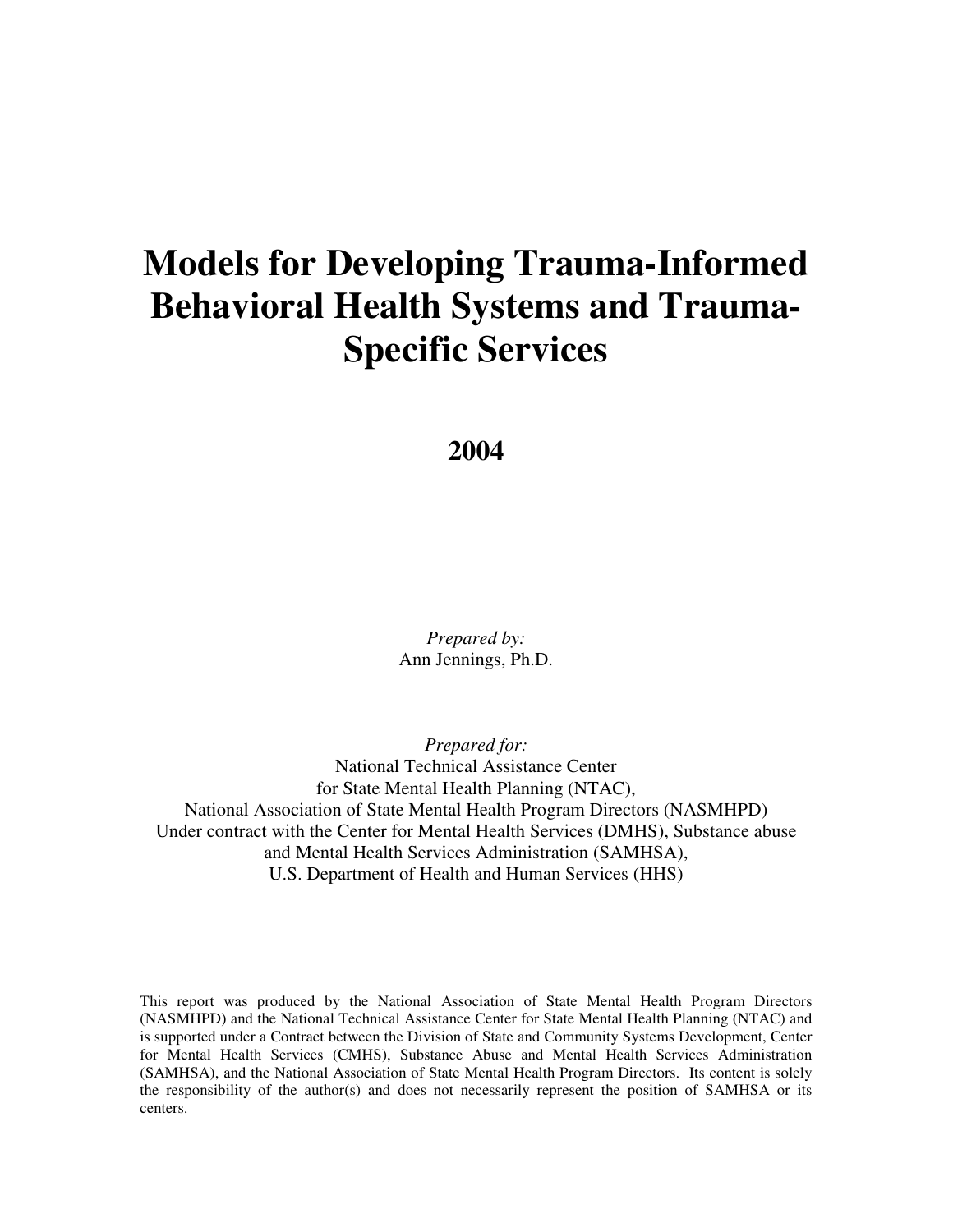# **Models for Developing Trauma-Informed Behavioral Health Systems and Trauma-Specific Services**

#### **2004**

*Prepared by:* Ann Jennings, Ph.D.

*Prepared for:* National Technical Assistance Center for State Mental Health Planning (NTAC), National Association of State Mental Health Program Directors (NASMHPD) Under contract with the Center for Mental Health Services (DMHS), Substance abuse and Mental Health Services Administration (SAMHSA), U.S. Department of Health and Human Services (HHS)

This report was produced by the National Association of State Mental Health Program Directors (NASMHPD) and the National Technical Assistance Center for State Mental Health Planning (NTAC) and is supported under a Contract between the Division of State and Community Systems Development, Center for Mental Health Services (CMHS), Substance Abuse and Mental Health Services Administration (SAMHSA), and the National Association of State Mental Health Program Directors. Its content is solely the responsibility of the author(s) and does not necessarily represent the position of SAMHSA or its centers.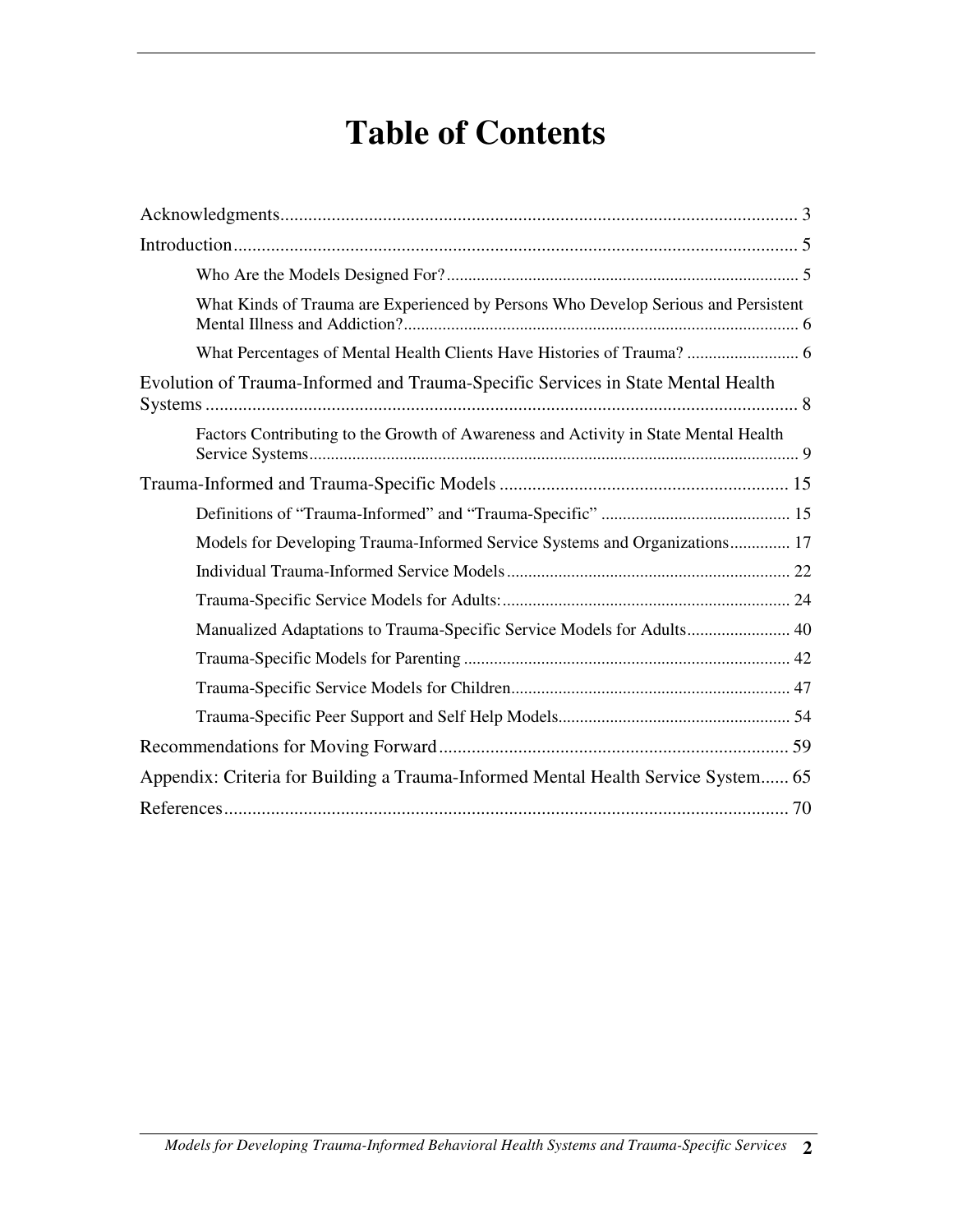# **Table of Contents**

| What Kinds of Trauma are Experienced by Persons Who Develop Serious and Persistent  |
|-------------------------------------------------------------------------------------|
| What Percentages of Mental Health Clients Have Histories of Trauma?  6              |
| Evolution of Trauma-Informed and Trauma-Specific Services in State Mental Health    |
| Factors Contributing to the Growth of Awareness and Activity in State Mental Health |
|                                                                                     |
|                                                                                     |
| Models for Developing Trauma-Informed Service Systems and Organizations 17          |
|                                                                                     |
|                                                                                     |
| Manualized Adaptations to Trauma-Specific Service Models for Adults 40              |
|                                                                                     |
|                                                                                     |
|                                                                                     |
|                                                                                     |
| Appendix: Criteria for Building a Trauma-Informed Mental Health Service System 65   |
|                                                                                     |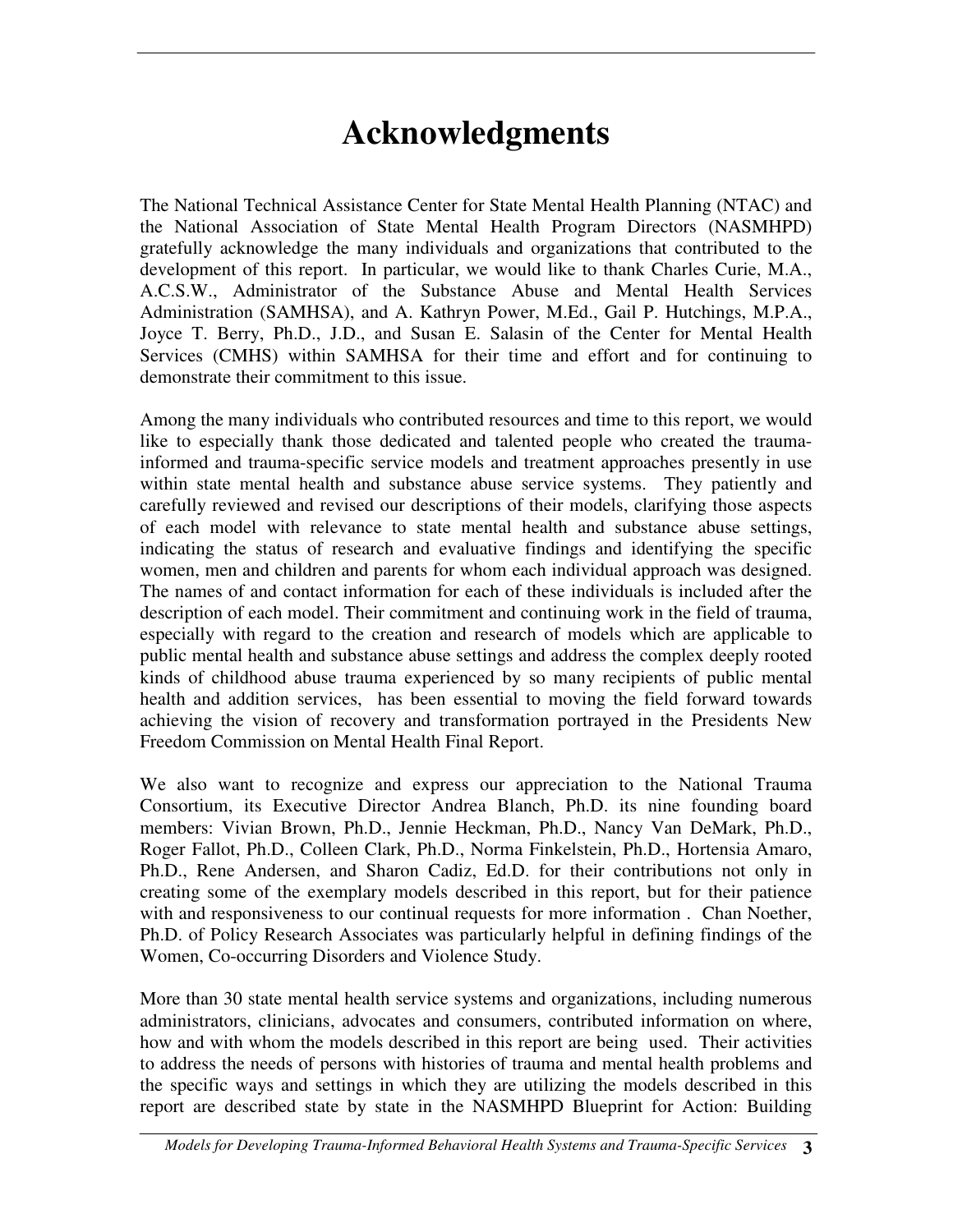# **Acknowledgments**

The National Technical Assistance Center for State Mental Health Planning (NTAC) and the National Association of State Mental Health Program Directors (NASMHPD) gratefully acknowledge the many individuals and organizations that contributed to the development of this report. In particular, we would like to thank Charles Curie, M.A., A.C.S.W., Administrator of the Substance Abuse and Mental Health Services Administration (SAMHSA), and A. Kathryn Power, M.Ed., Gail P. Hutchings, M.P.A., Joyce T. Berry, Ph.D., J.D., and Susan E. Salasin of the Center for Mental Health Services (CMHS) within SAMHSA for their time and effort and for continuing to demonstrate their commitment to this issue.

Among the many individuals who contributed resources and time to this report, we would like to especially thank those dedicated and talented people who created the traumainformed and trauma-specific service models and treatment approaches presently in use within state mental health and substance abuse service systems. They patiently and carefully reviewed and revised our descriptions of their models, clarifying those aspects of each model with relevance to state mental health and substance abuse settings, indicating the status of research and evaluative findings and identifying the specific women, men and children and parents for whom each individual approach was designed. The names of and contact information for each of these individuals is included after the description of each model. Their commitment and continuing work in the field of trauma, especially with regard to the creation and research of models which are applicable to public mental health and substance abuse settings and address the complex deeply rooted kinds of childhood abuse trauma experienced by so many recipients of public mental health and addition services, has been essential to moving the field forward towards achieving the vision of recovery and transformation portrayed in the Presidents New Freedom Commission on Mental Health Final Report.

We also want to recognize and express our appreciation to the National Trauma Consortium, its Executive Director Andrea Blanch, Ph.D. its nine founding board members: Vivian Brown, Ph.D., Jennie Heckman, Ph.D., Nancy Van DeMark, Ph.D., Roger Fallot, Ph.D., Colleen Clark, Ph.D., Norma Finkelstein, Ph.D., Hortensia Amaro, Ph.D., Rene Andersen, and Sharon Cadiz, Ed.D. for their contributions not only in creating some of the exemplary models described in this report, but for their patience with and responsiveness to our continual requests for more information . Chan Noether, Ph.D. of Policy Research Associates was particularly helpful in defining findings of the Women, Co-occurring Disorders and Violence Study.

More than 30 state mental health service systems and organizations, including numerous administrators, clinicians, advocates and consumers, contributed information on where, how and with whom the models described in this report are being used. Their activities to address the needs of persons with histories of trauma and mental health problems and the specific ways and settings in which they are utilizing the models described in this report are described state by state in the NASMHPD Blueprint for Action: Building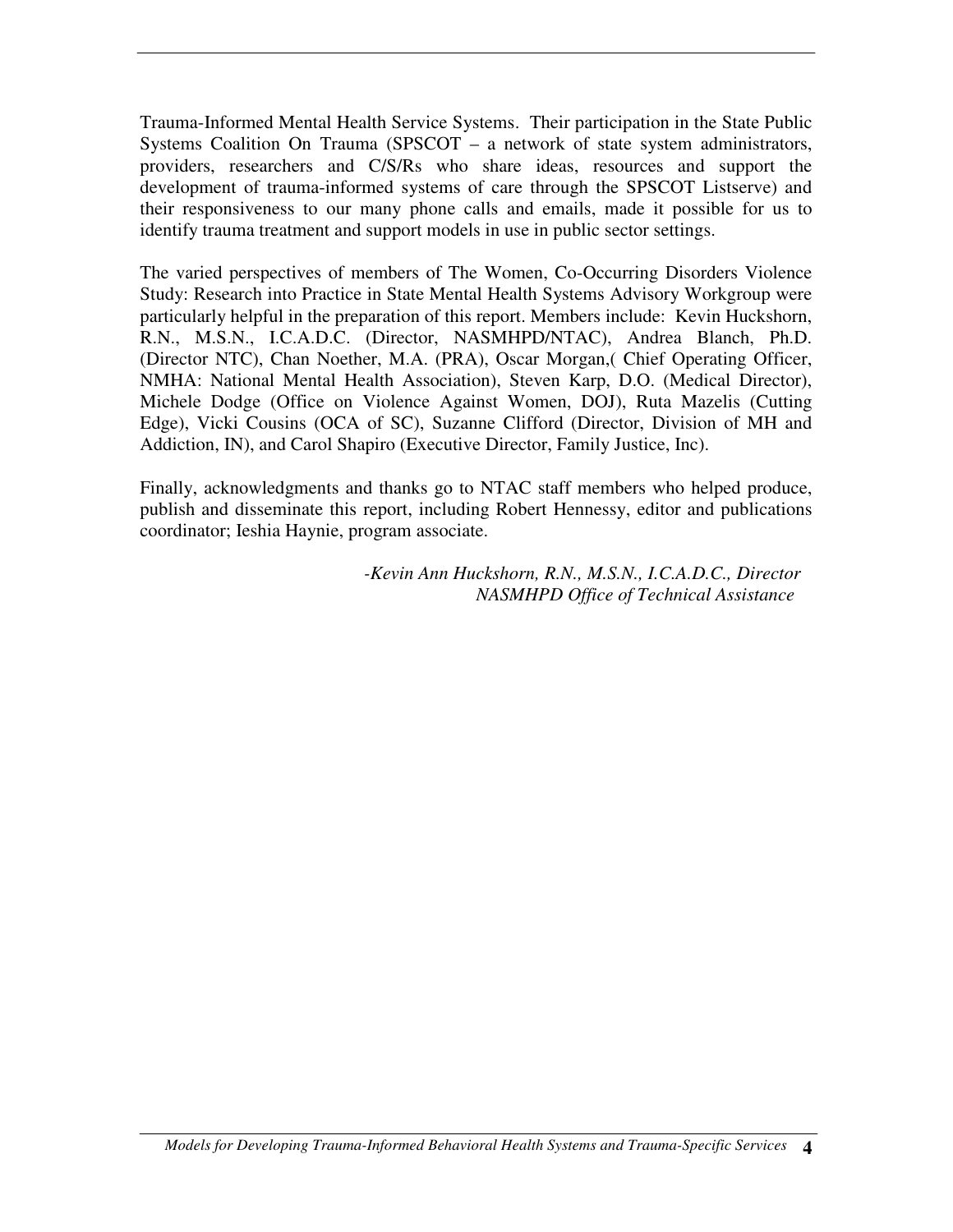Trauma-Informed Mental Health Service Systems. Their participation in the State Public Systems Coalition On Trauma (SPSCOT – a network of state system administrators, providers, researchers and C/S/Rs who share ideas, resources and support the development of trauma-informed systems of care through the SPSCOT Listserve) and their responsiveness to our many phone calls and emails, made it possible for us to identify trauma treatment and support models in use in public sector settings.

The varied perspectives of members of The Women, Co-Occurring Disorders Violence Study: Research into Practice in State Mental Health Systems Advisory Workgroup were particularly helpful in the preparation of this report. Members include: Kevin Huckshorn, R.N., M.S.N., I.C.A.D.C. (Director, NASMHPD/NTAC), Andrea Blanch, Ph.D. (Director NTC), Chan Noether, M.A. (PRA), Oscar Morgan,( Chief Operating Officer, NMHA: National Mental Health Association), Steven Karp, D.O. (Medical Director), Michele Dodge (Office on Violence Against Women, DOJ), Ruta Mazelis (Cutting Edge), Vicki Cousins (OCA of SC), Suzanne Clifford (Director, Division of MH and Addiction, IN), and Carol Shapiro (Executive Director, Family Justice, Inc).

Finally, acknowledgments and thanks go to NTAC staff members who helped produce, publish and disseminate this report, including Robert Hennessy, editor and publications coordinator; Ieshia Haynie, program associate.

> *-Kevin Ann Huckshorn, R.N., M.S.N., I.C.A.D.C., Director NASMHPD Office of Technical Assistance*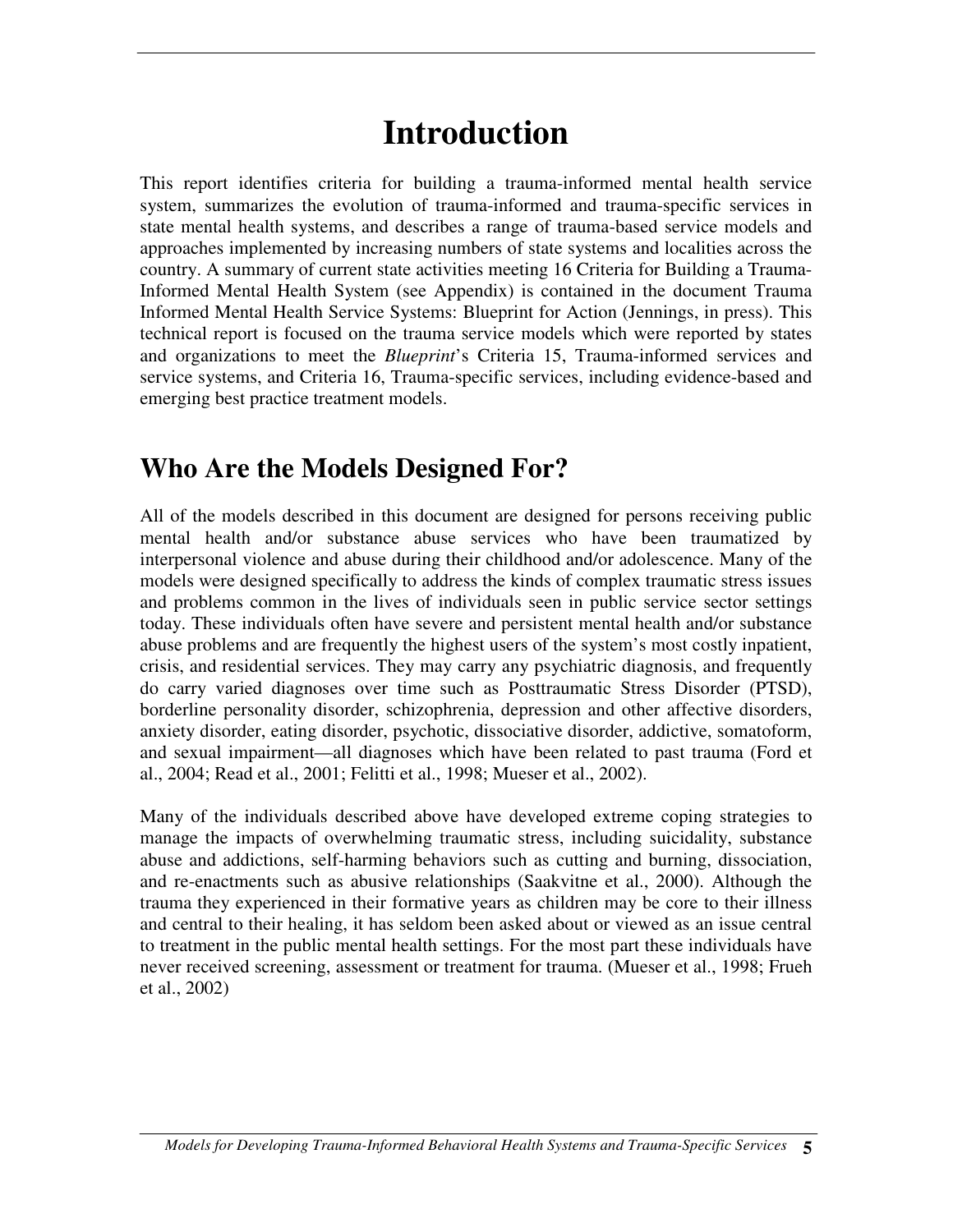# **Introduction**

This report identifies criteria for building a trauma-informed mental health service system, summarizes the evolution of trauma-informed and trauma-specific services in state mental health systems, and describes a range of trauma-based service models and approaches implemented by increasing numbers of state systems and localities across the country. A summary of current state activities meeting 16 Criteria for Building a Trauma-Informed Mental Health System (see Appendix) is contained in the document Trauma Informed Mental Health Service Systems: Blueprint for Action (Jennings, in press). This technical report is focused on the trauma service models which were reported by states and organizations to meet the *Blueprint*'s Criteria 15, Trauma-informed services and service systems, and Criteria 16, Trauma-specific services, including evidence-based and emerging best practice treatment models.

## **Who Are the Models Designed For?**

All of the models described in this document are designed for persons receiving public mental health and/or substance abuse services who have been traumatized by interpersonal violence and abuse during their childhood and/or adolescence. Many of the models were designed specifically to address the kinds of complex traumatic stress issues and problems common in the lives of individuals seen in public service sector settings today. These individuals often have severe and persistent mental health and/or substance abuse problems and are frequently the highest users of the system's most costly inpatient, crisis, and residential services. They may carry any psychiatric diagnosis, and frequently do carry varied diagnoses over time such as Posttraumatic Stress Disorder (PTSD), borderline personality disorder, schizophrenia, depression and other affective disorders, anxiety disorder, eating disorder, psychotic, dissociative disorder, addictive, somatoform, and sexual impairment—all diagnoses which have been related to past trauma (Ford et al., 2004; Read et al., 2001; Felitti et al., 1998; Mueser et al., 2002).

Many of the individuals described above have developed extreme coping strategies to manage the impacts of overwhelming traumatic stress, including suicidality, substance abuse and addictions, self-harming behaviors such as cutting and burning, dissociation, and re-enactments such as abusive relationships (Saakvitne et al., 2000). Although the trauma they experienced in their formative years as children may be core to their illness and central to their healing, it has seldom been asked about or viewed as an issue central to treatment in the public mental health settings. For the most part these individuals have never received screening, assessment or treatment for trauma. (Mueser et al., 1998; Frueh et al., 2002)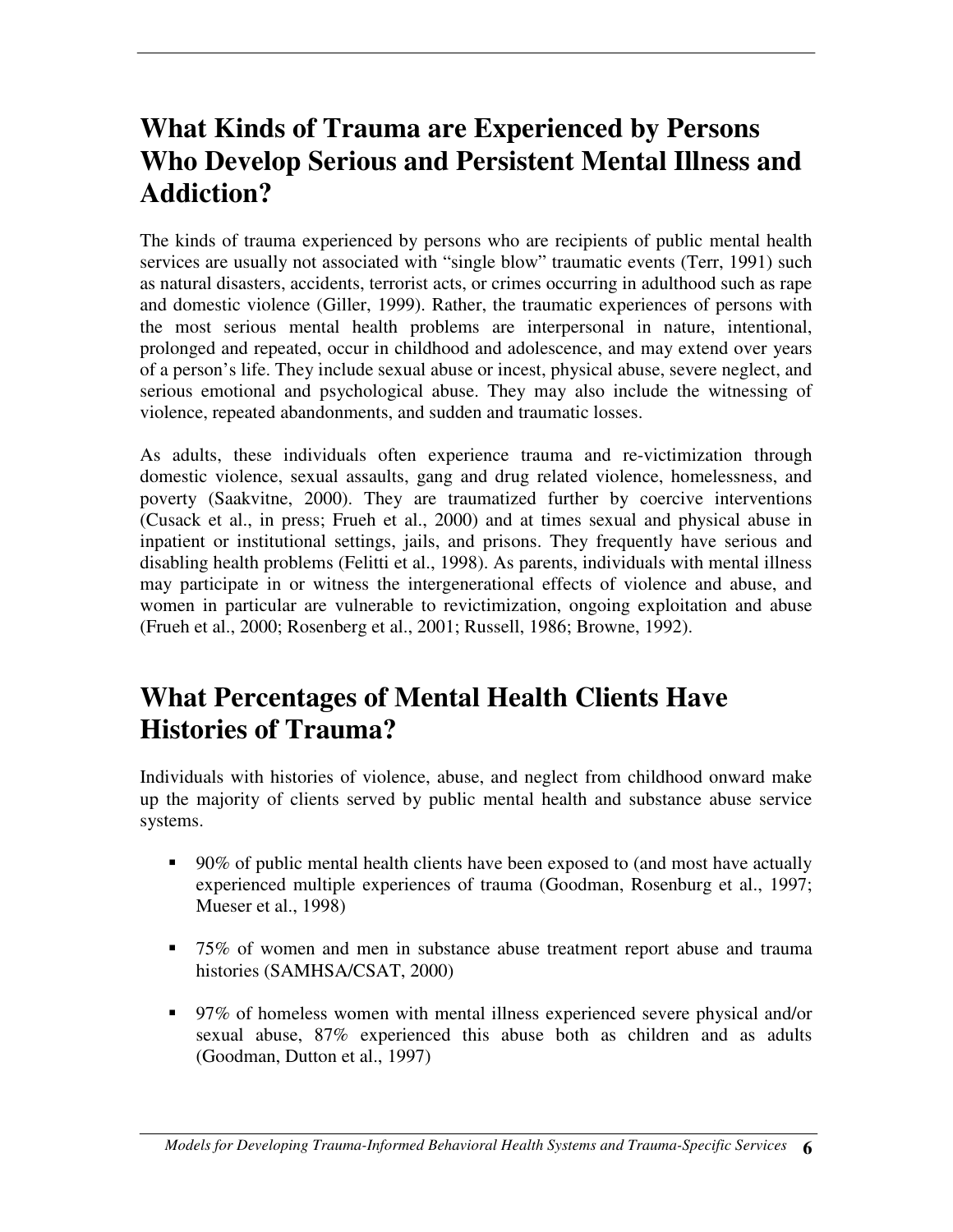## **What Kinds of Trauma are Experienced by Persons Who Develop Serious and Persistent Mental Illness and Addiction?**

The kinds of trauma experienced by persons who are recipients of public mental health services are usually not associated with "single blow" traumatic events (Terr, 1991) such as natural disasters, accidents, terrorist acts, or crimes occurring in adulthood such as rape and domestic violence (Giller, 1999). Rather, the traumatic experiences of persons with the most serious mental health problems are interpersonal in nature, intentional, prolonged and repeated, occur in childhood and adolescence, and may extend over years of a person's life. They include sexual abuse or incest, physical abuse, severe neglect, and serious emotional and psychological abuse. They may also include the witnessing of violence, repeated abandonments, and sudden and traumatic losses.

As adults, these individuals often experience trauma and re-victimization through domestic violence, sexual assaults, gang and drug related violence, homelessness, and poverty (Saakvitne, 2000). They are traumatized further by coercive interventions (Cusack et al., in press; Frueh et al., 2000) and at times sexual and physical abuse in inpatient or institutional settings, jails, and prisons. They frequently have serious and disabling health problems (Felitti et al., 1998). As parents, individuals with mental illness may participate in or witness the intergenerational effects of violence and abuse, and women in particular are vulnerable to revictimization, ongoing exploitation and abuse (Frueh et al., 2000; Rosenberg et al., 2001; Russell, 1986; Browne, 1992).

## **What Percentages of Mental Health Clients Have Histories of Trauma?**

Individuals with histories of violence, abuse, and neglect from childhood onward make up the majority of clients served by public mental health and substance abuse service systems.

- 90% of public mental health clients have been exposed to (and most have actually experienced multiple experiences of trauma (Goodman, Rosenburg et al., 1997; Mueser et al., 1998)
- 75% of women and men in substance abuse treatment report abuse and trauma histories (SAMHSA/CSAT, 2000)
- 97% of homeless women with mental illness experienced severe physical and/or sexual abuse, 87% experienced this abuse both as children and as adults (Goodman, Dutton et al., 1997)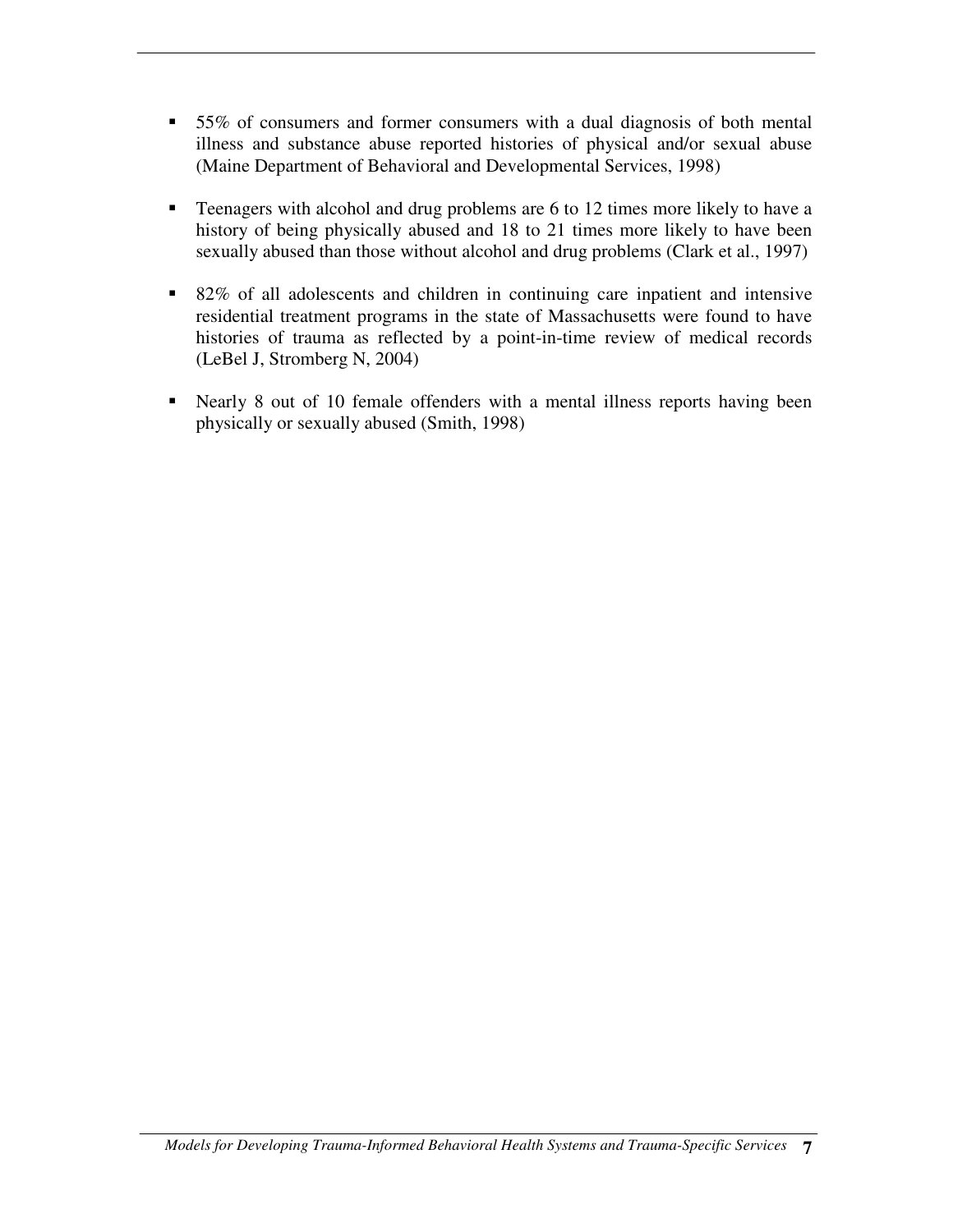- 55% of consumers and former consumers with a dual diagnosis of both mental illness and substance abuse reported histories of physical and/or sexual abuse (Maine Department of Behavioral and Developmental Services, 1998)
- **Teenagers with alcohol and drug problems are 6 to 12 times more likely to have a** history of being physically abused and 18 to 21 times more likely to have been sexually abused than those without alcohol and drug problems (Clark et al., 1997)
- 82% of all adolescents and children in continuing care inpatient and intensive residential treatment programs in the state of Massachusetts were found to have histories of trauma as reflected by a point-in-time review of medical records (LeBel J, Stromberg N, 2004)
- Nearly 8 out of 10 female offenders with a mental illness reports having been physically or sexually abused (Smith, 1998)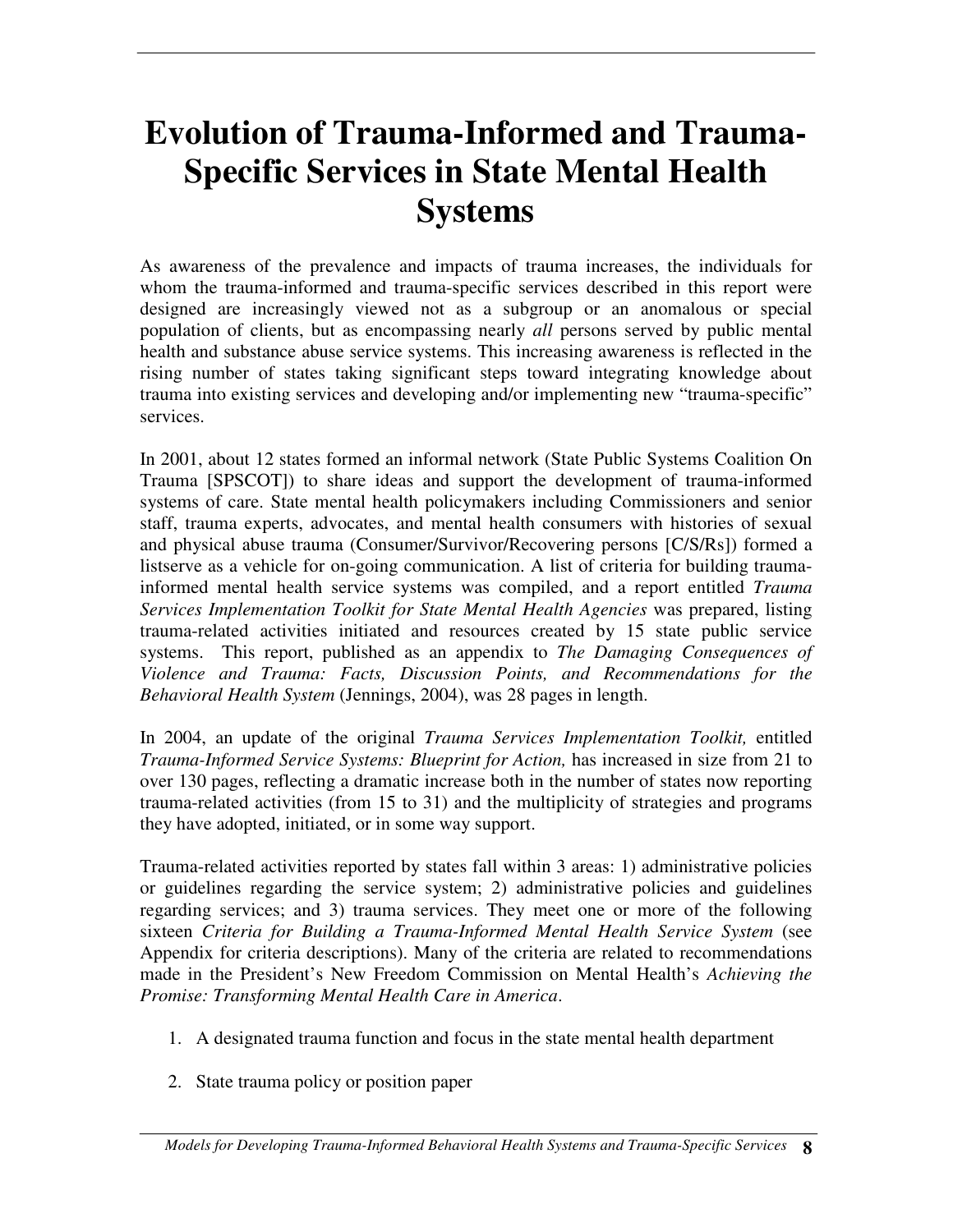# **Evolution of Trauma-Informed and Trauma-Specific Services in State Mental Health Systems**

As awareness of the prevalence and impacts of trauma increases, the individuals for whom the trauma-informed and trauma-specific services described in this report were designed are increasingly viewed not as a subgroup or an anomalous or special population of clients, but as encompassing nearly *all* persons served by public mental health and substance abuse service systems. This increasing awareness is reflected in the rising number of states taking significant steps toward integrating knowledge about trauma into existing services and developing and/or implementing new "trauma-specific" services.

In 2001, about 12 states formed an informal network (State Public Systems Coalition On Trauma [SPSCOT]) to share ideas and support the development of trauma-informed systems of care. State mental health policymakers including Commissioners and senior staff, trauma experts, advocates, and mental health consumers with histories of sexual and physical abuse trauma (Consumer/Survivor/Recovering persons [C/S/Rs]) formed a listserve as a vehicle for on-going communication. A list of criteria for building traumainformed mental health service systems was compiled, and a report entitled *Trauma Services Implementation Toolkit for State Mental Health Agencies* was prepared, listing trauma-related activities initiated and resources created by 15 state public service systems. This report, published as an appendix to *The Damaging Consequences of Violence and Trauma: Facts, Discussion Points, and Recommendations for the Behavioral Health System* (Jennings, 2004), was 28 pages in length.

In 2004, an update of the original *Trauma Services Implementation Toolkit,* entitled *Trauma-Informed Service Systems: Blueprint for Action,* has increased in size from 21 to over 130 pages, reflecting a dramatic increase both in the number of states now reporting trauma-related activities (from 15 to 31) and the multiplicity of strategies and programs they have adopted, initiated, or in some way support.

Trauma-related activities reported by states fall within 3 areas: 1) administrative policies or guidelines regarding the service system; 2) administrative policies and guidelines regarding services; and 3) trauma services. They meet one or more of the following sixteen *Criteria for Building a Trauma-Informed Mental Health Service System* (see Appendix for criteria descriptions). Many of the criteria are related to recommendations made in the President's New Freedom Commission on Mental Health's *Achieving the Promise: Transforming Mental Health Care in America*.

- 1. A designated trauma function and focus in the state mental health department
- 2. State trauma policy or position paper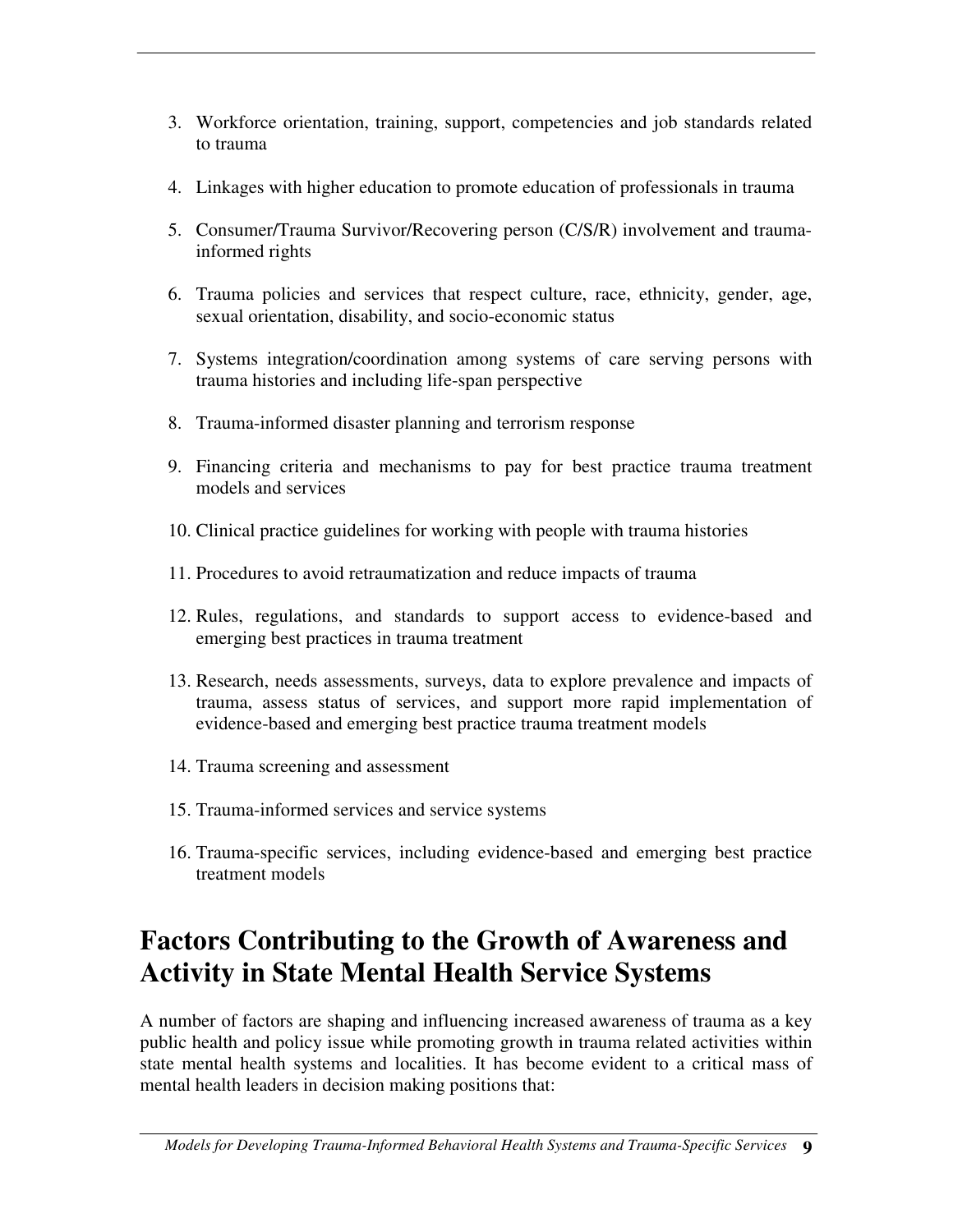- 3. Workforce orientation, training, support, competencies and job standards related to trauma
- 4. Linkages with higher education to promote education of professionals in trauma
- 5. Consumer/Trauma Survivor/Recovering person (C/S/R) involvement and traumainformed rights
- 6. Trauma policies and services that respect culture, race, ethnicity, gender, age, sexual orientation, disability, and socio-economic status
- 7. Systems integration/coordination among systems of care serving persons with trauma histories and including life-span perspective
- 8. Trauma-informed disaster planning and terrorism response
- 9. Financing criteria and mechanisms to pay for best practice trauma treatment models and services
- 10. Clinical practice guidelines for working with people with trauma histories
- 11. Procedures to avoid retraumatization and reduce impacts of trauma
- 12. Rules, regulations, and standards to support access to evidence-based and emerging best practices in trauma treatment
- 13. Research, needs assessments, surveys, data to explore prevalence and impacts of trauma, assess status of services, and support more rapid implementation of evidence-based and emerging best practice trauma treatment models
- 14. Trauma screening and assessment
- 15. Trauma-informed services and service systems
- 16. Trauma-specific services, including evidence-based and emerging best practice treatment models

# **Factors Contributing to the Growth of Awareness and Activity in State Mental Health Service Systems**

A number of factors are shaping and influencing increased awareness of trauma as a key public health and policy issue while promoting growth in trauma related activities within state mental health systems and localities. It has become evident to a critical mass of mental health leaders in decision making positions that: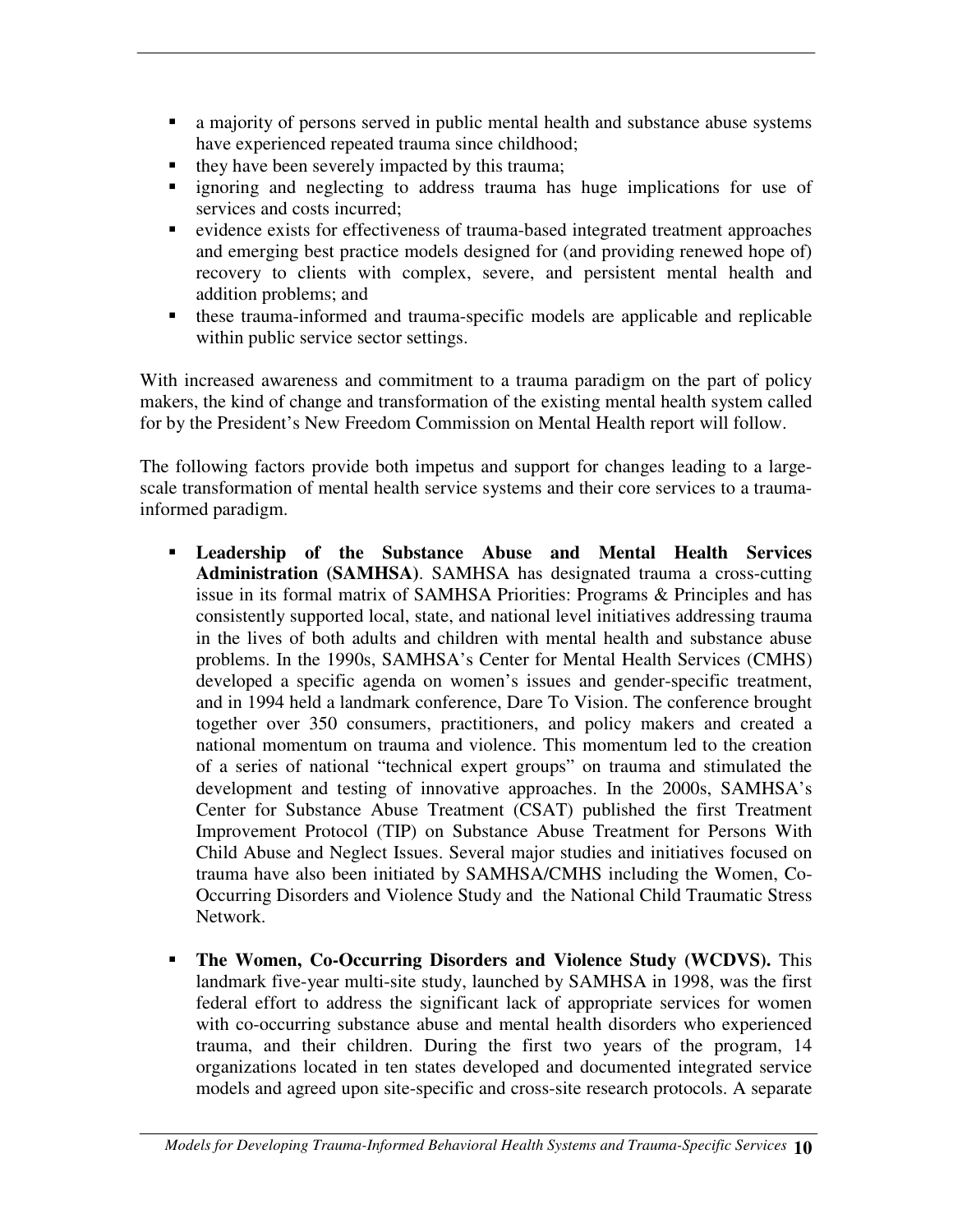- a majority of persons served in public mental health and substance abuse systems have experienced repeated trauma since childhood;
- $\blacksquare$  they have been severely impacted by this trauma;
- ignoring and neglecting to address trauma has huge implications for use of services and costs incurred;
- evidence exists for effectiveness of trauma-based integrated treatment approaches and emerging best practice models designed for (and providing renewed hope of) recovery to clients with complex, severe, and persistent mental health and addition problems; and
- these trauma-informed and trauma-specific models are applicable and replicable within public service sector settings.

With increased awareness and commitment to a trauma paradigm on the part of policy makers, the kind of change and transformation of the existing mental health system called for by the President's New Freedom Commission on Mental Health report will follow.

The following factors provide both impetus and support for changes leading to a largescale transformation of mental health service systems and their core services to a traumainformed paradigm.

- **Leadership of the Substance Abuse and Mental Health Services Administration (SAMHSA)**. SAMHSA has designated trauma a cross-cutting issue in its formal matrix of SAMHSA Priorities: Programs & Principles and has consistently supported local, state, and national level initiatives addressing trauma in the lives of both adults and children with mental health and substance abuse problems. In the 1990s, SAMHSA's Center for Mental Health Services (CMHS) developed a specific agenda on women's issues and gender-specific treatment, and in 1994 held a landmark conference, Dare To Vision. The conference brought together over 350 consumers, practitioners, and policy makers and created a national momentum on trauma and violence. This momentum led to the creation of a series of national "technical expert groups" on trauma and stimulated the development and testing of innovative approaches. In the 2000s, SAMHSA's Center for Substance Abuse Treatment (CSAT) published the first Treatment Improvement Protocol (TIP) on Substance Abuse Treatment for Persons With Child Abuse and Neglect Issues. Several major studies and initiatives focused on trauma have also been initiated by SAMHSA/CMHS including the Women, Co-Occurring Disorders and Violence Study and the National Child Traumatic Stress Network.
- **The Women, Co-Occurring Disorders and Violence Study (WCDVS).** This landmark five-year multi-site study, launched by SAMHSA in 1998, was the first federal effort to address the significant lack of appropriate services for women with co-occurring substance abuse and mental health disorders who experienced trauma, and their children. During the first two years of the program, 14 organizations located in ten states developed and documented integrated service models and agreed upon site-specific and cross-site research protocols. A separate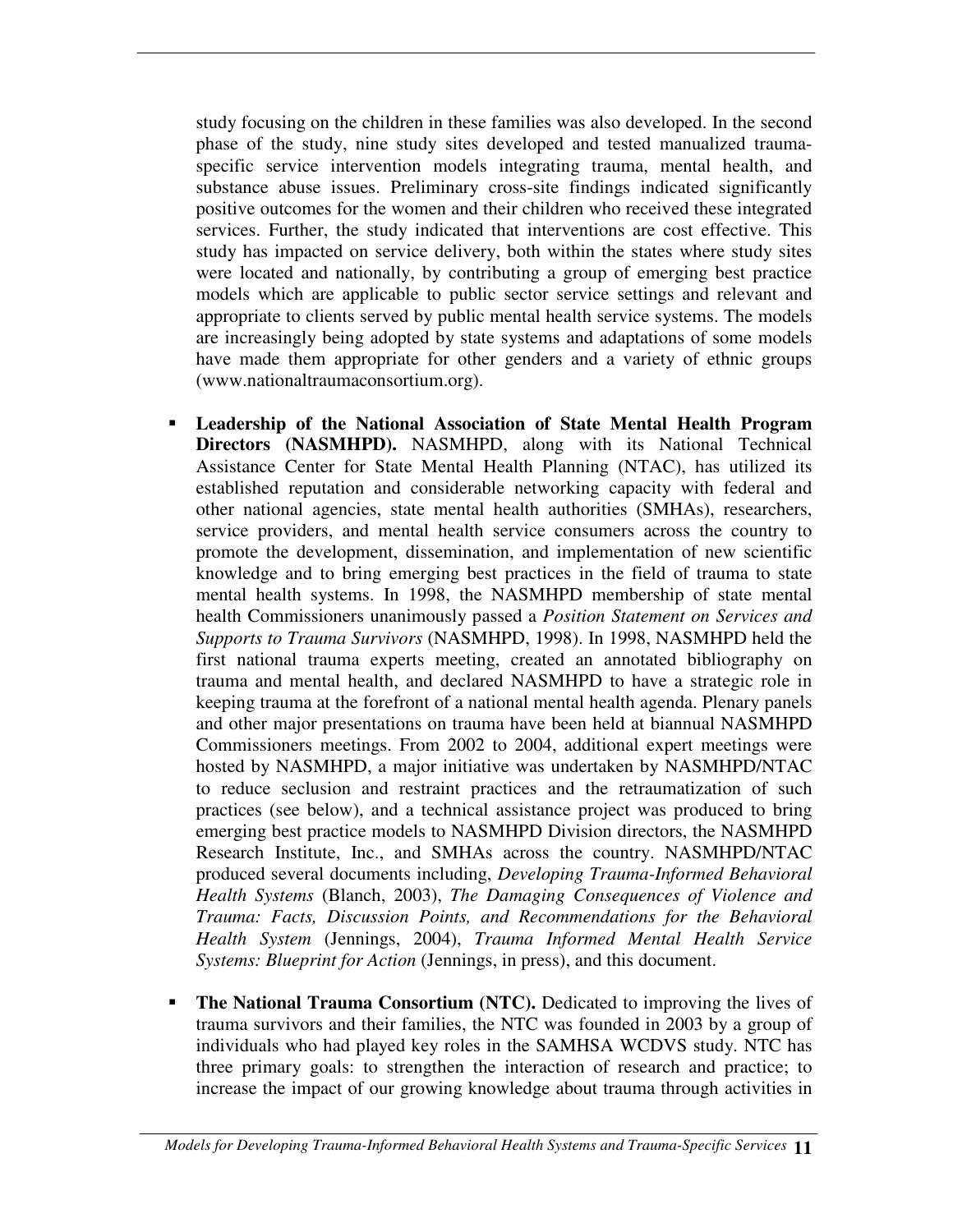study focusing on the children in these families was also developed. In the second phase of the study, nine study sites developed and tested manualized traumaspecific service intervention models integrating trauma, mental health, and substance abuse issues. Preliminary cross-site findings indicated significantly positive outcomes for the women and their children who received these integrated services. Further, the study indicated that interventions are cost effective. This study has impacted on service delivery, both within the states where study sites were located and nationally, by contributing a group of emerging best practice models which are applicable to public sector service settings and relevant and appropriate to clients served by public mental health service systems. The models are increasingly being adopted by state systems and adaptations of some models have made them appropriate for other genders and a variety of ethnic groups (www.nationaltraumaconsortium.org).

- **Leadership of the National Association of State Mental Health Program Directors (NASMHPD).** NASMHPD, along with its National Technical Assistance Center for State Mental Health Planning (NTAC), has utilized its established reputation and considerable networking capacity with federal and other national agencies, state mental health authorities (SMHAs), researchers, service providers, and mental health service consumers across the country to promote the development, dissemination, and implementation of new scientific knowledge and to bring emerging best practices in the field of trauma to state mental health systems. In 1998, the NASMHPD membership of state mental health Commissioners unanimously passed a *Position Statement on Services and Supports to Trauma Survivors* (NASMHPD, 1998). In 1998, NASMHPD held the first national trauma experts meeting, created an annotated bibliography on trauma and mental health, and declared NASMHPD to have a strategic role in keeping trauma at the forefront of a national mental health agenda. Plenary panels and other major presentations on trauma have been held at biannual NASMHPD Commissioners meetings. From 2002 to 2004, additional expert meetings were hosted by NASMHPD, a major initiative was undertaken by NASMHPD/NTAC to reduce seclusion and restraint practices and the retraumatization of such practices (see below), and a technical assistance project was produced to bring emerging best practice models to NASMHPD Division directors, the NASMHPD Research Institute, Inc., and SMHAs across the country. NASMHPD/NTAC produced several documents including, *Developing Trauma-Informed Behavioral Health Systems* (Blanch, 2003), *The Damaging Consequences of Violence and Trauma: Facts, Discussion Points, and Recommendations for the Behavioral Health System* (Jennings, 2004), *Trauma Informed Mental Health Service Systems: Blueprint for Action* (Jennings, in press), and this document.
- **The National Trauma Consortium (NTC).** Dedicated to improving the lives of trauma survivors and their families, the NTC was founded in 2003 by a group of individuals who had played key roles in the SAMHSA WCDVS study. NTC has three primary goals: to strengthen the interaction of research and practice; to increase the impact of our growing knowledge about trauma through activities in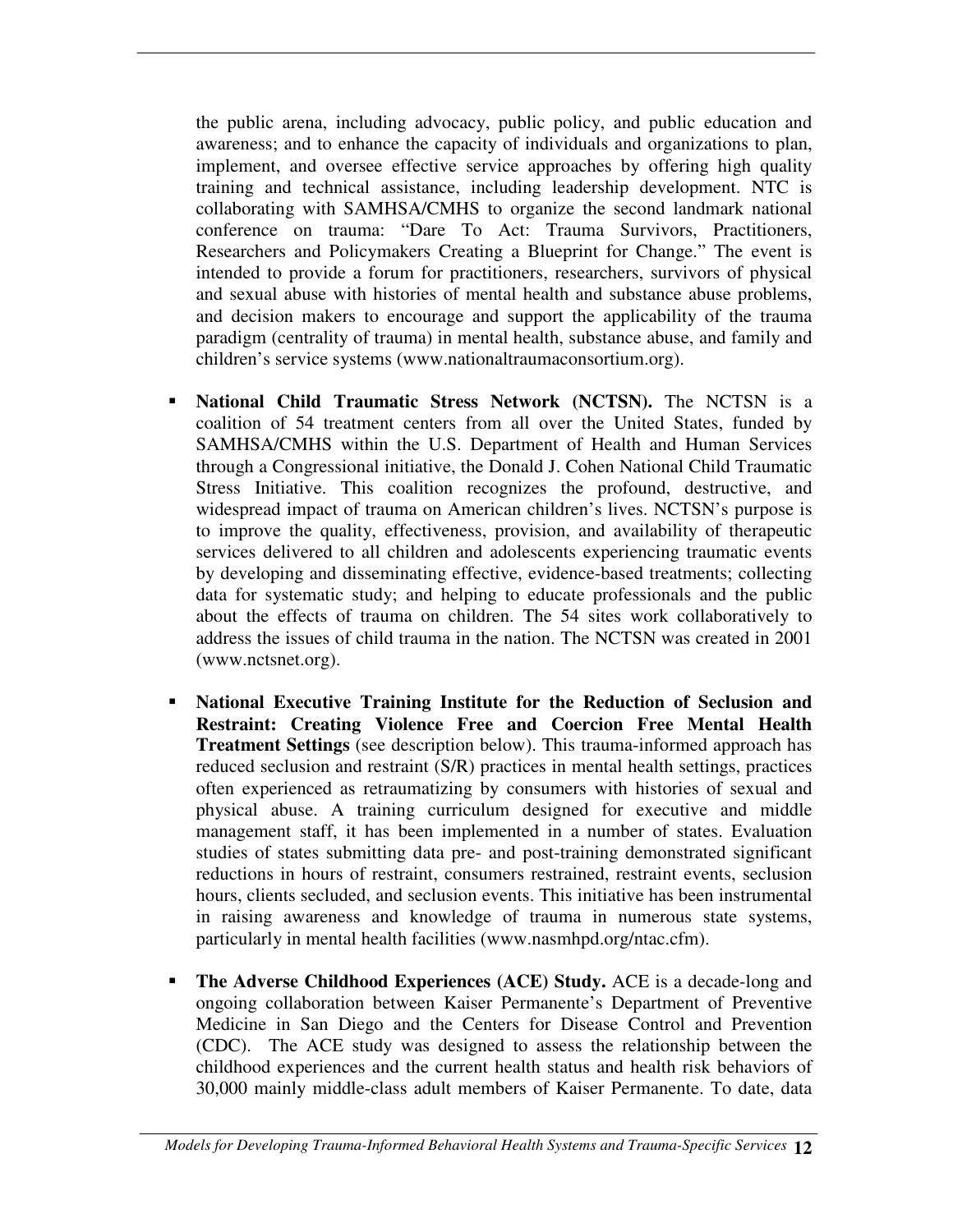the public arena, including advocacy, public policy, and public education and awareness; and to enhance the capacity of individuals and organizations to plan, implement, and oversee effective service approaches by offering high quality training and technical assistance, including leadership development. NTC is collaborating with SAMHSA/CMHS to organize the second landmark national conference on trauma: "Dare To Act: Trauma Survivors, Practitioners, Researchers and Policymakers Creating a Blueprint for Change." The event is intended to provide a forum for practitioners, researchers, survivors of physical and sexual abuse with histories of mental health and substance abuse problems, and decision makers to encourage and support the applicability of the trauma paradigm (centrality of trauma) in mental health, substance abuse, and family and children's service systems (www.nationaltraumaconsortium.org).

- **National Child Traumatic Stress Network (NCTSN).** The NCTSN is a coalition of 54 treatment centers from all over the United States, funded by SAMHSA/CMHS within the U.S. Department of Health and Human Services through a Congressional initiative, the Donald J. Cohen National Child Traumatic Stress Initiative. This coalition recognizes the profound, destructive, and widespread impact of trauma on American children's lives. NCTSN's purpose is to improve the quality, effectiveness, provision, and availability of therapeutic services delivered to all children and adolescents experiencing traumatic events by developing and disseminating effective, evidence-based treatments; collecting data for systematic study; and helping to educate professionals and the public about the effects of trauma on children. The 54 sites work collaboratively to address the issues of child trauma in the nation. The NCTSN was created in 2001 (www.nctsnet.org).
- **National Executive Training Institute for the Reduction of Seclusion and Restraint: Creating Violence Free and Coercion Free Mental Health Treatment Settings** (see description below). This trauma-informed approach has reduced seclusion and restraint (S/R) practices in mental health settings, practices often experienced as retraumatizing by consumers with histories of sexual and physical abuse. A training curriculum designed for executive and middle management staff, it has been implemented in a number of states. Evaluation studies of states submitting data pre- and post-training demonstrated significant reductions in hours of restraint, consumers restrained, restraint events, seclusion hours, clients secluded, and seclusion events. This initiative has been instrumental in raising awareness and knowledge of trauma in numerous state systems, particularly in mental health facilities (www.nasmhpd.org/ntac.cfm).
- **The Adverse Childhood Experiences (ACE) Study.** ACE is a decade-long and ongoing collaboration between Kaiser Permanente's Department of Preventive Medicine in San Diego and the Centers for Disease Control and Prevention (CDC). The ACE study was designed to assess the relationship between the childhood experiences and the current health status and health risk behaviors of 30,000 mainly middle-class adult members of Kaiser Permanente. To date, data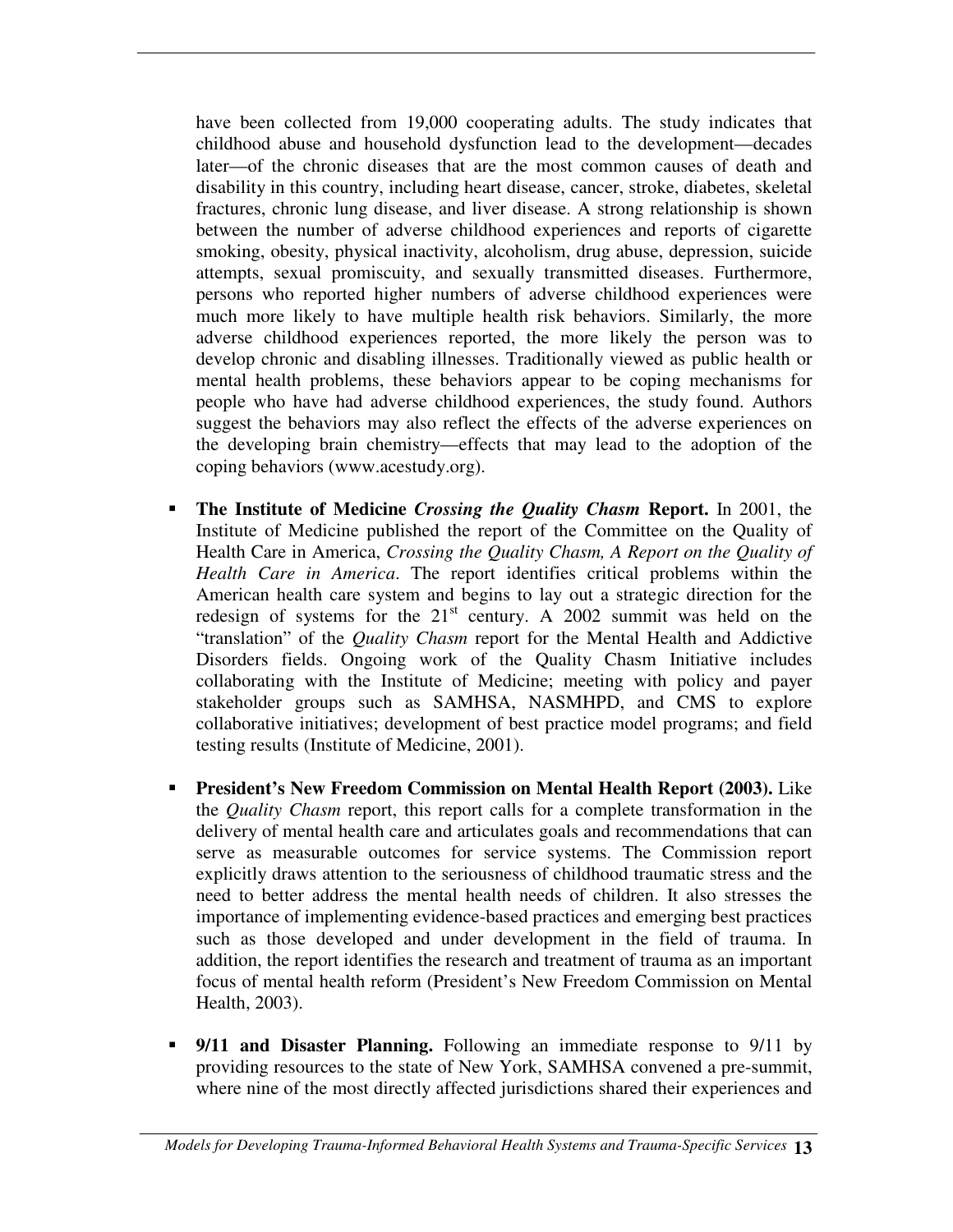have been collected from 19,000 cooperating adults. The study indicates that childhood abuse and household dysfunction lead to the development—decades later—of the chronic diseases that are the most common causes of death and disability in this country, including heart disease, cancer, stroke, diabetes, skeletal fractures, chronic lung disease, and liver disease. A strong relationship is shown between the number of adverse childhood experiences and reports of cigarette smoking, obesity, physical inactivity, alcoholism, drug abuse, depression, suicide attempts, sexual promiscuity, and sexually transmitted diseases. Furthermore, persons who reported higher numbers of adverse childhood experiences were much more likely to have multiple health risk behaviors. Similarly, the more adverse childhood experiences reported, the more likely the person was to develop chronic and disabling illnesses. Traditionally viewed as public health or mental health problems, these behaviors appear to be coping mechanisms for people who have had adverse childhood experiences, the study found. Authors suggest the behaviors may also reflect the effects of the adverse experiences on the developing brain chemistry—effects that may lead to the adoption of the coping behaviors (www.acestudy.org).

- **The Institute of Medicine** *Crossing the Quality Chasm* **Report.** In 2001, the Institute of Medicine published the report of the Committee on the Quality of Health Care in America, *Crossing the Quality Chasm, A Report on the Quality of Health Care in America*. The report identifies critical problems within the American health care system and begins to lay out a strategic direction for the redesign of systems for the  $21<sup>st</sup>$  century. A 2002 summit was held on the "translation" of the *Quality Chasm* report for the Mental Health and Addictive Disorders fields. Ongoing work of the Quality Chasm Initiative includes collaborating with the Institute of Medicine; meeting with policy and payer stakeholder groups such as SAMHSA, NASMHPD, and CMS to explore collaborative initiatives; development of best practice model programs; and field testing results (Institute of Medicine, 2001).
- **President's New Freedom Commission on Mental Health Report (2003).** Like the *Quality Chasm* report, this report calls for a complete transformation in the delivery of mental health care and articulates goals and recommendations that can serve as measurable outcomes for service systems. The Commission report explicitly draws attention to the seriousness of childhood traumatic stress and the need to better address the mental health needs of children. It also stresses the importance of implementing evidence-based practices and emerging best practices such as those developed and under development in the field of trauma. In addition, the report identifies the research and treatment of trauma as an important focus of mental health reform (President's New Freedom Commission on Mental Health, 2003).
- **9/11 and Disaster Planning.** Following an immediate response to 9/11 by providing resources to the state of New York, SAMHSA convened a pre-summit, where nine of the most directly affected jurisdictions shared their experiences and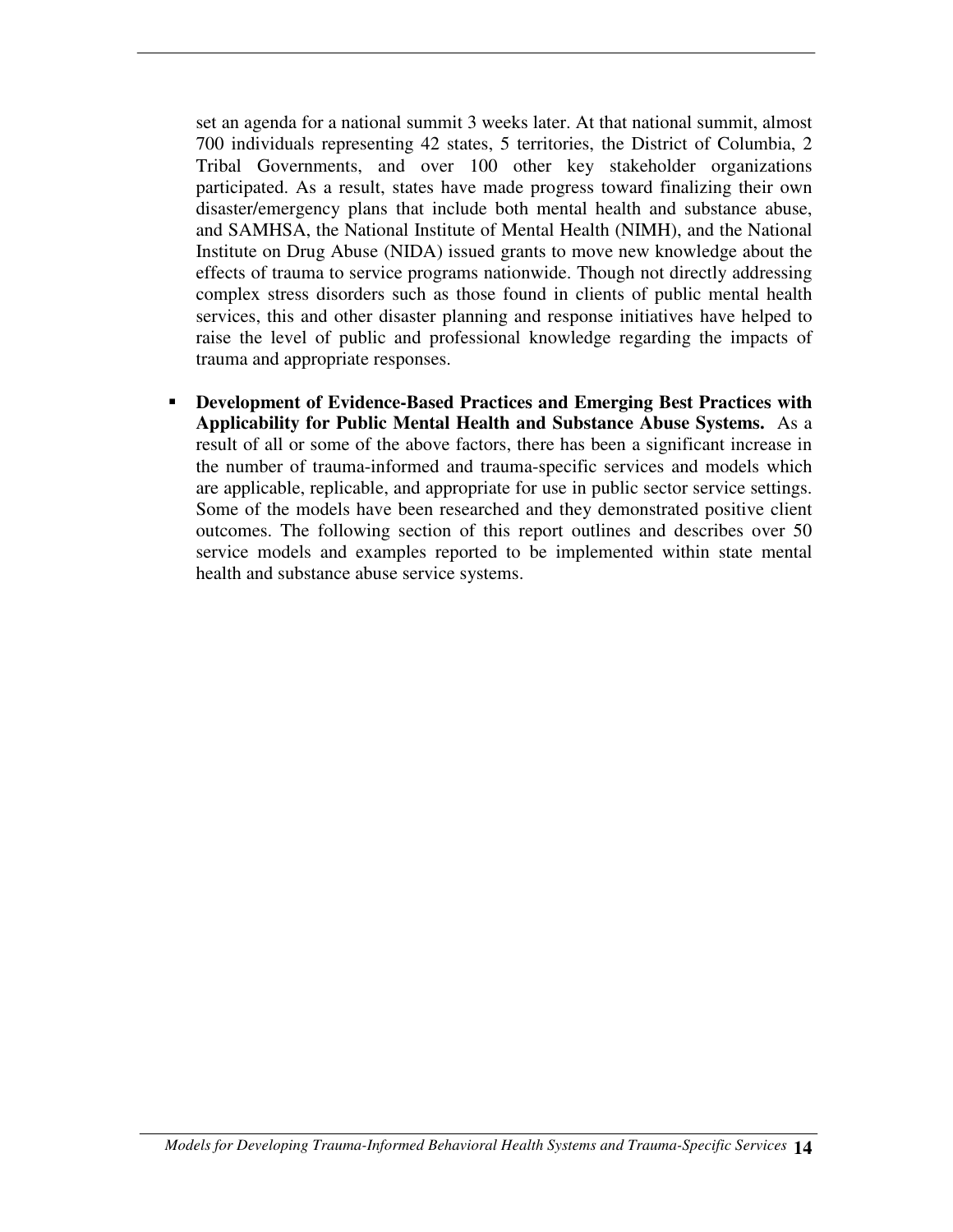set an agenda for a national summit 3 weeks later. At that national summit, almost 700 individuals representing 42 states, 5 territories, the District of Columbia, 2 Tribal Governments, and over 100 other key stakeholder organizations participated. As a result, states have made progress toward finalizing their own disaster/emergency plans that include both mental health and substance abuse, and SAMHSA, the National Institute of Mental Health (NIMH), and the National Institute on Drug Abuse (NIDA) issued grants to move new knowledge about the effects of trauma to service programs nationwide. Though not directly addressing complex stress disorders such as those found in clients of public mental health services, this and other disaster planning and response initiatives have helped to raise the level of public and professional knowledge regarding the impacts of trauma and appropriate responses.

 **Development of Evidence-Based Practices and Emerging Best Practices with Applicability for Public Mental Health and Substance Abuse Systems.** As a result of all or some of the above factors, there has been a significant increase in the number of trauma-informed and trauma-specific services and models which are applicable, replicable, and appropriate for use in public sector service settings. Some of the models have been researched and they demonstrated positive client outcomes. The following section of this report outlines and describes over 50 service models and examples reported to be implemented within state mental health and substance abuse service systems.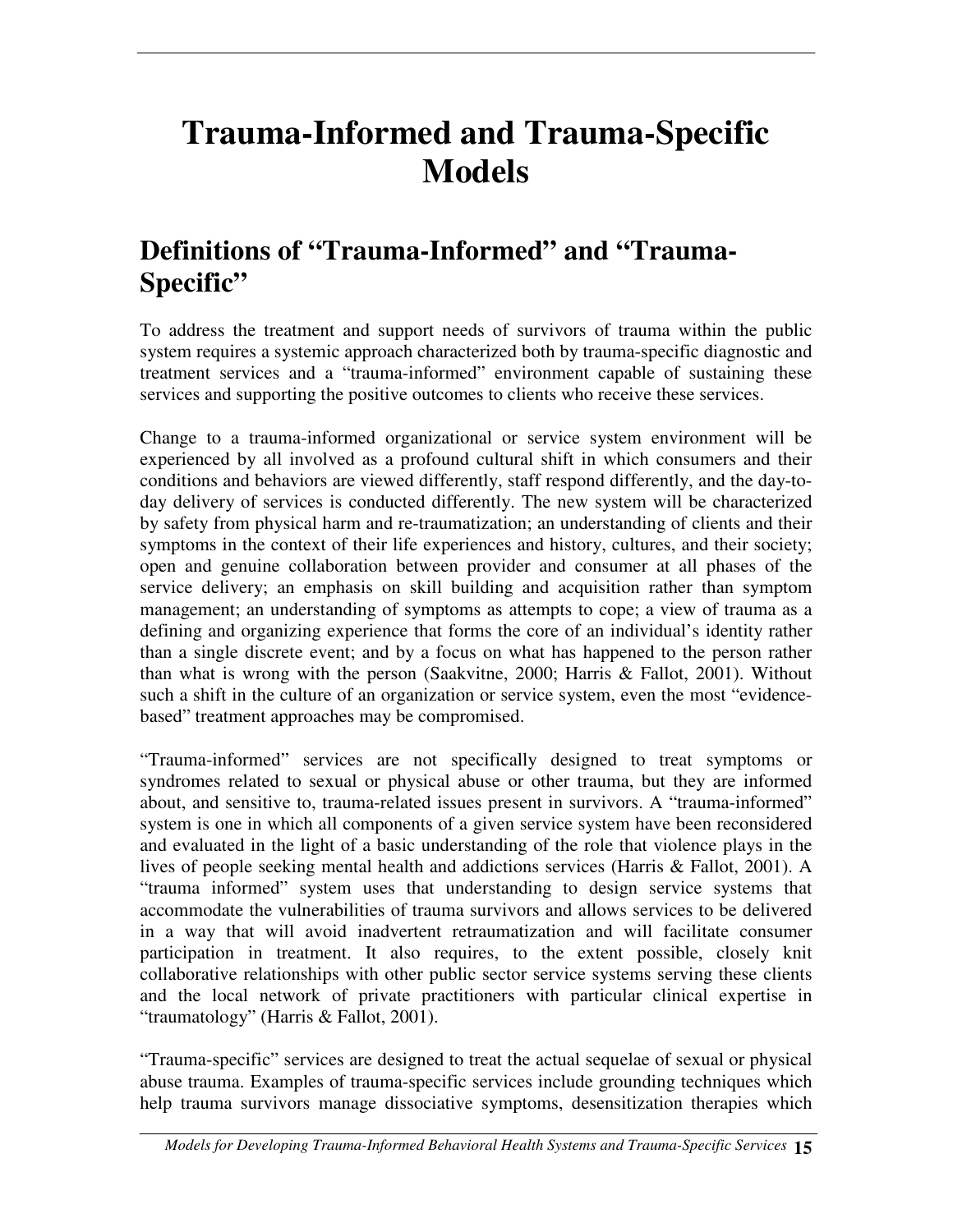# **Trauma-Informed and Trauma-Specific Models**

## **Definitions of "Trauma-Informed" and "Trauma-Specific"**

To address the treatment and support needs of survivors of trauma within the public system requires a systemic approach characterized both by trauma-specific diagnostic and treatment services and a "trauma-informed" environment capable of sustaining these services and supporting the positive outcomes to clients who receive these services.

Change to a trauma-informed organizational or service system environment will be experienced by all involved as a profound cultural shift in which consumers and their conditions and behaviors are viewed differently, staff respond differently, and the day-today delivery of services is conducted differently. The new system will be characterized by safety from physical harm and re-traumatization; an understanding of clients and their symptoms in the context of their life experiences and history, cultures, and their society; open and genuine collaboration between provider and consumer at all phases of the service delivery; an emphasis on skill building and acquisition rather than symptom management; an understanding of symptoms as attempts to cope; a view of trauma as a defining and organizing experience that forms the core of an individual's identity rather than a single discrete event; and by a focus on what has happened to the person rather than what is wrong with the person (Saakvitne, 2000; Harris & Fallot, 2001). Without such a shift in the culture of an organization or service system, even the most "evidencebased" treatment approaches may be compromised.

"Trauma-informed" services are not specifically designed to treat symptoms or syndromes related to sexual or physical abuse or other trauma, but they are informed about, and sensitive to, trauma-related issues present in survivors. A "trauma-informed" system is one in which all components of a given service system have been reconsidered and evaluated in the light of a basic understanding of the role that violence plays in the lives of people seeking mental health and addictions services (Harris & Fallot, 2001). A "trauma informed" system uses that understanding to design service systems that accommodate the vulnerabilities of trauma survivors and allows services to be delivered in a way that will avoid inadvertent retraumatization and will facilitate consumer participation in treatment. It also requires, to the extent possible, closely knit collaborative relationships with other public sector service systems serving these clients and the local network of private practitioners with particular clinical expertise in "traumatology" (Harris & Fallot, 2001).

"Trauma-specific" services are designed to treat the actual sequelae of sexual or physical abuse trauma. Examples of trauma-specific services include grounding techniques which help trauma survivors manage dissociative symptoms, desensitization therapies which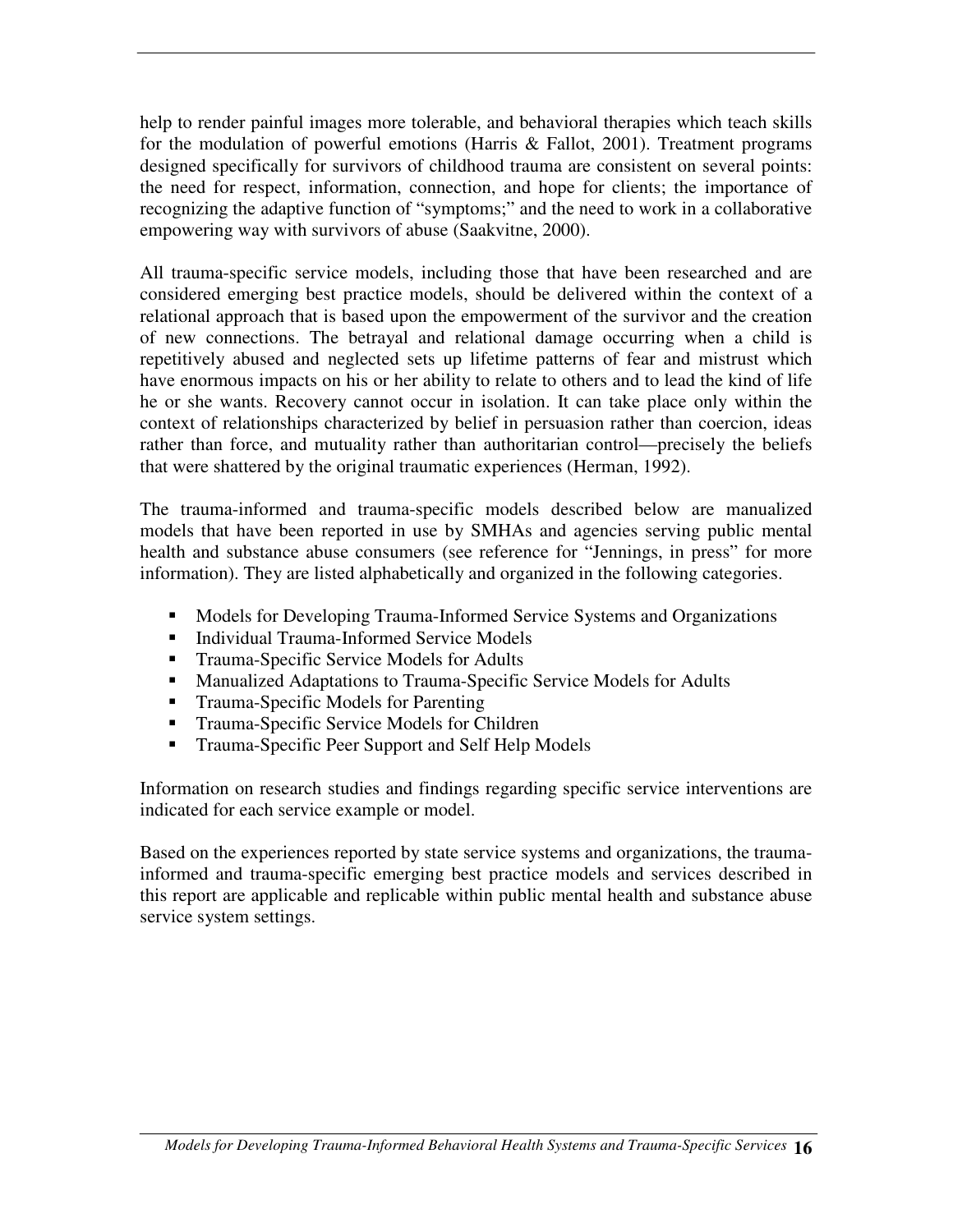help to render painful images more tolerable, and behavioral therapies which teach skills for the modulation of powerful emotions (Harris & Fallot, 2001). Treatment programs designed specifically for survivors of childhood trauma are consistent on several points: the need for respect, information, connection, and hope for clients; the importance of recognizing the adaptive function of "symptoms;" and the need to work in a collaborative empowering way with survivors of abuse (Saakvitne, 2000).

All trauma-specific service models, including those that have been researched and are considered emerging best practice models, should be delivered within the context of a relational approach that is based upon the empowerment of the survivor and the creation of new connections. The betrayal and relational damage occurring when a child is repetitively abused and neglected sets up lifetime patterns of fear and mistrust which have enormous impacts on his or her ability to relate to others and to lead the kind of life he or she wants. Recovery cannot occur in isolation. It can take place only within the context of relationships characterized by belief in persuasion rather than coercion, ideas rather than force, and mutuality rather than authoritarian control—precisely the beliefs that were shattered by the original traumatic experiences (Herman, 1992).

The trauma-informed and trauma-specific models described below are manualized models that have been reported in use by SMHAs and agencies serving public mental health and substance abuse consumers (see reference for "Jennings, in press" for more information). They are listed alphabetically and organized in the following categories.

- Models for Developing Trauma-Informed Service Systems and Organizations
- **Individual Trauma-Informed Service Models**
- **Trauma-Specific Service Models for Adults**
- **Manualized Adaptations to Trauma-Specific Service Models for Adults**
- Trauma-Specific Models for Parenting
- **Trauma-Specific Service Models for Children**
- **Trauma-Specific Peer Support and Self Help Models**

Information on research studies and findings regarding specific service interventions are indicated for each service example or model.

Based on the experiences reported by state service systems and organizations, the traumainformed and trauma-specific emerging best practice models and services described in this report are applicable and replicable within public mental health and substance abuse service system settings.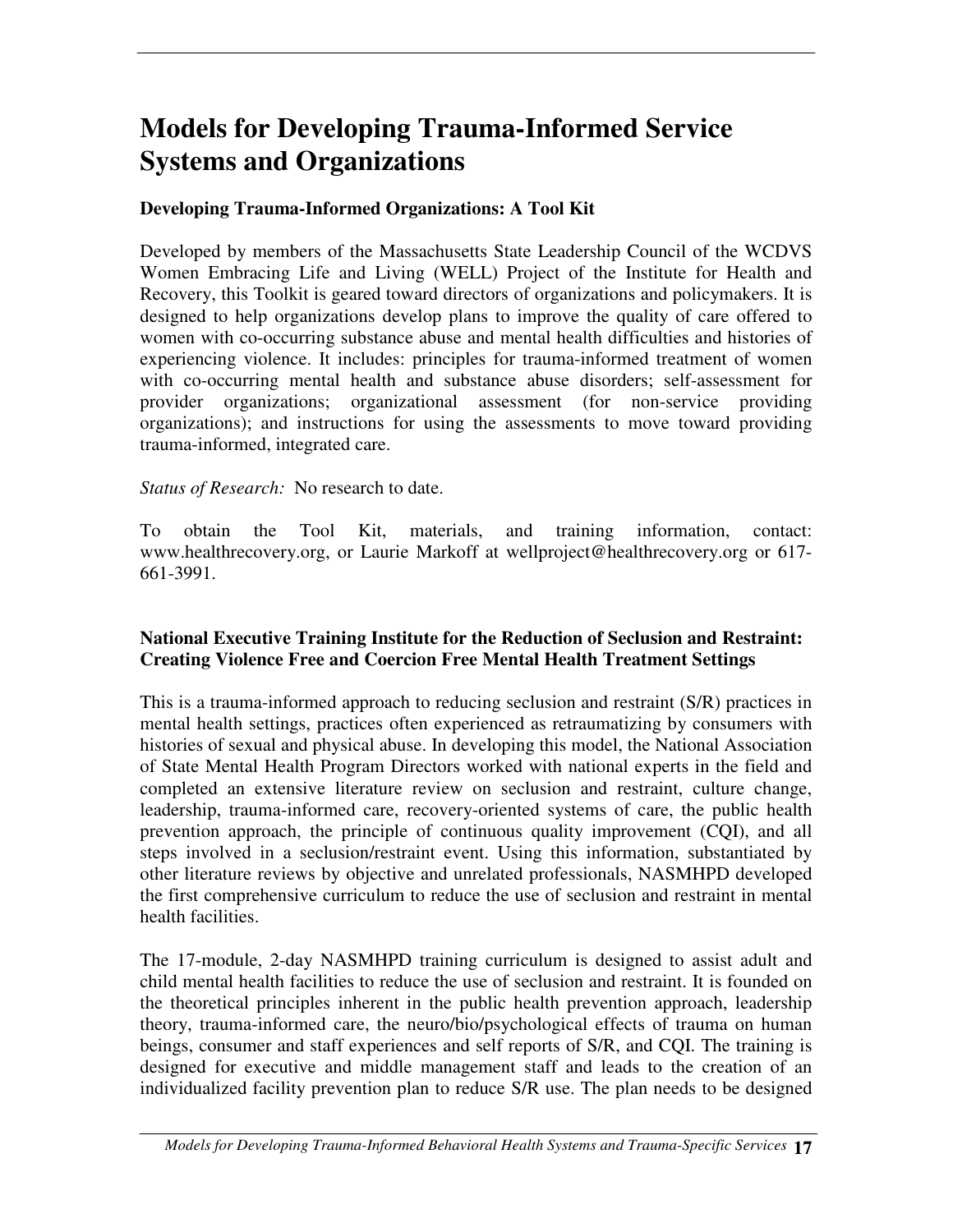## **Models for Developing Trauma-Informed Service Systems and Organizations**

#### **Developing Trauma-Informed Organizations: A Tool Kit**

Developed by members of the Massachusetts State Leadership Council of the WCDVS Women Embracing Life and Living (WELL) Project of the Institute for Health and Recovery, this Toolkit is geared toward directors of organizations and policymakers. It is designed to help organizations develop plans to improve the quality of care offered to women with co-occurring substance abuse and mental health difficulties and histories of experiencing violence. It includes: principles for trauma-informed treatment of women with co-occurring mental health and substance abuse disorders; self-assessment for provider organizations; organizational assessment (for non-service providing organizations); and instructions for using the assessments to move toward providing trauma-informed, integrated care.

*Status of Research:* No research to date.

To obtain the Tool Kit, materials, and training information, contact: www.healthrecovery.org, or Laurie Markoff at wellproject@healthrecovery.org or 617- 661-3991.

#### **National Executive Training Institute for the Reduction of Seclusion and Restraint: Creating Violence Free and Coercion Free Mental Health Treatment Settings**

This is a trauma-informed approach to reducing seclusion and restraint (S/R) practices in mental health settings, practices often experienced as retraumatizing by consumers with histories of sexual and physical abuse. In developing this model, the National Association of State Mental Health Program Directors worked with national experts in the field and completed an extensive literature review on seclusion and restraint, culture change, leadership, trauma-informed care, recovery-oriented systems of care, the public health prevention approach, the principle of continuous quality improvement (CQI), and all steps involved in a seclusion/restraint event. Using this information, substantiated by other literature reviews by objective and unrelated professionals, NASMHPD developed the first comprehensive curriculum to reduce the use of seclusion and restraint in mental health facilities.

The 17-module, 2-day NASMHPD training curriculum is designed to assist adult and child mental health facilities to reduce the use of seclusion and restraint. It is founded on the theoretical principles inherent in the public health prevention approach, leadership theory, trauma-informed care, the neuro/bio/psychological effects of trauma on human beings, consumer and staff experiences and self reports of S/R, and CQI. The training is designed for executive and middle management staff and leads to the creation of an individualized facility prevention plan to reduce S/R use. The plan needs to be designed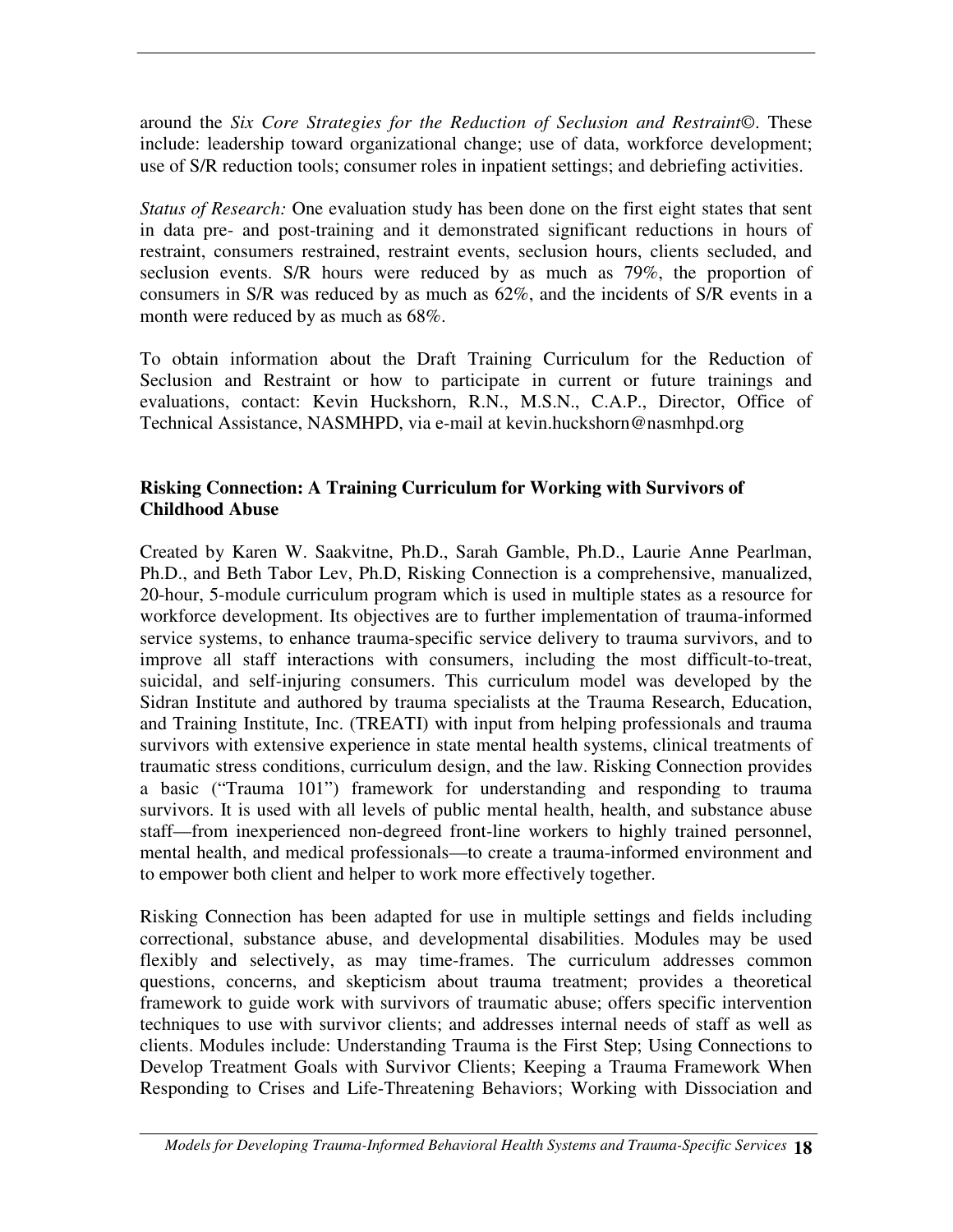around the *Six Core Strategies for the Reduction of Seclusion and Restraint*©. These include: leadership toward organizational change; use of data, workforce development; use of S/R reduction tools; consumer roles in inpatient settings; and debriefing activities.

*Status of Research:* One evaluation study has been done on the first eight states that sent in data pre- and post-training and it demonstrated significant reductions in hours of restraint, consumers restrained, restraint events, seclusion hours, clients secluded, and seclusion events. S/R hours were reduced by as much as 79%, the proportion of consumers in S/R was reduced by as much as 62%, and the incidents of S/R events in a month were reduced by as much as 68%.

To obtain information about the Draft Training Curriculum for the Reduction of Seclusion and Restraint or how to participate in current or future trainings and evaluations, contact: Kevin Huckshorn, R.N., M.S.N., C.A.P., Director, Office of Technical Assistance, NASMHPD, via e-mail at kevin.huckshorn@nasmhpd.org

#### **Risking Connection: A Training Curriculum for Working with Survivors of Childhood Abuse**

Created by Karen W. Saakvitne, Ph.D., Sarah Gamble, Ph.D., Laurie Anne Pearlman, Ph.D., and Beth Tabor Lev, Ph.D, Risking Connection is a comprehensive, manualized, 20-hour, 5-module curriculum program which is used in multiple states as a resource for workforce development. Its objectives are to further implementation of trauma-informed service systems, to enhance trauma-specific service delivery to trauma survivors, and to improve all staff interactions with consumers, including the most difficult-to-treat, suicidal, and self-injuring consumers. This curriculum model was developed by the Sidran Institute and authored by trauma specialists at the Trauma Research, Education, and Training Institute, Inc. (TREATI) with input from helping professionals and trauma survivors with extensive experience in state mental health systems, clinical treatments of traumatic stress conditions, curriculum design, and the law. Risking Connection provides a basic ("Trauma 101") framework for understanding and responding to trauma survivors. It is used with all levels of public mental health, health, and substance abuse staff—from inexperienced non-degreed front-line workers to highly trained personnel, mental health, and medical professionals—to create a trauma-informed environment and to empower both client and helper to work more effectively together.

Risking Connection has been adapted for use in multiple settings and fields including correctional, substance abuse, and developmental disabilities. Modules may be used flexibly and selectively, as may time-frames. The curriculum addresses common questions, concerns, and skepticism about trauma treatment; provides a theoretical framework to guide work with survivors of traumatic abuse; offers specific intervention techniques to use with survivor clients; and addresses internal needs of staff as well as clients. Modules include: Understanding Trauma is the First Step; Using Connections to Develop Treatment Goals with Survivor Clients; Keeping a Trauma Framework When Responding to Crises and Life-Threatening Behaviors; Working with Dissociation and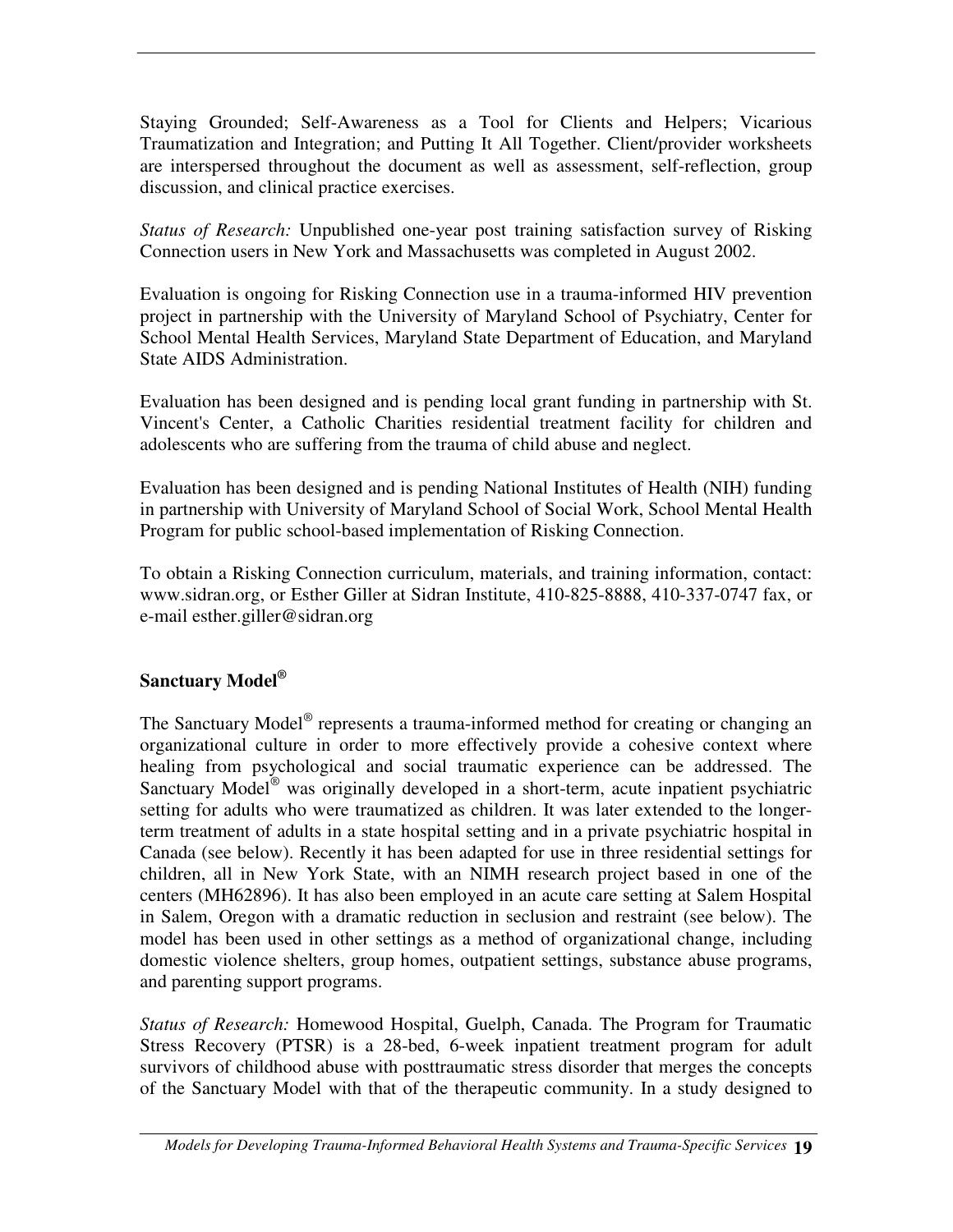Staying Grounded; Self-Awareness as a Tool for Clients and Helpers; Vicarious Traumatization and Integration; and Putting It All Together. Client/provider worksheets are interspersed throughout the document as well as assessment, self-reflection, group discussion, and clinical practice exercises.

*Status of Research:* Unpublished one-year post training satisfaction survey of Risking Connection users in New York and Massachusetts was completed in August 2002.

Evaluation is ongoing for Risking Connection use in a trauma-informed HIV prevention project in partnership with the University of Maryland School of Psychiatry, Center for School Mental Health Services, Maryland State Department of Education, and Maryland State AIDS Administration.

Evaluation has been designed and is pending local grant funding in partnership with St. Vincent's Center, a Catholic Charities residential treatment facility for children and adolescents who are suffering from the trauma of child abuse and neglect.

Evaluation has been designed and is pending National Institutes of Health (NIH) funding in partnership with University of Maryland School of Social Work, School Mental Health Program for public school-based implementation of Risking Connection.

To obtain a Risking Connection curriculum, materials, and training information, contact: www.sidran.org, or Esther Giller at Sidran Institute, 410-825-8888, 410-337-0747 fax, or e-mail esther.giller@sidran.org

#### **Sanctuary Model ®**

The Sanctuary Model<sup>®</sup> represents a trauma-informed method for creating or changing an organizational culture in order to more effectively provide a cohesive context where healing from psychological and social traumatic experience can be addressed. The Sanctuary Model<sup>®</sup> was originally developed in a short-term, acute inpatient psychiatric setting for adults who were traumatized as children. It was later extended to the longerterm treatment of adults in a state hospital setting and in a private psychiatric hospital in Canada (see below). Recently it has been adapted for use in three residential settings for children, all in New York State, with an NIMH research project based in one of the centers (MH62896). It has also been employed in an acute care setting at Salem Hospital in Salem, Oregon with a dramatic reduction in seclusion and restraint (see below). The model has been used in other settings as a method of organizational change, including domestic violence shelters, group homes, outpatient settings, substance abuse programs, and parenting support programs.

*Status of Research:* Homewood Hospital, Guelph, Canada. The Program for Traumatic Stress Recovery (PTSR) is a 28-bed, 6-week inpatient treatment program for adult survivors of childhood abuse with posttraumatic stress disorder that merges the concepts of the Sanctuary Model with that of the therapeutic community. In a study designed to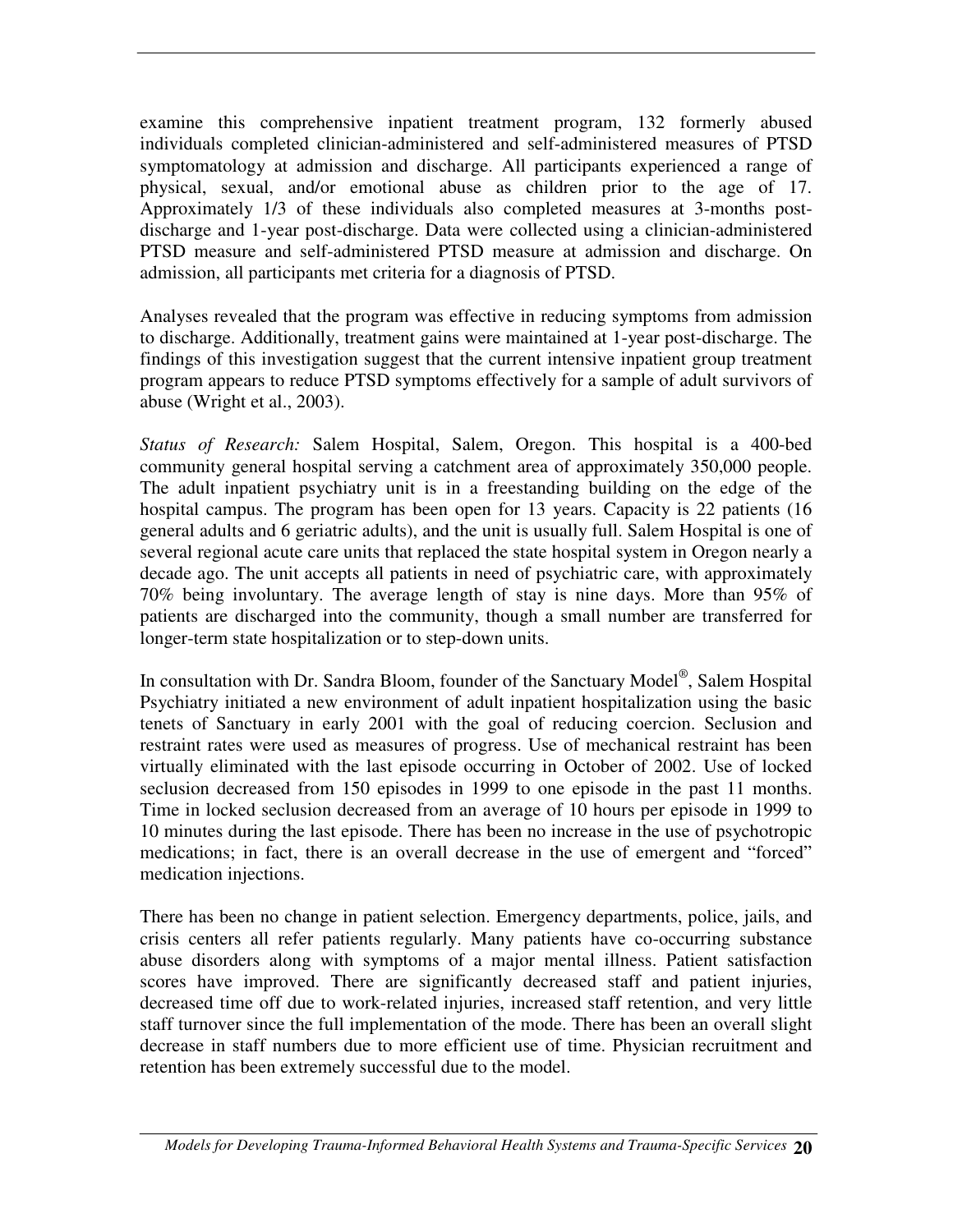examine this comprehensive inpatient treatment program, 132 formerly abused individuals completed clinician-administered and self-administered measures of PTSD symptomatology at admission and discharge. All participants experienced a range of physical, sexual, and/or emotional abuse as children prior to the age of 17. Approximately 1/3 of these individuals also completed measures at 3-months postdischarge and 1-year post-discharge. Data were collected using a clinician-administered PTSD measure and self-administered PTSD measure at admission and discharge. On admission, all participants met criteria for a diagnosis of PTSD.

Analyses revealed that the program was effective in reducing symptoms from admission to discharge. Additionally, treatment gains were maintained at 1-year post-discharge. The findings of this investigation suggest that the current intensive inpatient group treatment program appears to reduce PTSD symptoms effectively for a sample of adult survivors of abuse (Wright et al., 2003).

*Status of Research:* Salem Hospital, Salem, Oregon. This hospital is a 400-bed community general hospital serving a catchment area of approximately 350,000 people. The adult inpatient psychiatry unit is in a freestanding building on the edge of the hospital campus. The program has been open for 13 years. Capacity is 22 patients (16 general adults and 6 geriatric adults), and the unit is usually full. Salem Hospital is one of several regional acute care units that replaced the state hospital system in Oregon nearly a decade ago. The unit accepts all patients in need of psychiatric care, with approximately 70% being involuntary. The average length of stay is nine days. More than 95% of patients are discharged into the community, though a small number are transferred for longer-term state hospitalization or to step-down units.

In consultation with Dr. Sandra Bloom, founder of the Sanctuary Model<sup>®</sup>, Salem Hospital Psychiatry initiated a new environment of adult inpatient hospitalization using the basic tenets of Sanctuary in early 2001 with the goal of reducing coercion. Seclusion and restraint rates were used as measures of progress. Use of mechanical restraint has been virtually eliminated with the last episode occurring in October of 2002. Use of locked seclusion decreased from 150 episodes in 1999 to one episode in the past 11 months. Time in locked seclusion decreased from an average of 10 hours per episode in 1999 to 10 minutes during the last episode. There has been no increase in the use of psychotropic medications; in fact, there is an overall decrease in the use of emergent and "forced" medication injections.

There has been no change in patient selection. Emergency departments, police, jails, and crisis centers all refer patients regularly. Many patients have co-occurring substance abuse disorders along with symptoms of a major mental illness. Patient satisfaction scores have improved. There are significantly decreased staff and patient injuries, decreased time off due to work-related injuries, increased staff retention, and very little staff turnover since the full implementation of the mode. There has been an overall slight decrease in staff numbers due to more efficient use of time. Physician recruitment and retention has been extremely successful due to the model.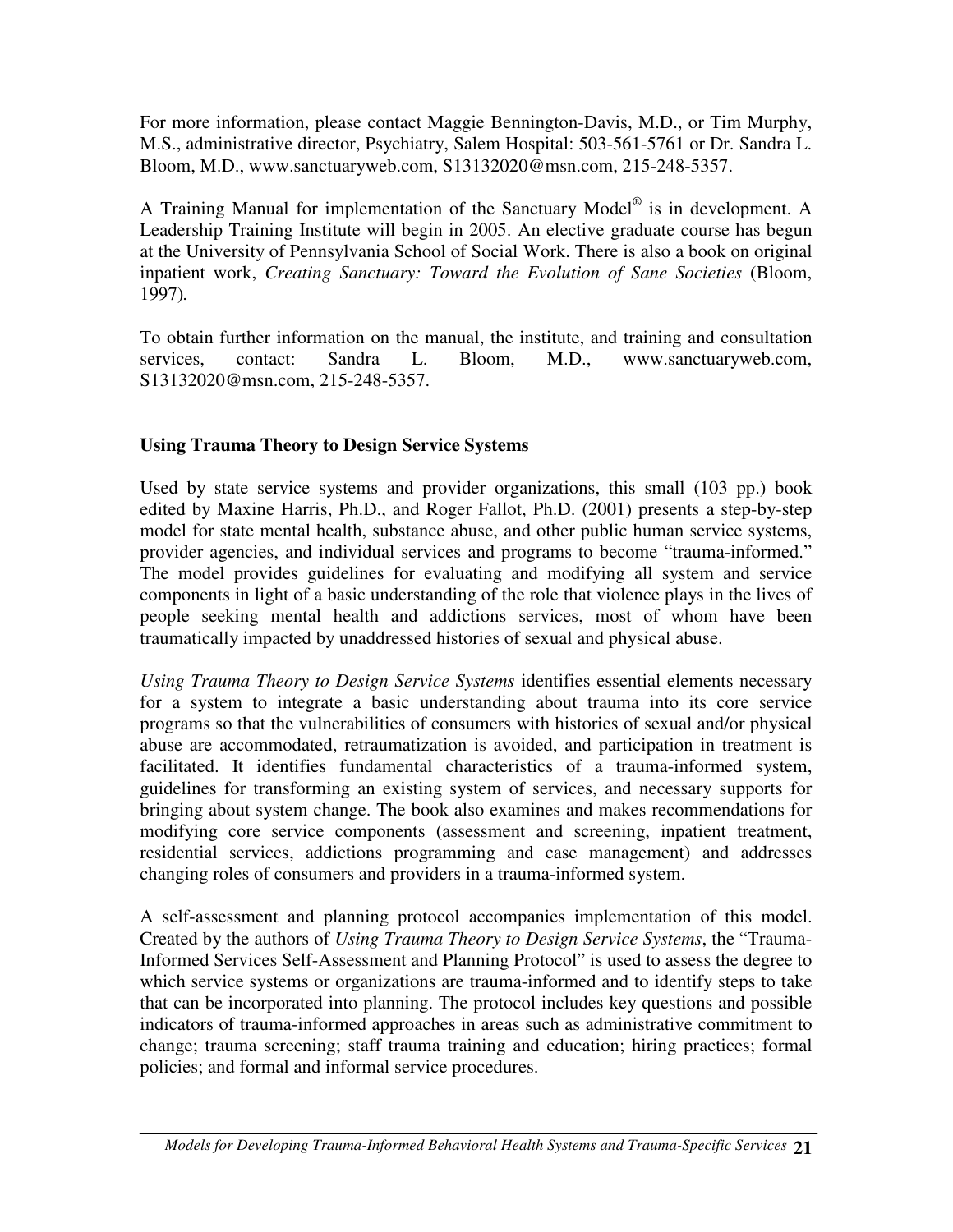For more information, please contact Maggie Bennington-Davis, M.D., or Tim Murphy, M.S., administrative director, Psychiatry, Salem Hospital: 503-561-5761 or Dr. Sandra L. Bloom, M.D., www.sanctuaryweb.com, S13132020@msn.com, 215-248-5357.

A Training Manual for implementation of the Sanctuary Model® is in development. A Leadership Training Institute will begin in 2005. An elective graduate course has begun at the University of Pennsylvania School of Social Work. There is also a book on original inpatient work, *Creating Sanctuary: Toward the Evolution of Sane Societies* (Bloom, 1997)*.*

To obtain further information on the manual, the institute, and training and consultation services, contact: Sandra L. Bloom, M.D., www.sanctuaryweb.com, S13132020@msn.com, 215-248-5357.

#### **Using Trauma Theory to Design Service Systems**

Used by state service systems and provider organizations, this small (103 pp.) book edited by Maxine Harris, Ph.D., and Roger Fallot, Ph.D. (2001) presents a step-by-step model for state mental health, substance abuse, and other public human service systems, provider agencies, and individual services and programs to become "trauma-informed." The model provides guidelines for evaluating and modifying all system and service components in light of a basic understanding of the role that violence plays in the lives of people seeking mental health and addictions services, most of whom have been traumatically impacted by unaddressed histories of sexual and physical abuse.

*Using Trauma Theory to Design Service Systems* identifies essential elements necessary for a system to integrate a basic understanding about trauma into its core service programs so that the vulnerabilities of consumers with histories of sexual and/or physical abuse are accommodated, retraumatization is avoided, and participation in treatment is facilitated. It identifies fundamental characteristics of a trauma-informed system, guidelines for transforming an existing system of services, and necessary supports for bringing about system change. The book also examines and makes recommendations for modifying core service components (assessment and screening, inpatient treatment, residential services, addictions programming and case management) and addresses changing roles of consumers and providers in a trauma-informed system.

A self-assessment and planning protocol accompanies implementation of this model. Created by the authors of *Using Trauma Theory to Design Service Systems*, the "Trauma-Informed Services Self-Assessment and Planning Protocol" is used to assess the degree to which service systems or organizations are trauma-informed and to identify steps to take that can be incorporated into planning. The protocol includes key questions and possible indicators of trauma-informed approaches in areas such as administrative commitment to change; trauma screening; staff trauma training and education; hiring practices; formal policies; and formal and informal service procedures.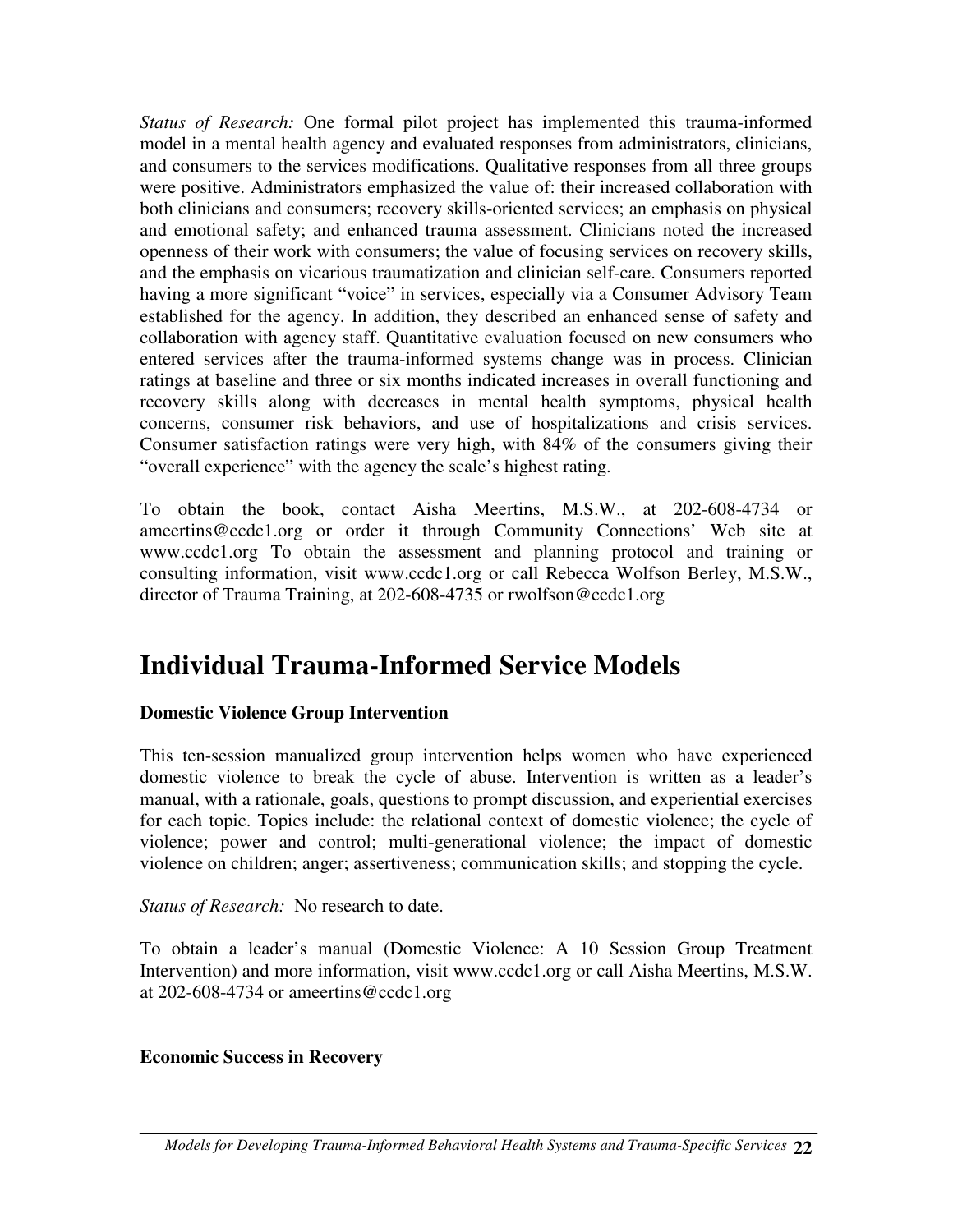*Status of Research:* One formal pilot project has implemented this trauma-informed model in a mental health agency and evaluated responses from administrators, clinicians, and consumers to the services modifications. Qualitative responses from all three groups were positive. Administrators emphasized the value of: their increased collaboration with both clinicians and consumers; recovery skills-oriented services; an emphasis on physical and emotional safety; and enhanced trauma assessment. Clinicians noted the increased openness of their work with consumers; the value of focusing services on recovery skills, and the emphasis on vicarious traumatization and clinician self-care. Consumers reported having a more significant "voice" in services, especially via a Consumer Advisory Team established for the agency. In addition, they described an enhanced sense of safety and collaboration with agency staff. Quantitative evaluation focused on new consumers who entered services after the trauma-informed systems change was in process. Clinician ratings at baseline and three or six months indicated increases in overall functioning and recovery skills along with decreases in mental health symptoms, physical health concerns, consumer risk behaviors, and use of hospitalizations and crisis services. Consumer satisfaction ratings were very high, with 84% of the consumers giving their "overall experience" with the agency the scale's highest rating.

To obtain the book, contact Aisha Meertins, M.S.W., at 202-608-4734 or ameertins@ccdc1.org or order it through Community Connections' Web site at www.ccdc1.org To obtain the assessment and planning protocol and training or consulting information, visit www.ccdc1.org or call Rebecca Wolfson Berley, M.S.W., director of Trauma Training, at 202-608-4735 or rwolfson@ccdc1.org

### **Individual Trauma-Informed Service Models**

#### **Domestic Violence Group Intervention**

This ten-session manualized group intervention helps women who have experienced domestic violence to break the cycle of abuse. Intervention is written as a leader's manual, with a rationale, goals, questions to prompt discussion, and experiential exercises for each topic. Topics include: the relational context of domestic violence; the cycle of violence; power and control; multi-generational violence; the impact of domestic violence on children; anger; assertiveness; communication skills; and stopping the cycle.

*Status of Research:* No research to date.

To obtain a leader's manual (Domestic Violence: A 10 Session Group Treatment Intervention) and more information, visit www.ccdc1.org or call Aisha Meertins, M.S.W. at 202-608-4734 or ameertins@ccdc1.org

#### **Economic Success in Recovery**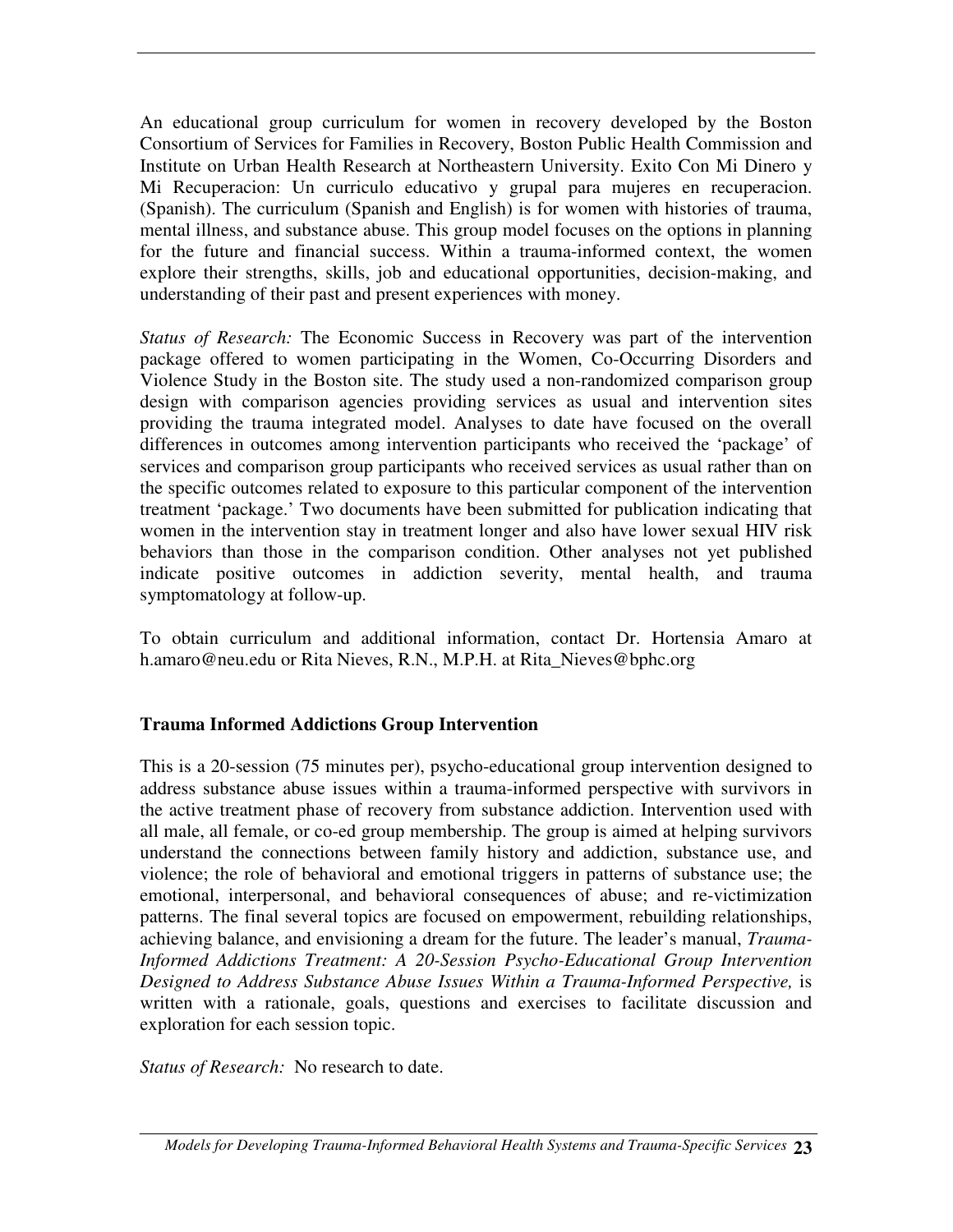An educational group curriculum for women in recovery developed by the Boston Consortium of Services for Families in Recovery, Boston Public Health Commission and Institute on Urban Health Research at Northeastern University. Exito Con Mi Dinero y Mi Recuperacion: Un curriculo educativo y grupal para mujeres en recuperacion. (Spanish). The curriculum (Spanish and English) is for women with histories of trauma, mental illness, and substance abuse. This group model focuses on the options in planning for the future and financial success. Within a trauma-informed context, the women explore their strengths, skills, job and educational opportunities, decision-making, and understanding of their past and present experiences with money.

*Status of Research:* The Economic Success in Recovery was part of the intervention package offered to women participating in the Women, Co-Occurring Disorders and Violence Study in the Boston site. The study used a non-randomized comparison group design with comparison agencies providing services as usual and intervention sites providing the trauma integrated model. Analyses to date have focused on the overall differences in outcomes among intervention participants who received the 'package' of services and comparison group participants who received services as usual rather than on the specific outcomes related to exposure to this particular component of the intervention treatment 'package.' Two documents have been submitted for publication indicating that women in the intervention stay in treatment longer and also have lower sexual HIV risk behaviors than those in the comparison condition. Other analyses not yet published indicate positive outcomes in addiction severity, mental health, and trauma symptomatology at follow-up.

To obtain curriculum and additional information, contact Dr. Hortensia Amaro at h.amaro@neu.edu or Rita Nieves, R.N., M.P.H. at Rita\_Nieves@bphc.org

#### **Trauma Informed Addictions Group Intervention**

This is a 20-session (75 minutes per), psycho-educational group intervention designed to address substance abuse issues within a trauma-informed perspective with survivors in the active treatment phase of recovery from substance addiction. Intervention used with all male, all female, or co-ed group membership. The group is aimed at helping survivors understand the connections between family history and addiction, substance use, and violence; the role of behavioral and emotional triggers in patterns of substance use; the emotional, interpersonal, and behavioral consequences of abuse; and re-victimization patterns. The final several topics are focused on empowerment, rebuilding relationships, achieving balance, and envisioning a dream for the future. The leader's manual, *Trauma-Informed Addictions Treatment: A 20-Session Psycho-Educational Group Intervention Designed to Address Substance Abuse Issues Within a Trauma-Informed Perspective,* is written with a rationale, goals, questions and exercises to facilitate discussion and exploration for each session topic.

*Status of Research:* No research to date.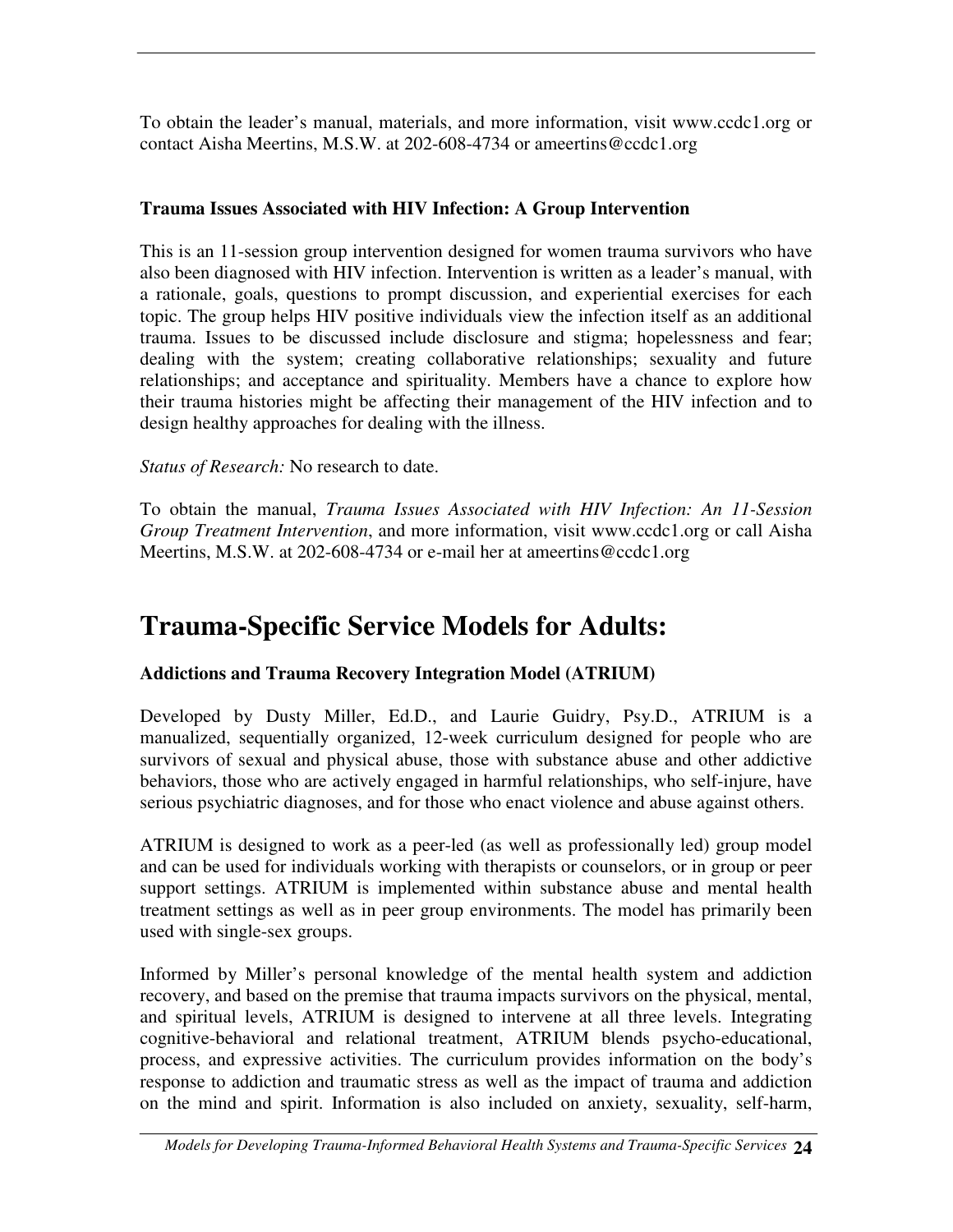To obtain the leader's manual, materials, and more information, visit www.ccdc1.org or contact Aisha Meertins, M.S.W. at 202-608-4734 or ameertins@ccdc1.org

#### **Trauma Issues Associated with HIV Infection: A Group Intervention**

This is an 11-session group intervention designed for women trauma survivors who have also been diagnosed with HIV infection. Intervention is written as a leader's manual, with a rationale, goals, questions to prompt discussion, and experiential exercises for each topic. The group helps HIV positive individuals view the infection itself as an additional trauma. Issues to be discussed include disclosure and stigma; hopelessness and fear; dealing with the system; creating collaborative relationships; sexuality and future relationships; and acceptance and spirituality. Members have a chance to explore how their trauma histories might be affecting their management of the HIV infection and to design healthy approaches for dealing with the illness.

#### *Status of Research:* No research to date.

To obtain the manual, *Trauma Issues Associated with HIV Infection: An 11-Session Group Treatment Intervention*, and more information, visit www.ccdc1.org or call Aisha Meertins, M.S.W. at 202-608-4734 or e-mail her at ameertins@ccdc1.org

## **Trauma-Specific Service Models for Adults:**

#### **Addictions and Trauma Recovery Integration Model (ATRIUM)**

Developed by Dusty Miller, Ed.D., and Laurie Guidry, Psy.D., ATRIUM is a manualized, sequentially organized, 12-week curriculum designed for people who are survivors of sexual and physical abuse, those with substance abuse and other addictive behaviors, those who are actively engaged in harmful relationships, who self-injure, have serious psychiatric diagnoses, and for those who enact violence and abuse against others.

ATRIUM is designed to work as a peer-led (as well as professionally led) group model and can be used for individuals working with therapists or counselors, or in group or peer support settings. ATRIUM is implemented within substance abuse and mental health treatment settings as well as in peer group environments. The model has primarily been used with single-sex groups.

Informed by Miller's personal knowledge of the mental health system and addiction recovery, and based on the premise that trauma impacts survivors on the physical, mental, and spiritual levels, ATRIUM is designed to intervene at all three levels. Integrating cognitive-behavioral and relational treatment, ATRIUM blends psycho-educational, process, and expressive activities. The curriculum provides information on the body's response to addiction and traumatic stress as well as the impact of trauma and addiction on the mind and spirit. Information is also included on anxiety, sexuality, self-harm,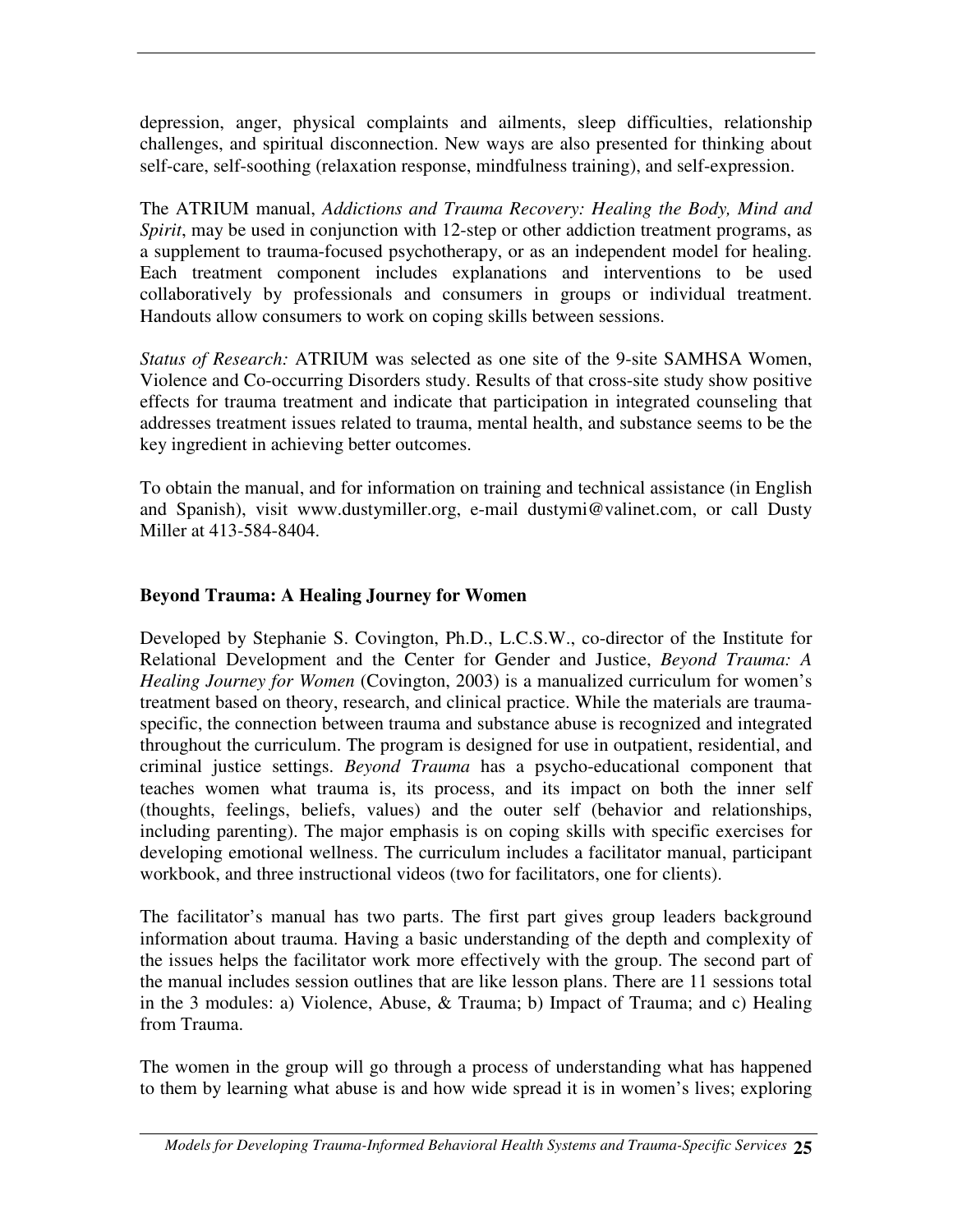depression, anger, physical complaints and ailments, sleep difficulties, relationship challenges, and spiritual disconnection. New ways are also presented for thinking about self-care, self-soothing (relaxation response, mindfulness training), and self-expression.

The ATRIUM manual, *Addictions and Trauma Recovery: Healing the Body, Mind and Spirit*, may be used in conjunction with 12-step or other addiction treatment programs, as a supplement to trauma-focused psychotherapy, or as an independent model for healing. Each treatment component includes explanations and interventions to be used collaboratively by professionals and consumers in groups or individual treatment. Handouts allow consumers to work on coping skills between sessions.

*Status of Research:* ATRIUM was selected as one site of the 9-site SAMHSA Women, Violence and Co-occurring Disorders study. Results of that cross-site study show positive effects for trauma treatment and indicate that participation in integrated counseling that addresses treatment issues related to trauma, mental health, and substance seems to be the key ingredient in achieving better outcomes.

To obtain the manual, and for information on training and technical assistance (in English and Spanish), visit www.dustymiller.org, e-mail dustymi@valinet.com, or call Dusty Miller at 413-584-8404.

#### **Beyond Trauma: A Healing Journey for Women**

Developed by Stephanie S. Covington, Ph.D., L.C.S.W., co-director of the Institute for Relational Development and the Center for Gender and Justice, *Beyond Trauma: A Healing Journey for Women* (Covington, 2003) is a manualized curriculum for women's treatment based on theory, research, and clinical practice. While the materials are traumaspecific, the connection between trauma and substance abuse is recognized and integrated throughout the curriculum. The program is designed for use in outpatient, residential, and criminal justice settings. *Beyond Trauma* has a psycho-educational component that teaches women what trauma is, its process, and its impact on both the inner self (thoughts, feelings, beliefs, values) and the outer self (behavior and relationships, including parenting). The major emphasis is on coping skills with specific exercises for developing emotional wellness. The curriculum includes a facilitator manual, participant workbook, and three instructional videos (two for facilitators, one for clients).

The facilitator's manual has two parts. The first part gives group leaders background information about trauma. Having a basic understanding of the depth and complexity of the issues helps the facilitator work more effectively with the group. The second part of the manual includes session outlines that are like lesson plans. There are 11 sessions total in the 3 modules: a) Violence, Abuse, & Trauma; b) Impact of Trauma; and c) Healing from Trauma.

The women in the group will go through a process of understanding what has happened to them by learning what abuse is and how wide spread it is in women's lives; exploring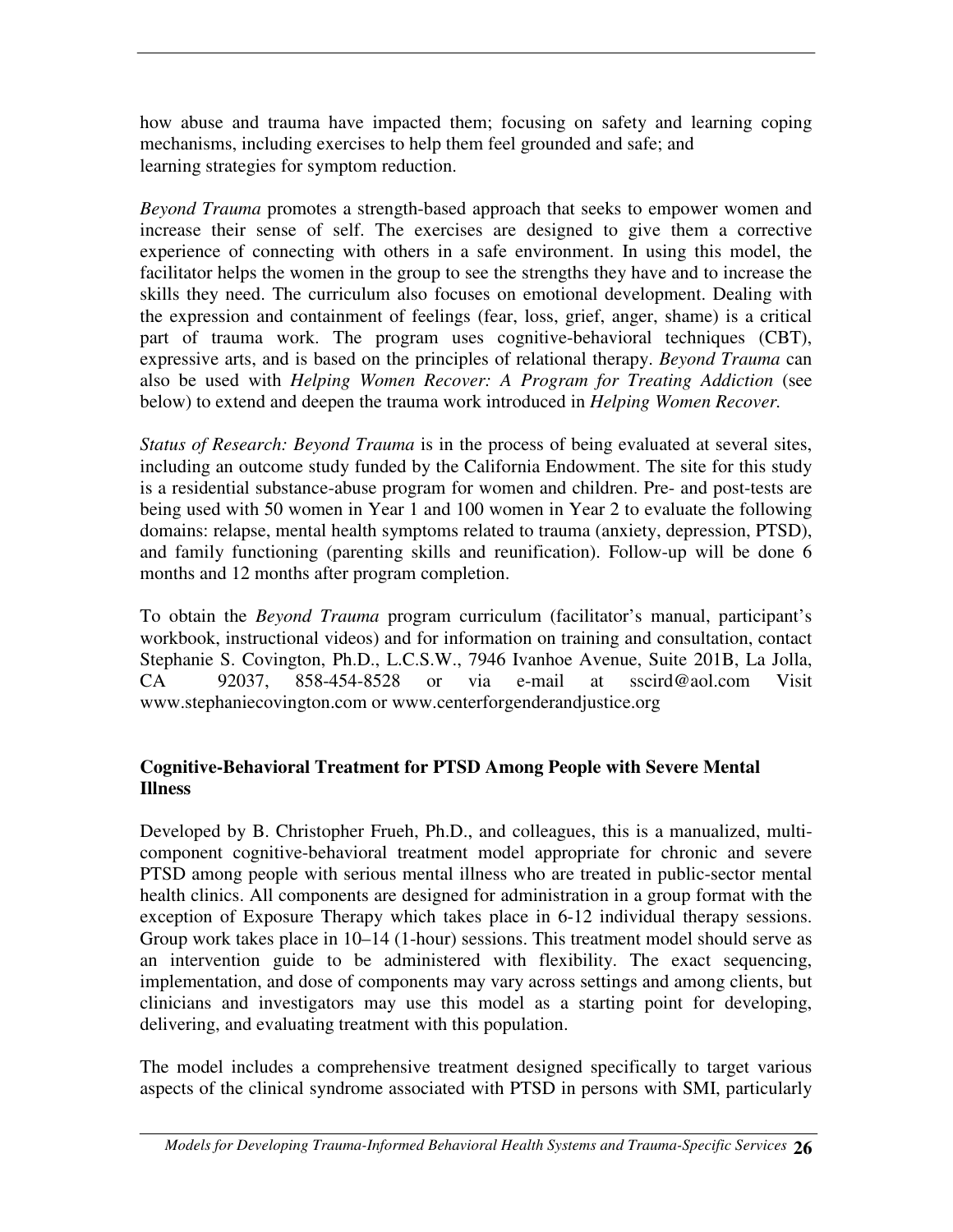how abuse and trauma have impacted them; focusing on safety and learning coping mechanisms, including exercises to help them feel grounded and safe; and learning strategies for symptom reduction.

*Beyond Trauma* promotes a strength-based approach that seeks to empower women and increase their sense of self. The exercises are designed to give them a corrective experience of connecting with others in a safe environment. In using this model, the facilitator helps the women in the group to see the strengths they have and to increase the skills they need. The curriculum also focuses on emotional development. Dealing with the expression and containment of feelings (fear, loss, grief, anger, shame) is a critical part of trauma work. The program uses cognitive-behavioral techniques (CBT), expressive arts, and is based on the principles of relational therapy. *Beyond Trauma* can also be used with *Helping Women Recover: A Program for Treating Addiction* (see below) to extend and deepen the trauma work introduced in *Helping Women Recover.*

*Status of Research: Beyond Trauma* is in the process of being evaluated at several sites, including an outcome study funded by the California Endowment. The site for this study is a residential substance-abuse program for women and children. Pre- and post-tests are being used with 50 women in Year 1 and 100 women in Year 2 to evaluate the following domains: relapse, mental health symptoms related to trauma (anxiety, depression, PTSD), and family functioning (parenting skills and reunification). Follow-up will be done 6 months and 12 months after program completion.

To obtain the *Beyond Trauma* program curriculum (facilitator's manual, participant's workbook, instructional videos) and for information on training and consultation, contact Stephanie S. Covington, Ph.D., L.C.S.W., 7946 Ivanhoe Avenue, Suite 201B, La Jolla, CA 92037, 858-454-8528 or via e-mail at sscird@aol.com Visit www.stephaniecovington.com or www.centerforgenderandjustice.org

#### **Cognitive-Behavioral Treatment for PTSD Among People with Severe Mental Illness**

Developed by B. Christopher Frueh, Ph.D., and colleagues, this is a manualized, multicomponent cognitive-behavioral treatment model appropriate for chronic and severe PTSD among people with serious mental illness who are treated in public-sector mental health clinics. All components are designed for administration in a group format with the exception of Exposure Therapy which takes place in 6-12 individual therapy sessions. Group work takes place in 10–14 (1-hour) sessions. This treatment model should serve as an intervention guide to be administered with flexibility. The exact sequencing, implementation, and dose of components may vary across settings and among clients, but clinicians and investigators may use this model as a starting point for developing, delivering, and evaluating treatment with this population.

The model includes a comprehensive treatment designed specifically to target various aspects of the clinical syndrome associated with PTSD in persons with SMI, particularly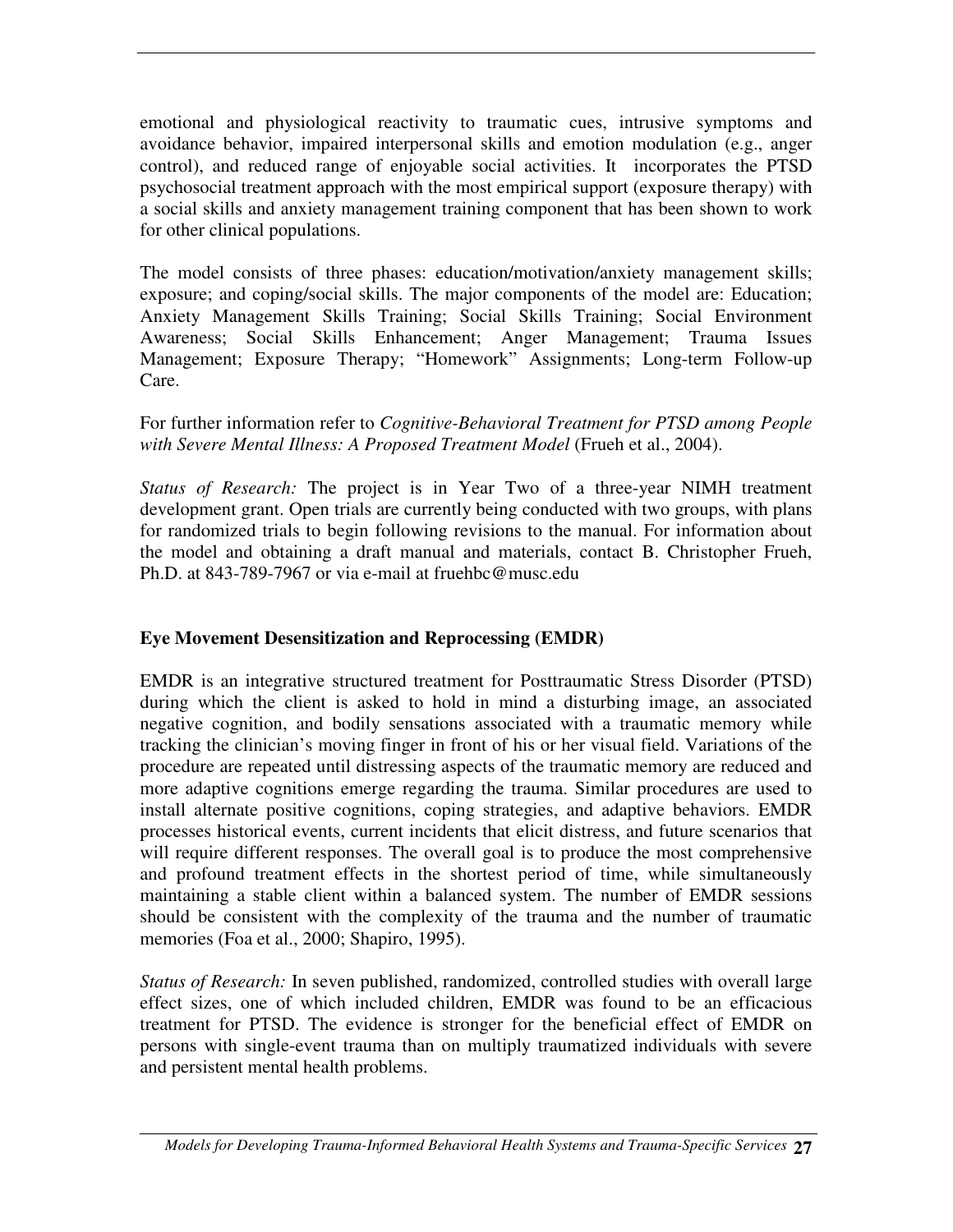emotional and physiological reactivity to traumatic cues, intrusive symptoms and avoidance behavior, impaired interpersonal skills and emotion modulation (e.g., anger control), and reduced range of enjoyable social activities. It incorporates the PTSD psychosocial treatment approach with the most empirical support (exposure therapy) with a social skills and anxiety management training component that has been shown to work for other clinical populations.

The model consists of three phases: education/motivation/anxiety management skills; exposure; and coping/social skills. The major components of the model are: Education; Anxiety Management Skills Training; Social Skills Training; Social Environment Awareness; Social Skills Enhancement; Anger Management; Trauma Issues Management; Exposure Therapy; "Homework" Assignments; Long-term Follow-up Care.

#### For further information refer to *Cognitive-Behavioral Treatment for PTSD among People with Severe Mental Illness: A Proposed Treatment Model* (Frueh et al., 2004).

*Status of Research:* The project is in Year Two of a three-year NIMH treatment development grant. Open trials are currently being conducted with two groups, with plans for randomized trials to begin following revisions to the manual. For information about the model and obtaining a draft manual and materials, contact B. Christopher Frueh, Ph.D. at 843-789-7967 or via e-mail at fruehbc@musc.edu

#### **Eye Movement Desensitization and Reprocessing (EMDR)**

EMDR is an integrative structured treatment for Posttraumatic Stress Disorder (PTSD) during which the client is asked to hold in mind a disturbing image, an associated negative cognition, and bodily sensations associated with a traumatic memory while tracking the clinician's moving finger in front of his or her visual field. Variations of the procedure are repeated until distressing aspects of the traumatic memory are reduced and more adaptive cognitions emerge regarding the trauma. Similar procedures are used to install alternate positive cognitions, coping strategies, and adaptive behaviors. EMDR processes historical events, current incidents that elicit distress, and future scenarios that will require different responses. The overall goal is to produce the most comprehensive and profound treatment effects in the shortest period of time, while simultaneously maintaining a stable client within a balanced system. The number of EMDR sessions should be consistent with the complexity of the trauma and the number of traumatic memories (Foa et al., 2000; Shapiro, 1995).

*Status of Research:* In seven published, randomized, controlled studies with overall large effect sizes, one of which included children, EMDR was found to be an efficacious treatment for PTSD. The evidence is stronger for the beneficial effect of EMDR on persons with single-event trauma than on multiply traumatized individuals with severe and persistent mental health problems.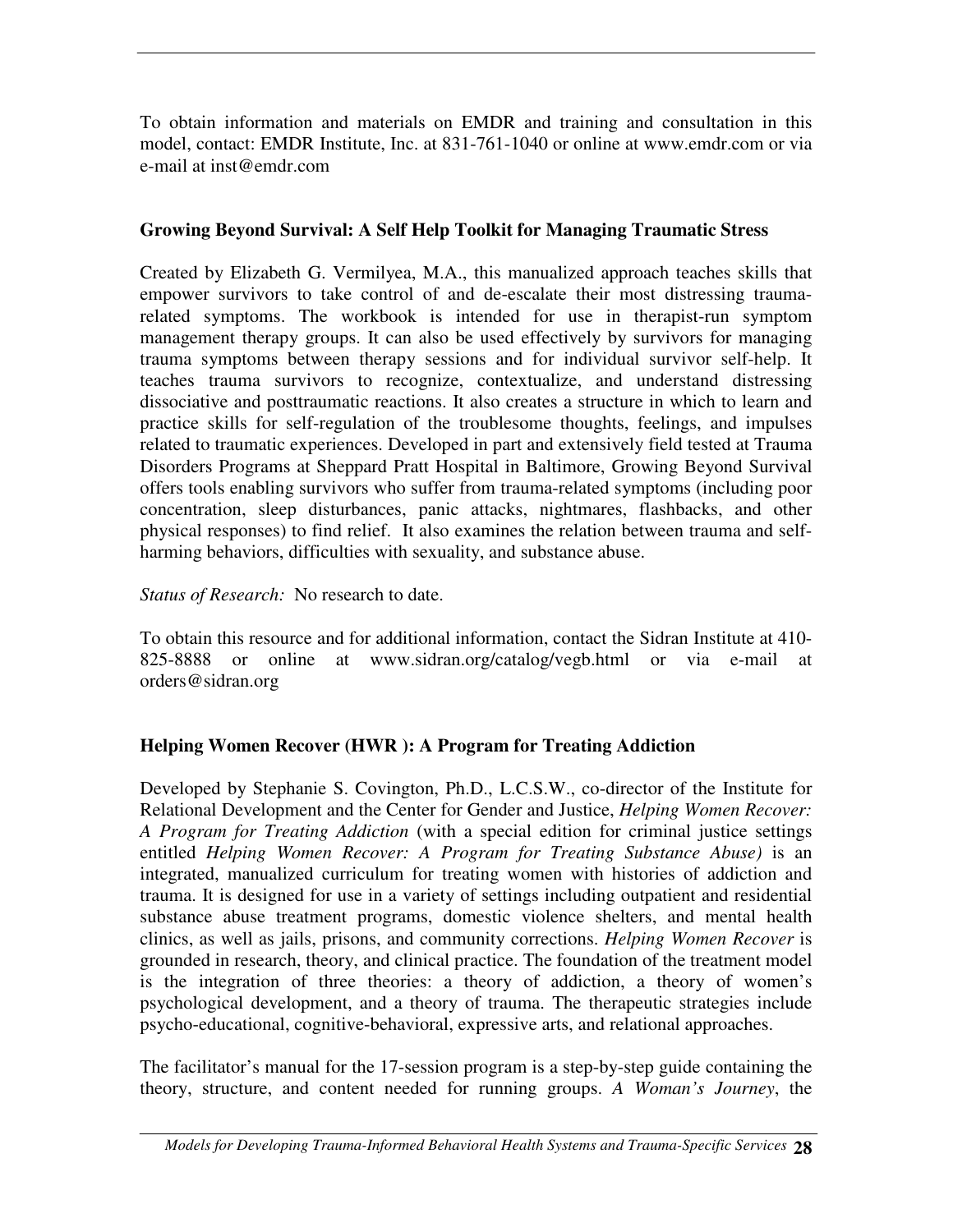To obtain information and materials on EMDR and training and consultation in this model, contact: EMDR Institute, Inc. at 831-761-1040 or online at www.emdr.com or via e-mail at inst@emdr.com

#### **Growing Beyond Survival: A Self Help Toolkit for Managing Traumatic Stress**

Created by Elizabeth G. Vermilyea, M.A., this manualized approach teaches skills that empower survivors to take control of and de-escalate their most distressing traumarelated symptoms. The workbook is intended for use in therapist-run symptom management therapy groups. It can also be used effectively by survivors for managing trauma symptoms between therapy sessions and for individual survivor self-help. It teaches trauma survivors to recognize, contextualize, and understand distressing dissociative and posttraumatic reactions. It also creates a structure in which to learn and practice skills for self-regulation of the troublesome thoughts, feelings, and impulses related to traumatic experiences. Developed in part and extensively field tested at Trauma Disorders Programs at Sheppard Pratt Hospital in Baltimore, Growing Beyond Survival offers tools enabling survivors who suffer from trauma-related symptoms (including poor concentration, sleep disturbances, panic attacks, nightmares, flashbacks, and other physical responses) to find relief. It also examines the relation between trauma and selfharming behaviors, difficulties with sexuality, and substance abuse.

#### *Status of Research:* No research to date.

To obtain this resource and for additional information, contact the Sidran Institute at 410- 825-8888 or online at www.sidran.org/catalog/vegb.html or via e-mail at orders@sidran.org

#### **Helping Women Recover (HWR ): A Program for Treating Addiction**

Developed by Stephanie S. Covington, Ph.D., L.C.S.W., co-director of the Institute for Relational Development and the Center for Gender and Justice, *Helping Women Recover: A Program for Treating Addiction* (with a special edition for criminal justice settings entitled *Helping Women Recover: A Program for Treating Substance Abuse)* is an integrated, manualized curriculum for treating women with histories of addiction and trauma. It is designed for use in a variety of settings including outpatient and residential substance abuse treatment programs, domestic violence shelters, and mental health clinics, as well as jails, prisons, and community corrections. *Helping Women Recover* is grounded in research, theory, and clinical practice. The foundation of the treatment model is the integration of three theories: a theory of addiction, a theory of women's psychological development, and a theory of trauma. The therapeutic strategies include psycho-educational, cognitive-behavioral, expressive arts, and relational approaches.

The facilitator's manual for the 17-session program is a step-by-step guide containing the theory, structure, and content needed for running groups. *A Woman's Journey*, the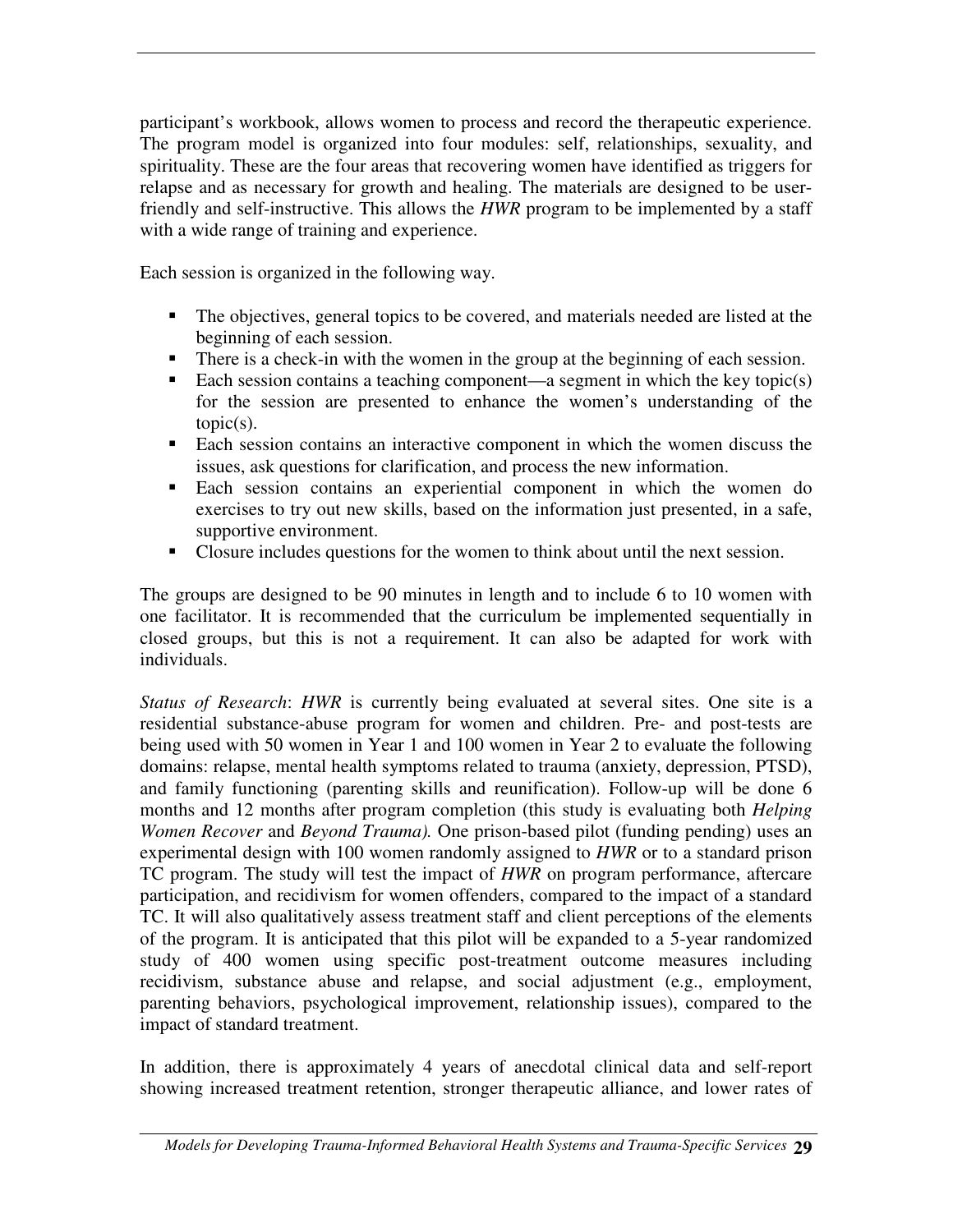participant's workbook, allows women to process and record the therapeutic experience. The program model is organized into four modules: self, relationships, sexuality, and spirituality. These are the four areas that recovering women have identified as triggers for relapse and as necessary for growth and healing. The materials are designed to be userfriendly and self-instructive. This allows the *HWR* program to be implemented by a staff with a wide range of training and experience.

Each session is organized in the following way.

- The objectives, general topics to be covered, and materials needed are listed at the beginning of each session.
- There is a check-in with the women in the group at the beginning of each session.
- Each session contains a teaching component—a segment in which the key topic(s) for the session are presented to enhance the women's understanding of the topic(s).
- Each session contains an interactive component in which the women discuss the issues, ask questions for clarification, and process the new information.
- Each session contains an experiential component in which the women do exercises to try out new skills, based on the information just presented, in a safe, supportive environment.
- Closure includes questions for the women to think about until the next session.

The groups are designed to be 90 minutes in length and to include 6 to 10 women with one facilitator. It is recommended that the curriculum be implemented sequentially in closed groups, but this is not a requirement. It can also be adapted for work with individuals.

*Status of Research*: *HWR* is currently being evaluated at several sites. One site is a residential substance-abuse program for women and children. Pre- and post-tests are being used with 50 women in Year 1 and 100 women in Year 2 to evaluate the following domains: relapse, mental health symptoms related to trauma (anxiety, depression, PTSD), and family functioning (parenting skills and reunification). Follow-up will be done 6 months and 12 months after program completion (this study is evaluating both *Helping Women Recover* and *Beyond Trauma).* One prison-based pilot (funding pending) uses an experimental design with 100 women randomly assigned to *HWR* or to a standard prison TC program. The study will test the impact of *HWR* on program performance, aftercare participation, and recidivism for women offenders, compared to the impact of a standard TC. It will also qualitatively assess treatment staff and client perceptions of the elements of the program. It is anticipated that this pilot will be expanded to a 5-year randomized study of 400 women using specific post-treatment outcome measures including recidivism, substance abuse and relapse, and social adjustment (e.g., employment, parenting behaviors, psychological improvement, relationship issues), compared to the impact of standard treatment.

In addition, there is approximately 4 years of anecdotal clinical data and self-report showing increased treatment retention, stronger therapeutic alliance, and lower rates of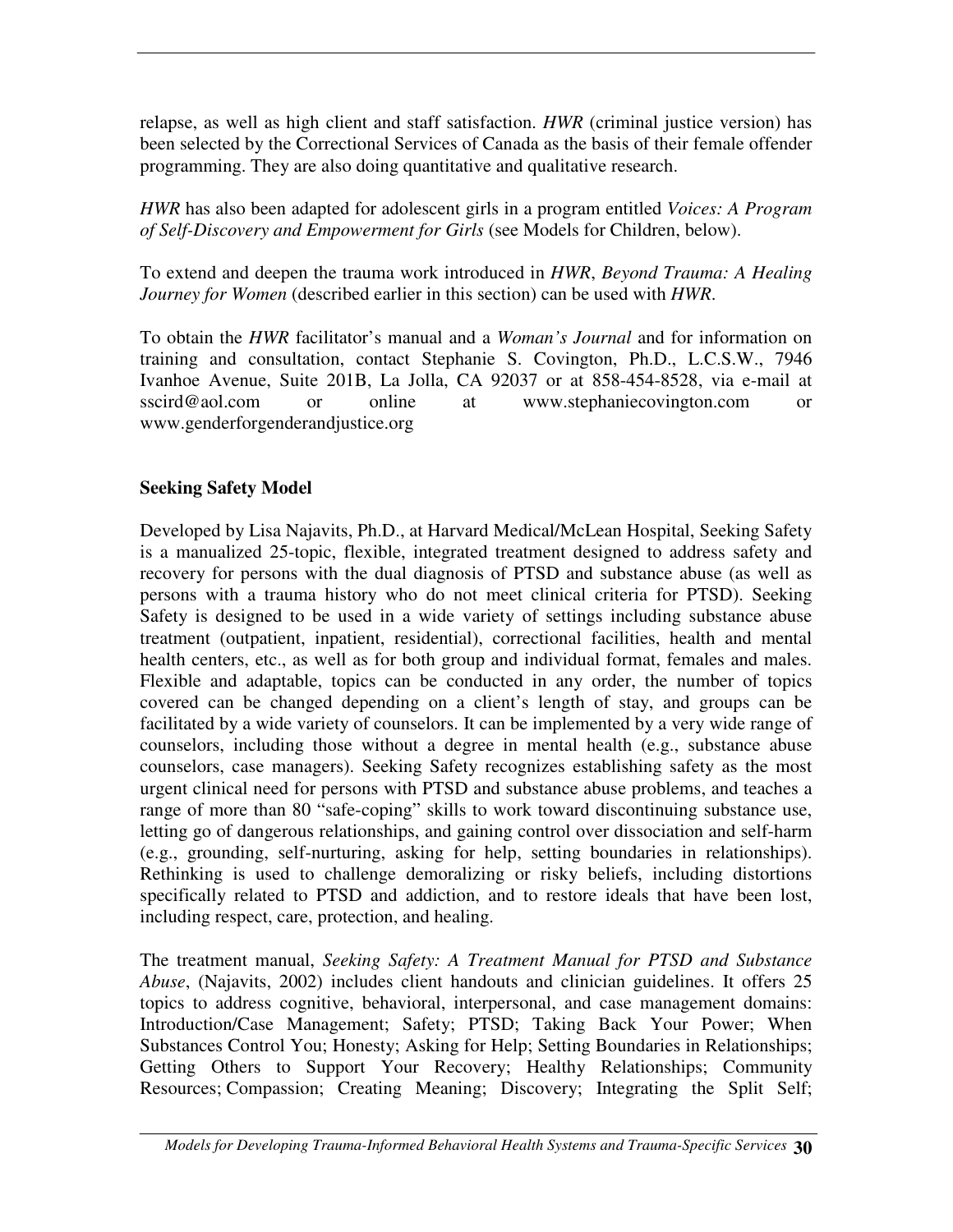relapse, as well as high client and staff satisfaction. *HWR* (criminal justice version) has been selected by the Correctional Services of Canada as the basis of their female offender programming. They are also doing quantitative and qualitative research.

*HWR* has also been adapted for adolescent girls in a program entitled *Voices: A Program of Self-Discovery and Empowerment for Girls* (see Models for Children, below).

To extend and deepen the trauma work introduced in *HWR*, *Beyond Trauma: A Healing Journey for Women* (described earlier in this section) can be used with *HWR*.

To obtain the *HWR* facilitator's manual and a *Woman's Journal* and for information on training and consultation, contact Stephanie S. Covington, Ph.D., L.C.S.W., 7946 Ivanhoe Avenue, Suite 201B, La Jolla, CA 92037 or at 858-454-8528, via e-mail at sscird@aol.com or online at www.stephaniecovington.com or www.genderforgenderandjustice.org

#### **Seeking Safety Model**

Developed by Lisa Najavits, Ph.D., at Harvard Medical/McLean Hospital, Seeking Safety is a manualized 25-topic, flexible, integrated treatment designed to address safety and recovery for persons with the dual diagnosis of PTSD and substance abuse (as well as persons with a trauma history who do not meet clinical criteria for PTSD). Seeking Safety is designed to be used in a wide variety of settings including substance abuse treatment (outpatient, inpatient, residential), correctional facilities, health and mental health centers, etc., as well as for both group and individual format, females and males. Flexible and adaptable, topics can be conducted in any order, the number of topics covered can be changed depending on a client's length of stay, and groups can be facilitated by a wide variety of counselors. It can be implemented by a very wide range of counselors, including those without a degree in mental health (e.g., substance abuse counselors, case managers). Seeking Safety recognizes establishing safety as the most urgent clinical need for persons with PTSD and substance abuse problems, and teaches a range of more than 80 "safe-coping" skills to work toward discontinuing substance use, letting go of dangerous relationships, and gaining control over dissociation and self-harm (e.g., grounding, self-nurturing, asking for help, setting boundaries in relationships). Rethinking is used to challenge demoralizing or risky beliefs, including distortions specifically related to PTSD and addiction, and to restore ideals that have been lost, including respect, care, protection, and healing.

The treatment manual, *Seeking Safety: A Treatment Manual for PTSD and Substance Abuse*, (Najavits, 2002) includes client handouts and clinician guidelines. It offers 25 topics to address cognitive, behavioral, interpersonal, and case management domains: Introduction/Case Management; Safety; PTSD; Taking Back Your Power; When Substances Control You; Honesty; Asking for Help; Setting Boundaries in Relationships; Getting Others to Support Your Recovery; Healthy Relationships; Community Resources; Compassion; Creating Meaning; Discovery; Integrating the Split Self;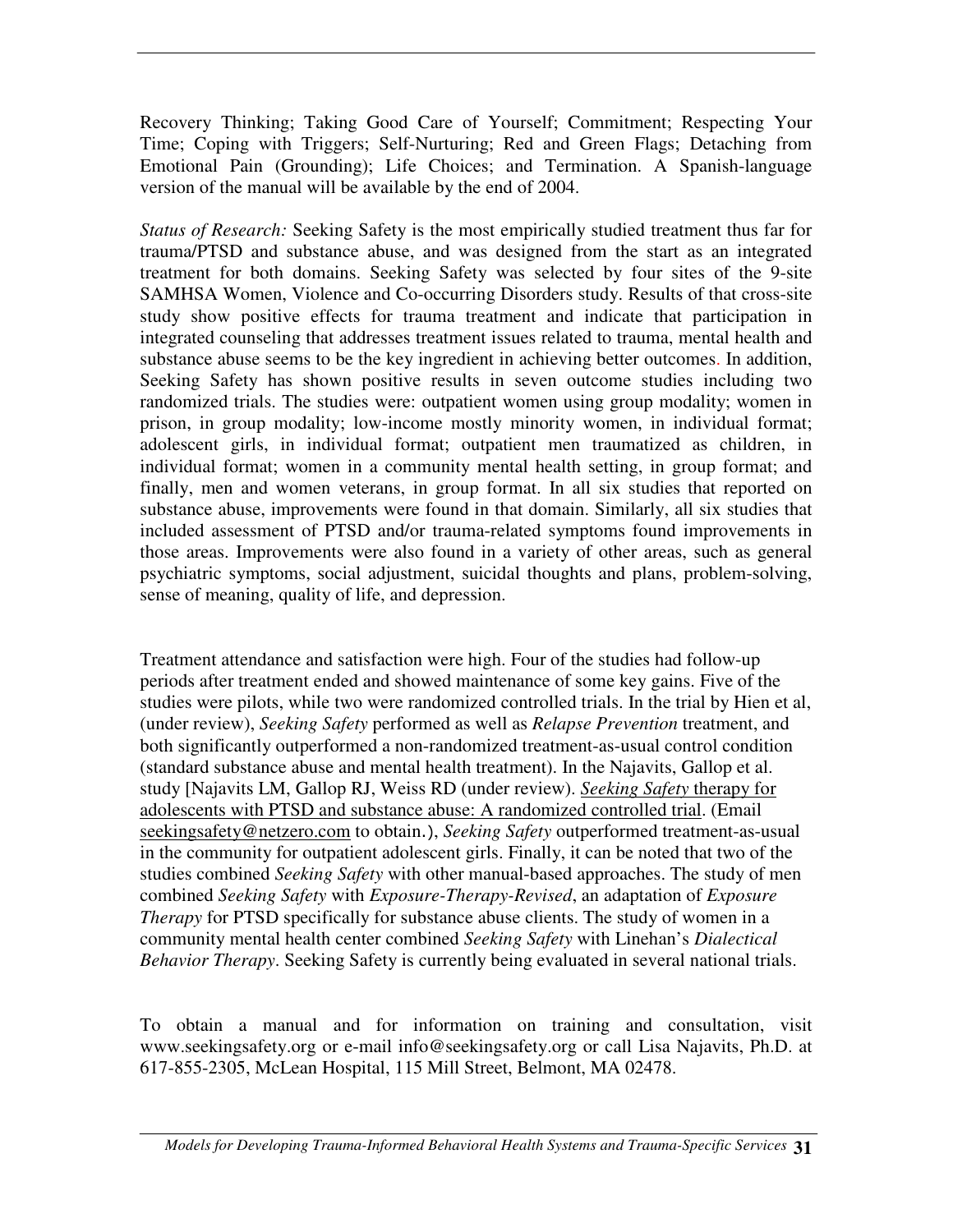Recovery Thinking; Taking Good Care of Yourself; Commitment; Respecting Your Time; Coping with Triggers; Self-Nurturing; Red and Green Flags; Detaching from Emotional Pain (Grounding); Life Choices; and Termination. A Spanish-language version of the manual will be available by the end of 2004.

*Status of Research:* Seeking Safety is the most empirically studied treatment thus far for trauma/PTSD and substance abuse, and was designed from the start as an integrated treatment for both domains. Seeking Safety was selected by four sites of the 9-site SAMHSA Women, Violence and Co-occurring Disorders study. Results of that cross-site study show positive effects for trauma treatment and indicate that participation in integrated counseling that addresses treatment issues related to trauma, mental health and substance abuse seems to be the key ingredient in achieving better outcomes. In addition, Seeking Safety has shown positive results in seven outcome studies including two randomized trials. The studies were: outpatient women using group modality; women in prison, in group modality; low-income mostly minority women, in individual format; adolescent girls, in individual format; outpatient men traumatized as children, in individual format; women in a community mental health setting, in group format; and finally, men and women veterans, in group format. In all six studies that reported on substance abuse, improvements were found in that domain. Similarly, all six studies that included assessment of PTSD and/or trauma-related symptoms found improvements in those areas. Improvements were also found in a variety of other areas, such as general psychiatric symptoms, social adjustment, suicidal thoughts and plans, problem-solving, sense of meaning, quality of life, and depression.

Treatment attendance and satisfaction were high. Four of the studies had follow-up periods after treatment ended and showed maintenance of some key gains. Five of the studies were pilots, while two were randomized controlled trials. In the trial by Hien et al, (under review), *Seeking Safety* performed as well as *Relapse Prevention* treatment, and both significantly outperformed a non-randomized treatment-as-usual control condition (standard substance abuse and mental health treatment). In the Najavits, Gallop et al. study [Najavits LM, Gallop RJ, Weiss RD (under review). *Seeking Safety* therapy for adolescents with PTSD and substance abuse: A randomized controlled trial. (Email seekingsafety@netzero.com to obtain.), Seeking Safety outperformed treatment-as-usual in the community for outpatient adolescent girls. Finally, it can be noted that two of the studies combined *Seeking Safety* with other manual-based approaches. The study of men combined *Seeking Safety* with *Exposure-Therapy-Revised*, an adaptation of *Exposure Therapy* for PTSD specifically for substance abuse clients. The study of women in a community mental health center combined *Seeking Safety* with Linehan's *Dialectical Behavior Therapy*. Seeking Safety is currently being evaluated in several national trials.

To obtain a manual and for information on training and consultation, visit www.seekingsafety.org or e-mail info@seekingsafety.org or call Lisa Najavits, Ph.D. at 617-855-2305, McLean Hospital, 115 Mill Street, Belmont, MA 02478.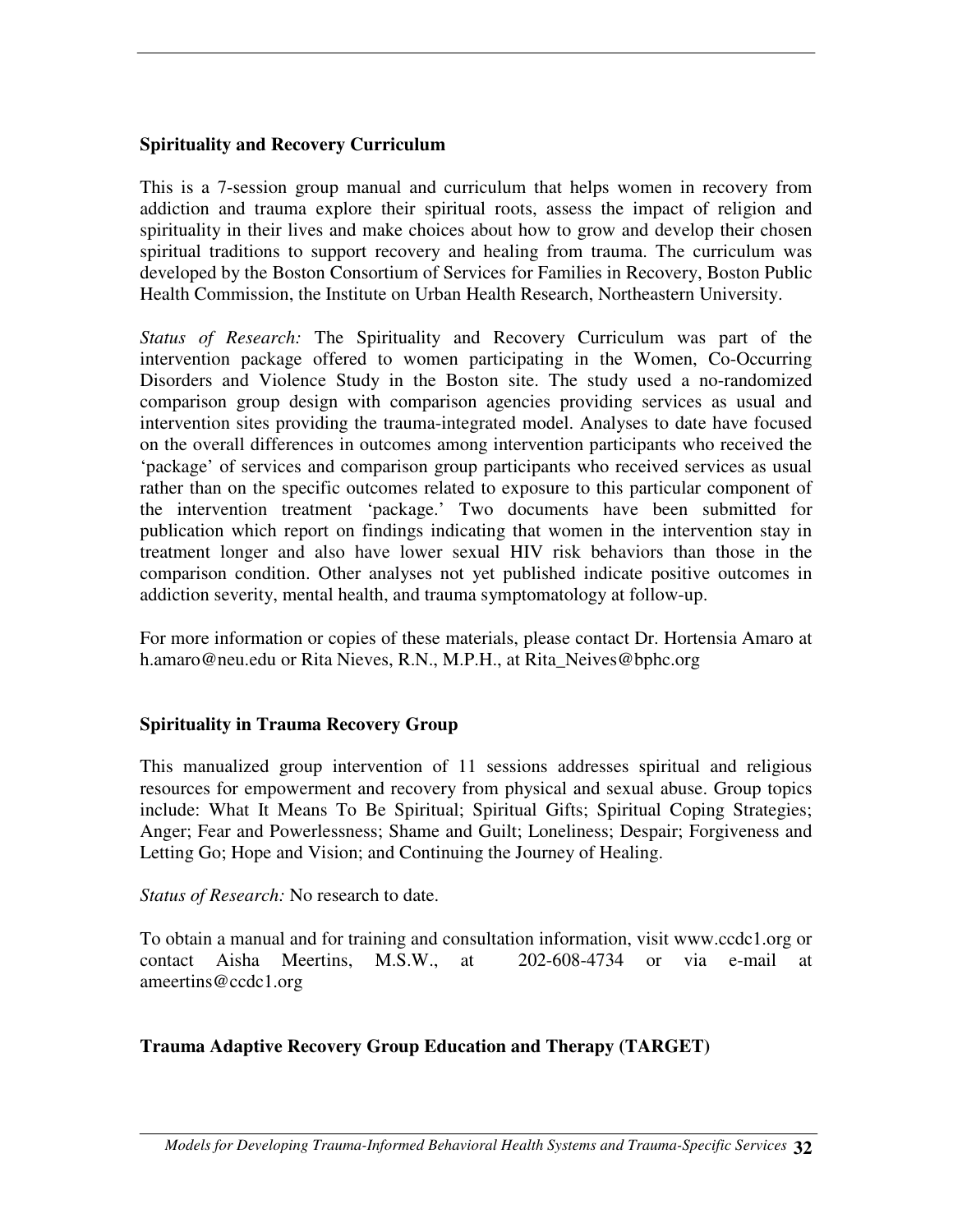#### **Spirituality and Recovery Curriculum**

This is a 7-session group manual and curriculum that helps women in recovery from addiction and trauma explore their spiritual roots, assess the impact of religion and spirituality in their lives and make choices about how to grow and develop their chosen spiritual traditions to support recovery and healing from trauma. The curriculum was developed by the Boston Consortium of Services for Families in Recovery, Boston Public Health Commission, the Institute on Urban Health Research, Northeastern University.

*Status of Research:* The Spirituality and Recovery Curriculum was part of the intervention package offered to women participating in the Women, Co-Occurring Disorders and Violence Study in the Boston site. The study used a no-randomized comparison group design with comparison agencies providing services as usual and intervention sites providing the trauma-integrated model. Analyses to date have focused on the overall differences in outcomes among intervention participants who received the 'package' of services and comparison group participants who received services as usual rather than on the specific outcomes related to exposure to this particular component of the intervention treatment 'package.' Two documents have been submitted for publication which report on findings indicating that women in the intervention stay in treatment longer and also have lower sexual HIV risk behaviors than those in the comparison condition. Other analyses not yet published indicate positive outcomes in addiction severity, mental health, and trauma symptomatology at follow-up.

For more information or copies of these materials, please contact Dr. Hortensia Amaro at h.amaro@neu.edu or Rita Nieves, R.N., M.P.H., at Rita\_Neives@bphc.org

#### **Spirituality in Trauma Recovery Group**

This manualized group intervention of 11 sessions addresses spiritual and religious resources for empowerment and recovery from physical and sexual abuse. Group topics include: What It Means To Be Spiritual; Spiritual Gifts; Spiritual Coping Strategies; Anger; Fear and Powerlessness; Shame and Guilt; Loneliness; Despair; Forgiveness and Letting Go; Hope and Vision; and Continuing the Journey of Healing.

*Status of Research:* No research to date.

To obtain a manual and for training and consultation information, visit www.ccdc1.org or contact Aisha Meertins, M.S.W., at 202-608-4734 or via e-mail at ameertins@ccdc1.org

#### **Trauma Adaptive Recovery Group Education and Therapy (TARGET)**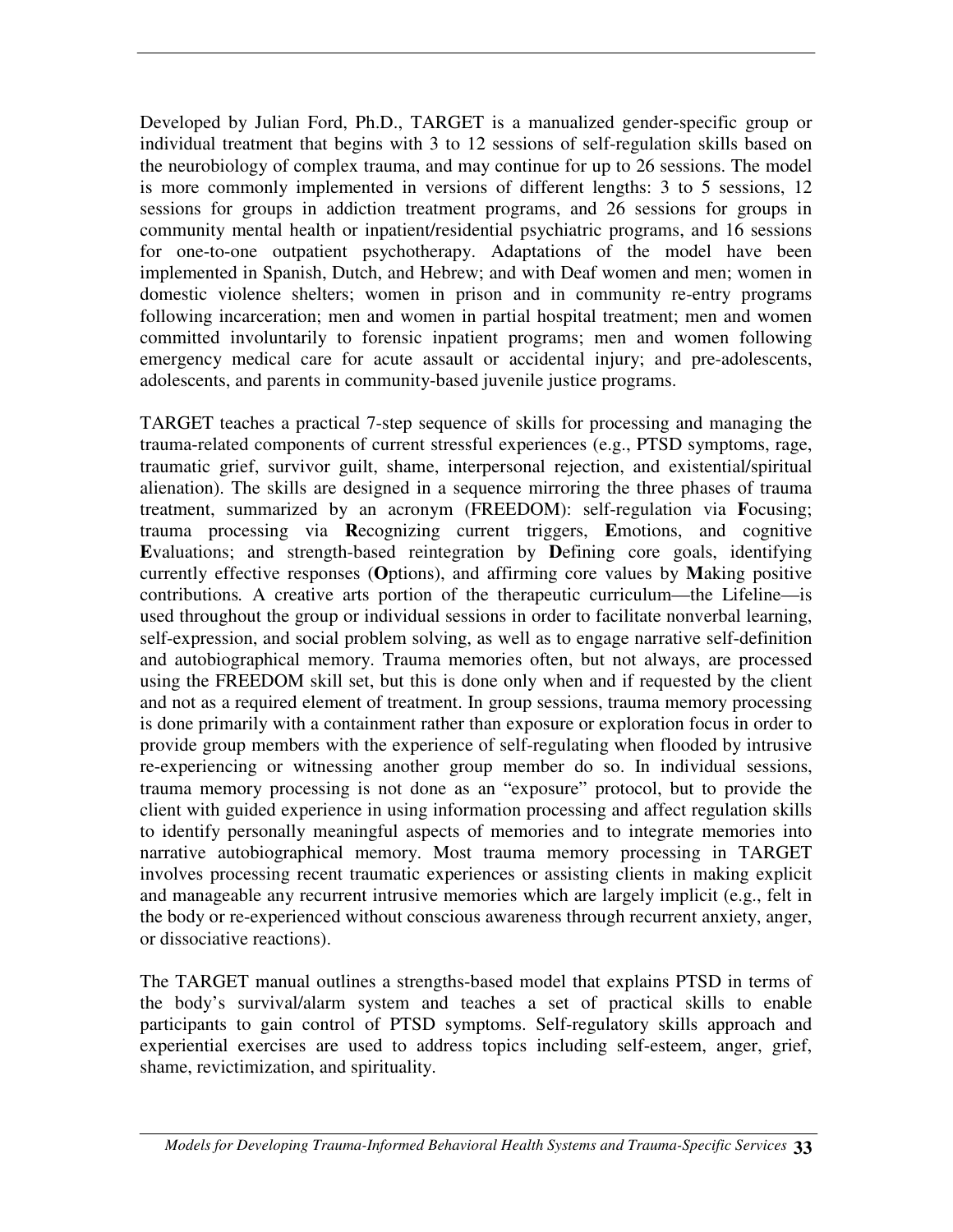Developed by Julian Ford, Ph.D., TARGET is a manualized gender-specific group or individual treatment that begins with 3 to 12 sessions of self-regulation skills based on the neurobiology of complex trauma, and may continue for up to 26 sessions. The model is more commonly implemented in versions of different lengths: 3 to 5 sessions, 12 sessions for groups in addiction treatment programs, and 26 sessions for groups in community mental health or inpatient/residential psychiatric programs, and 16 sessions for one-to-one outpatient psychotherapy. Adaptations of the model have been implemented in Spanish, Dutch, and Hebrew; and with Deaf women and men; women in domestic violence shelters; women in prison and in community re-entry programs following incarceration; men and women in partial hospital treatment; men and women committed involuntarily to forensic inpatient programs; men and women following emergency medical care for acute assault or accidental injury; and pre-adolescents, adolescents, and parents in community-based juvenile justice programs.

TARGET teaches a practical 7-step sequence of skills for processing and managing the trauma-related components of current stressful experiences (e.g., PTSD symptoms, rage, traumatic grief, survivor guilt, shame, interpersonal rejection, and existential/spiritual alienation). The skills are designed in a sequence mirroring the three phases of trauma treatment, summarized by an acronym (FREEDOM): self-regulation via **F**ocusing; trauma processing via **R**ecognizing current triggers, **E**motions, and cognitive **E**valuations; and strength-based reintegration by **D**efining core goals, identifying currently effective responses (**O**ptions), and affirming core values by **M**aking positive contributions*.* A creative arts portion of the therapeutic curriculum—the Lifeline—is used throughout the group or individual sessions in order to facilitate nonverbal learning, self-expression, and social problem solving, as well as to engage narrative self-definition and autobiographical memory. Trauma memories often, but not always, are processed using the FREEDOM skill set, but this is done only when and if requested by the client and not as a required element of treatment. In group sessions, trauma memory processing is done primarily with a containment rather than exposure or exploration focus in order to provide group members with the experience of self-regulating when flooded by intrusive re-experiencing or witnessing another group member do so. In individual sessions, trauma memory processing is not done as an "exposure" protocol, but to provide the client with guided experience in using information processing and affect regulation skills to identify personally meaningful aspects of memories and to integrate memories into narrative autobiographical memory. Most trauma memory processing in TARGET involves processing recent traumatic experiences or assisting clients in making explicit and manageable any recurrent intrusive memories which are largely implicit (e.g., felt in the body or re-experienced without conscious awareness through recurrent anxiety, anger, or dissociative reactions).

The TARGET manual outlines a strengths-based model that explains PTSD in terms of the body's survival/alarm system and teaches a set of practical skills to enable participants to gain control of PTSD symptoms. Self-regulatory skills approach and experiential exercises are used to address topics including self-esteem, anger, grief, shame, revictimization, and spirituality.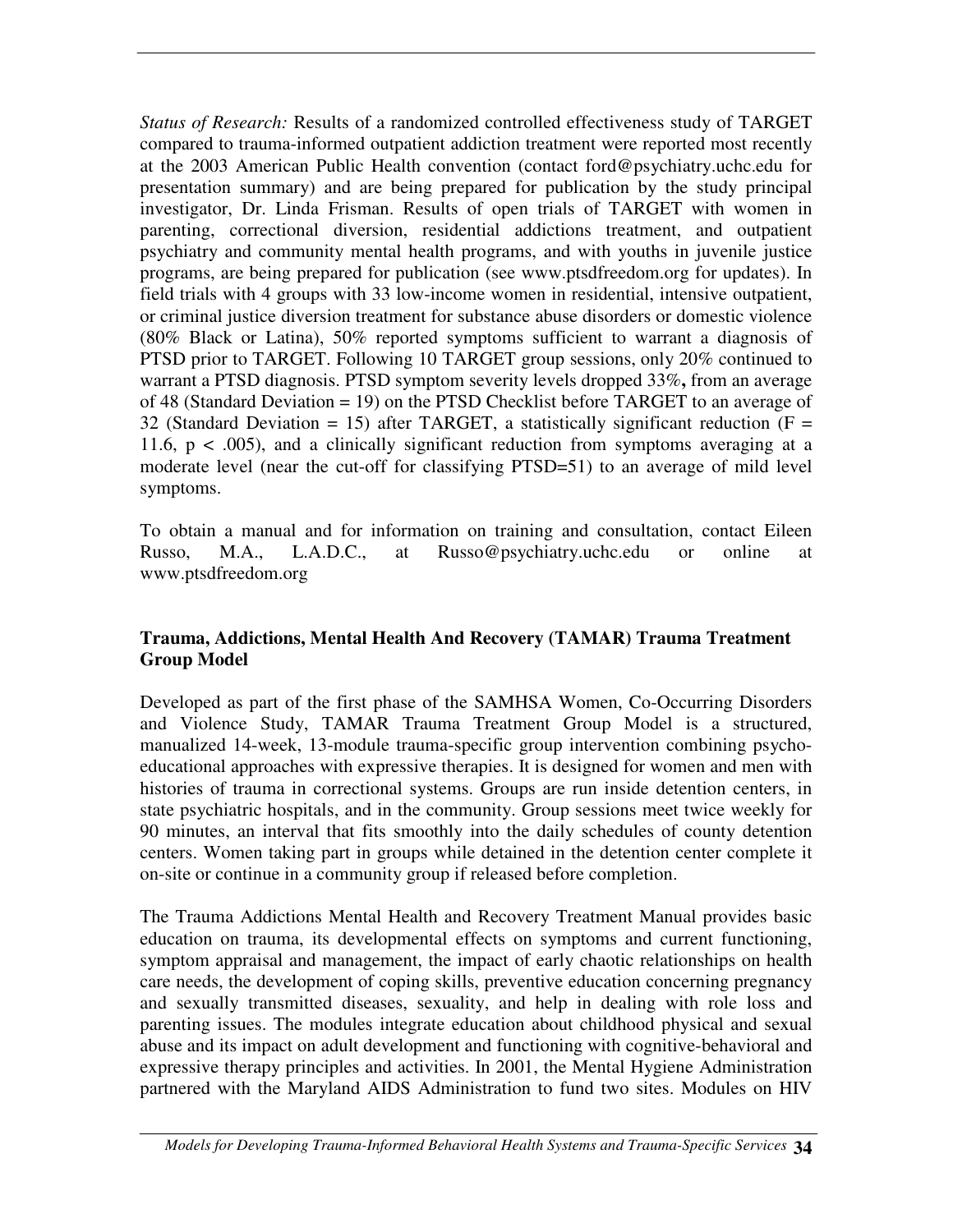*Status of Research:* Results of a randomized controlled effectiveness study of TARGET compared to trauma-informed outpatient addiction treatment were reported most recently at the 2003 American Public Health convention (contact ford@psychiatry.uchc.edu for presentation summary) and are being prepared for publication by the study principal investigator, Dr. Linda Frisman. Results of open trials of TARGET with women in parenting, correctional diversion, residential addictions treatment, and outpatient psychiatry and community mental health programs, and with youths in juvenile justice programs, are being prepared for publication (see www.ptsdfreedom.org for updates). In field trials with 4 groups with 33 low-income women in residential, intensive outpatient, or criminal justice diversion treatment for substance abuse disorders or domestic violence (80% Black or Latina), 50% reported symptoms sufficient to warrant a diagnosis of PTSD prior to TARGET. Following 10 TARGET group sessions, only 20% continued to warrant a PTSD diagnosis. PTSD symptom severity levels dropped 33%**,** from an average of 48 (Standard Deviation = 19) on the PTSD Checklist before TARGET to an average of 32 (Standard Deviation = 15) after TARGET, a statistically significant reduction ( $F =$ 11.6,  $p < .005$ ), and a clinically significant reduction from symptoms averaging at a moderate level (near the cut-off for classifying PTSD=51) to an average of mild level symptoms.

To obtain a manual and for information on training and consultation, contact Eileen Russo, M.A., L.A.D.C., at Russo@psychiatry.uchc.edu or online at www.ptsdfreedom.org

#### **Trauma, Addictions, Mental Health And Recovery (TAMAR) Trauma Treatment Group Model**

Developed as part of the first phase of the SAMHSA Women, Co-Occurring Disorders and Violence Study, TAMAR Trauma Treatment Group Model is a structured, manualized 14-week, 13-module trauma-specific group intervention combining psychoeducational approaches with expressive therapies. It is designed for women and men with histories of trauma in correctional systems. Groups are run inside detention centers, in state psychiatric hospitals, and in the community. Group sessions meet twice weekly for 90 minutes, an interval that fits smoothly into the daily schedules of county detention centers. Women taking part in groups while detained in the detention center complete it on-site or continue in a community group if released before completion.

The Trauma Addictions Mental Health and Recovery Treatment Manual provides basic education on trauma, its developmental effects on symptoms and current functioning, symptom appraisal and management, the impact of early chaotic relationships on health care needs, the development of coping skills, preventive education concerning pregnancy and sexually transmitted diseases, sexuality, and help in dealing with role loss and parenting issues. The modules integrate education about childhood physical and sexual abuse and its impact on adult development and functioning with cognitive-behavioral and expressive therapy principles and activities. In 2001, the Mental Hygiene Administration partnered with the Maryland AIDS Administration to fund two sites. Modules on HIV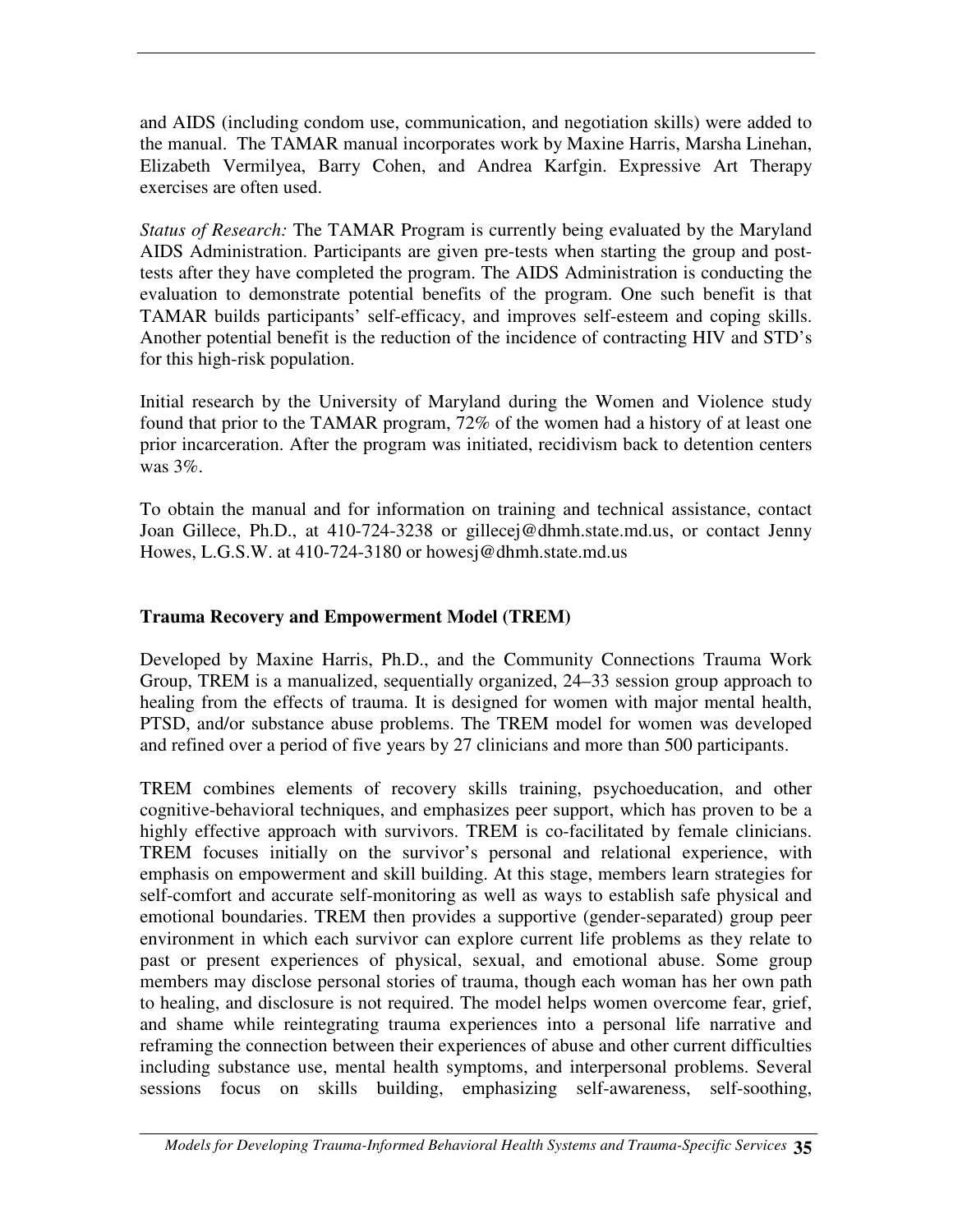and AIDS (including condom use, communication, and negotiation skills) were added to the manual. The TAMAR manual incorporates work by Maxine Harris, Marsha Linehan, Elizabeth Vermilyea, Barry Cohen, and Andrea Karfgin. Expressive Art Therapy exercises are often used.

*Status of Research:* The TAMAR Program is currently being evaluated by the Maryland AIDS Administration. Participants are given pre-tests when starting the group and posttests after they have completed the program. The AIDS Administration is conducting the evaluation to demonstrate potential benefits of the program. One such benefit is that TAMAR builds participants' self-efficacy, and improves self-esteem and coping skills. Another potential benefit is the reduction of the incidence of contracting HIV and STD's for this high-risk population.

Initial research by the University of Maryland during the Women and Violence study found that prior to the TAMAR program, 72% of the women had a history of at least one prior incarceration. After the program was initiated, recidivism back to detention centers was 3%.

To obtain the manual and for information on training and technical assistance, contact Joan Gillece, Ph.D., at 410-724-3238 or gillecej@dhmh.state.md.us, or contact Jenny Howes, L.G.S.W. at 410-724-3180 or howesj@dhmh.state.md.us

#### **Trauma Recovery and Empowerment Model (TREM)**

Developed by Maxine Harris, Ph.D., and the Community Connections Trauma Work Group, TREM is a manualized, sequentially organized, 24–33 session group approach to healing from the effects of trauma. It is designed for women with major mental health, PTSD, and/or substance abuse problems. The TREM model for women was developed and refined over a period of five years by 27 clinicians and more than 500 participants.

TREM combines elements of recovery skills training, psychoeducation, and other cognitive-behavioral techniques, and emphasizes peer support, which has proven to be a highly effective approach with survivors. TREM is co-facilitated by female clinicians. TREM focuses initially on the survivor's personal and relational experience, with emphasis on empowerment and skill building. At this stage, members learn strategies for self-comfort and accurate self-monitoring as well as ways to establish safe physical and emotional boundaries. TREM then provides a supportive (gender-separated) group peer environment in which each survivor can explore current life problems as they relate to past or present experiences of physical, sexual, and emotional abuse. Some group members may disclose personal stories of trauma, though each woman has her own path to healing, and disclosure is not required. The model helps women overcome fear, grief, and shame while reintegrating trauma experiences into a personal life narrative and reframing the connection between their experiences of abuse and other current difficulties including substance use, mental health symptoms, and interpersonal problems. Several sessions focus on skills building, emphasizing self-awareness, self-soothing,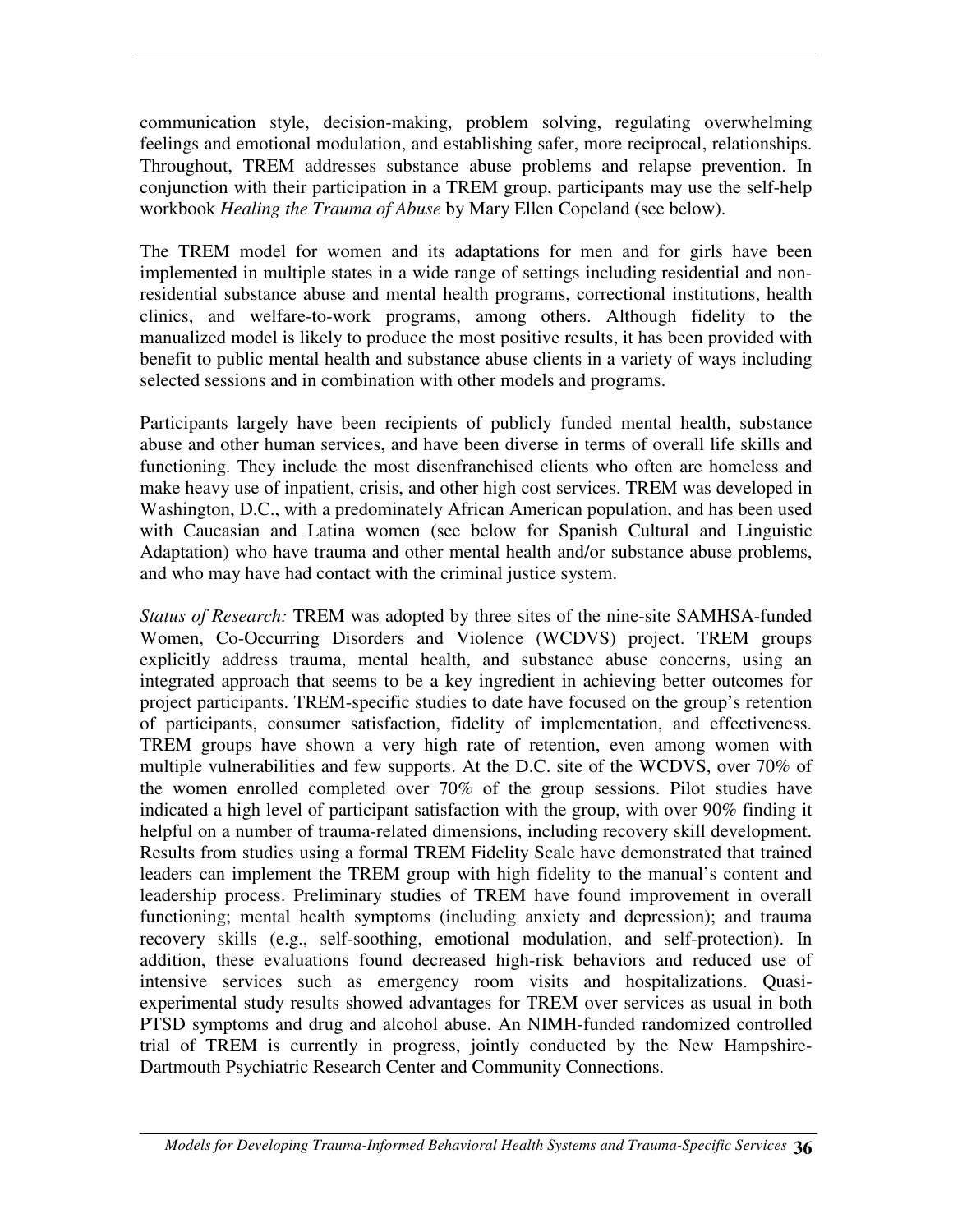communication style, decision-making, problem solving, regulating overwhelming feelings and emotional modulation, and establishing safer, more reciprocal, relationships. Throughout, TREM addresses substance abuse problems and relapse prevention. In conjunction with their participation in a TREM group, participants may use the self-help workbook *Healing the Trauma of Abuse* by Mary Ellen Copeland (see below).

The TREM model for women and its adaptations for men and for girls have been implemented in multiple states in a wide range of settings including residential and nonresidential substance abuse and mental health programs, correctional institutions, health clinics, and welfare-to-work programs, among others. Although fidelity to the manualized model is likely to produce the most positive results, it has been provided with benefit to public mental health and substance abuse clients in a variety of ways including selected sessions and in combination with other models and programs.

Participants largely have been recipients of publicly funded mental health, substance abuse and other human services, and have been diverse in terms of overall life skills and functioning. They include the most disenfranchised clients who often are homeless and make heavy use of inpatient, crisis, and other high cost services. TREM was developed in Washington, D.C., with a predominately African American population, and has been used with Caucasian and Latina women (see below for Spanish Cultural and Linguistic Adaptation) who have trauma and other mental health and/or substance abuse problems, and who may have had contact with the criminal justice system.

*Status of Research:* TREM was adopted by three sites of the nine-site SAMHSA-funded Women, Co-Occurring Disorders and Violence (WCDVS) project. TREM groups explicitly address trauma, mental health, and substance abuse concerns, using an integrated approach that seems to be a key ingredient in achieving better outcomes for project participants. TREM-specific studies to date have focused on the group's retention of participants, consumer satisfaction, fidelity of implementation, and effectiveness. TREM groups have shown a very high rate of retention, even among women with multiple vulnerabilities and few supports. At the D.C. site of the WCDVS, over 70% of the women enrolled completed over 70% of the group sessions. Pilot studies have indicated a high level of participant satisfaction with the group, with over 90% finding it helpful on a number of trauma-related dimensions, including recovery skill development. Results from studies using a formal TREM Fidelity Scale have demonstrated that trained leaders can implement the TREM group with high fidelity to the manual's content and leadership process. Preliminary studies of TREM have found improvement in overall functioning; mental health symptoms (including anxiety and depression); and trauma recovery skills (e.g., self-soothing, emotional modulation, and self-protection). In addition, these evaluations found decreased high-risk behaviors and reduced use of intensive services such as emergency room visits and hospitalizations. Quasiexperimental study results showed advantages for TREM over services as usual in both PTSD symptoms and drug and alcohol abuse. An NIMH-funded randomized controlled trial of TREM is currently in progress, jointly conducted by the New Hampshire-Dartmouth Psychiatric Research Center and Community Connections.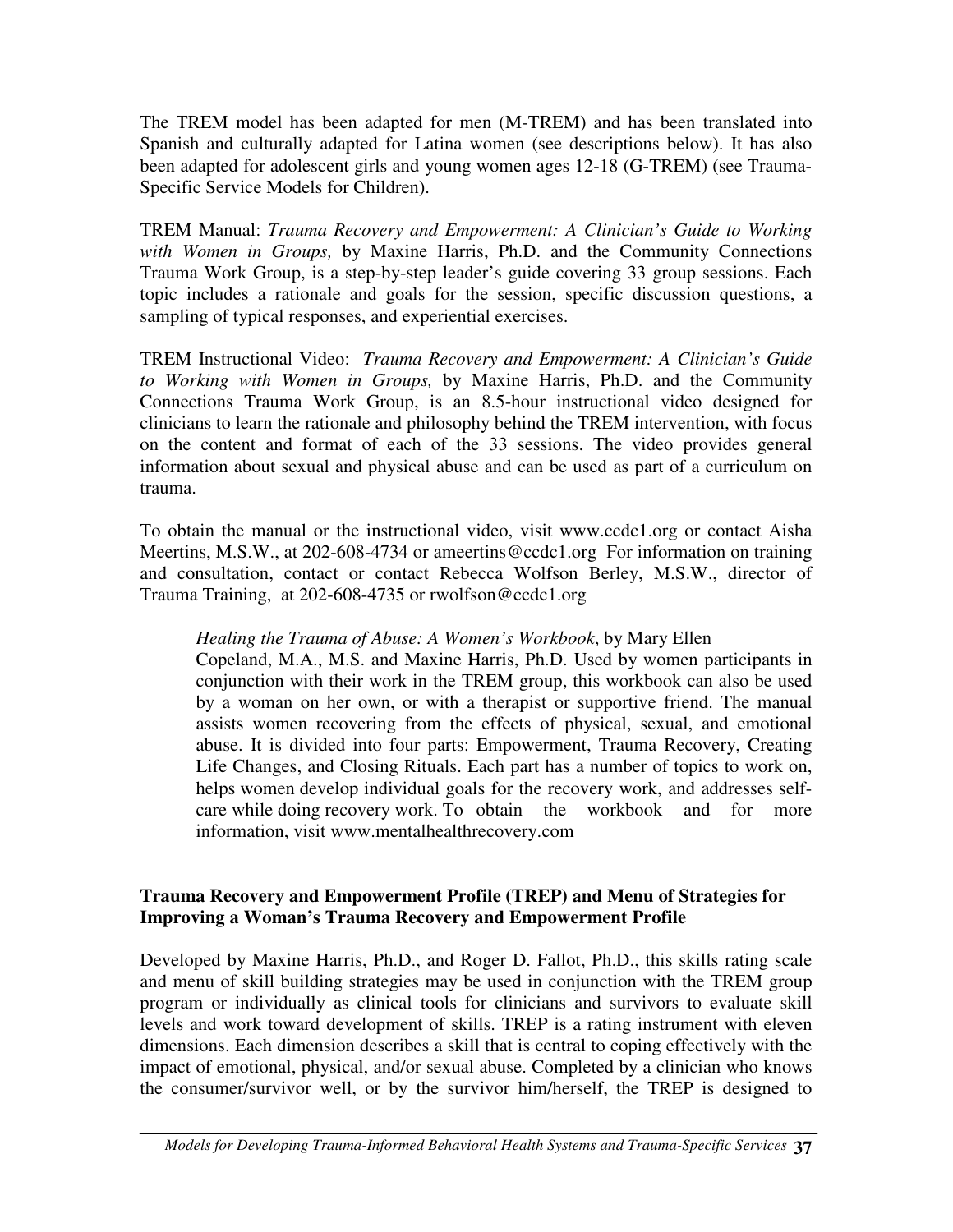The TREM model has been adapted for men (M-TREM) and has been translated into Spanish and culturally adapted for Latina women (see descriptions below). It has also been adapted for adolescent girls and young women ages 12-18 (G-TREM) (see Trauma-Specific Service Models for Children).

TREM Manual: *Trauma Recovery and Empowerment: A Clinician's Guide to Working with Women in Groups,* by Maxine Harris, Ph.D. and the Community Connections Trauma Work Group, is a step-by-step leader's guide covering 33 group sessions. Each topic includes a rationale and goals for the session, specific discussion questions, a sampling of typical responses, and experiential exercises.

TREM Instructional Video: *Trauma Recovery and Empowerment: A Clinician's Guide to Working with Women in Groups,* by Maxine Harris, Ph.D. and the Community Connections Trauma Work Group, is an 8.5-hour instructional video designed for clinicians to learn the rationale and philosophy behind the TREM intervention, with focus on the content and format of each of the 33 sessions. The video provides general information about sexual and physical abuse and can be used as part of a curriculum on trauma.

To obtain the manual or the instructional video, visit www.ccdc1.org or contact Aisha Meertins, M.S.W., at 202-608-4734 or ameertins@ccdc1.org For information on training and consultation, contact or contact Rebecca Wolfson Berley, M.S.W., director of Trauma Training, at 202-608-4735 or rwolfson@ccdc1.org

#### *Healing the Trauma of Abuse: A Women's Workbook*, by Mary Ellen

Copeland, M.A., M.S. and Maxine Harris, Ph.D. Used by women participants in conjunction with their work in the TREM group, this workbook can also be used by a woman on her own, or with a therapist or supportive friend. The manual assists women recovering from the effects of physical, sexual, and emotional abuse. It is divided into four parts: Empowerment, Trauma Recovery, Creating Life Changes, and Closing Rituals. Each part has a number of topics to work on, helps women develop individual goals for the recovery work, and addresses selfcare while doing recovery work. To obtain the workbook and for more information, visit www.mentalhealthrecovery.com

#### **Trauma Recovery and Empowerment Profile (TREP) and Menu of Strategies for Improving a Woman's Trauma Recovery and Empowerment Profile**

Developed by Maxine Harris, Ph.D., and Roger D. Fallot, Ph.D., this skills rating scale and menu of skill building strategies may be used in conjunction with the TREM group program or individually as clinical tools for clinicians and survivors to evaluate skill levels and work toward development of skills. TREP is a rating instrument with eleven dimensions. Each dimension describes a skill that is central to coping effectively with the impact of emotional, physical, and/or sexual abuse. Completed by a clinician who knows the consumer/survivor well, or by the survivor him/herself, the TREP is designed to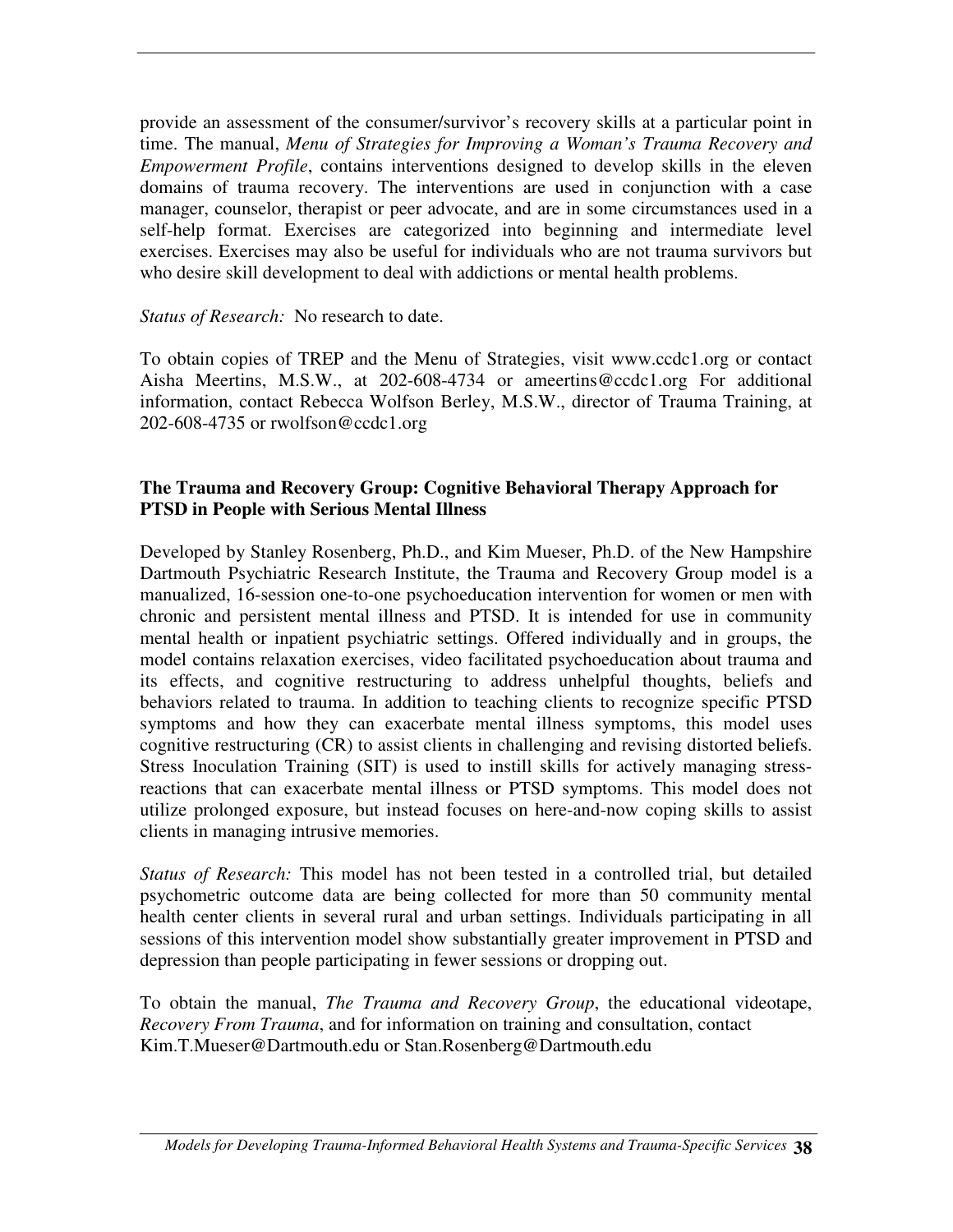provide an assessment of the consumer/survivor's recovery skills at a particular point in time. The manual, *Menu of Strategies for Improving a Woman's Trauma Recovery and Empowerment Profile*, contains interventions designed to develop skills in the eleven domains of trauma recovery. The interventions are used in conjunction with a case manager, counselor, therapist or peer advocate, and are in some circumstances used in a self-help format. Exercises are categorized into beginning and intermediate level exercises. Exercises may also be useful for individuals who are not trauma survivors but who desire skill development to deal with addictions or mental health problems.

#### *Status of Research:* No research to date.

To obtain copies of TREP and the Menu of Strategies, visit www.ccdc1.org or contact Aisha Meertins, M.S.W., at 202-608-4734 or ameertins@ccdc1.org For additional information, contact Rebecca Wolfson Berley, M.S.W., director of Trauma Training, at 202-608-4735 or rwolfson@ccdc1.org

#### **The Trauma and Recovery Group: Cognitive Behavioral Therapy Approach for PTSD in People with Serious Mental Illness**

Developed by Stanley Rosenberg, Ph.D., and Kim Mueser, Ph.D. of the New Hampshire Dartmouth Psychiatric Research Institute, the Trauma and Recovery Group model is a manualized, 16-session one-to-one psychoeducation intervention for women or men with chronic and persistent mental illness and PTSD. It is intended for use in community mental health or inpatient psychiatric settings. Offered individually and in groups, the model contains relaxation exercises, video facilitated psychoeducation about trauma and its effects, and cognitive restructuring to address unhelpful thoughts, beliefs and behaviors related to trauma. In addition to teaching clients to recognize specific PTSD symptoms and how they can exacerbate mental illness symptoms, this model uses cognitive restructuring (CR) to assist clients in challenging and revising distorted beliefs. Stress Inoculation Training (SIT) is used to instill skills for actively managing stressreactions that can exacerbate mental illness or PTSD symptoms. This model does not utilize prolonged exposure, but instead focuses on here-and-now coping skills to assist clients in managing intrusive memories.

*Status of Research:* This model has not been tested in a controlled trial, but detailed psychometric outcome data are being collected for more than 50 community mental health center clients in several rural and urban settings. Individuals participating in all sessions of this intervention model show substantially greater improvement in PTSD and depression than people participating in fewer sessions or dropping out.

To obtain the manual, *The Trauma and Recovery Group*, the educational videotape, *Recovery From Trauma*, and for information on training and consultation, contact Kim.T.Mueser@Dartmouth.edu or Stan.Rosenberg@Dartmouth.edu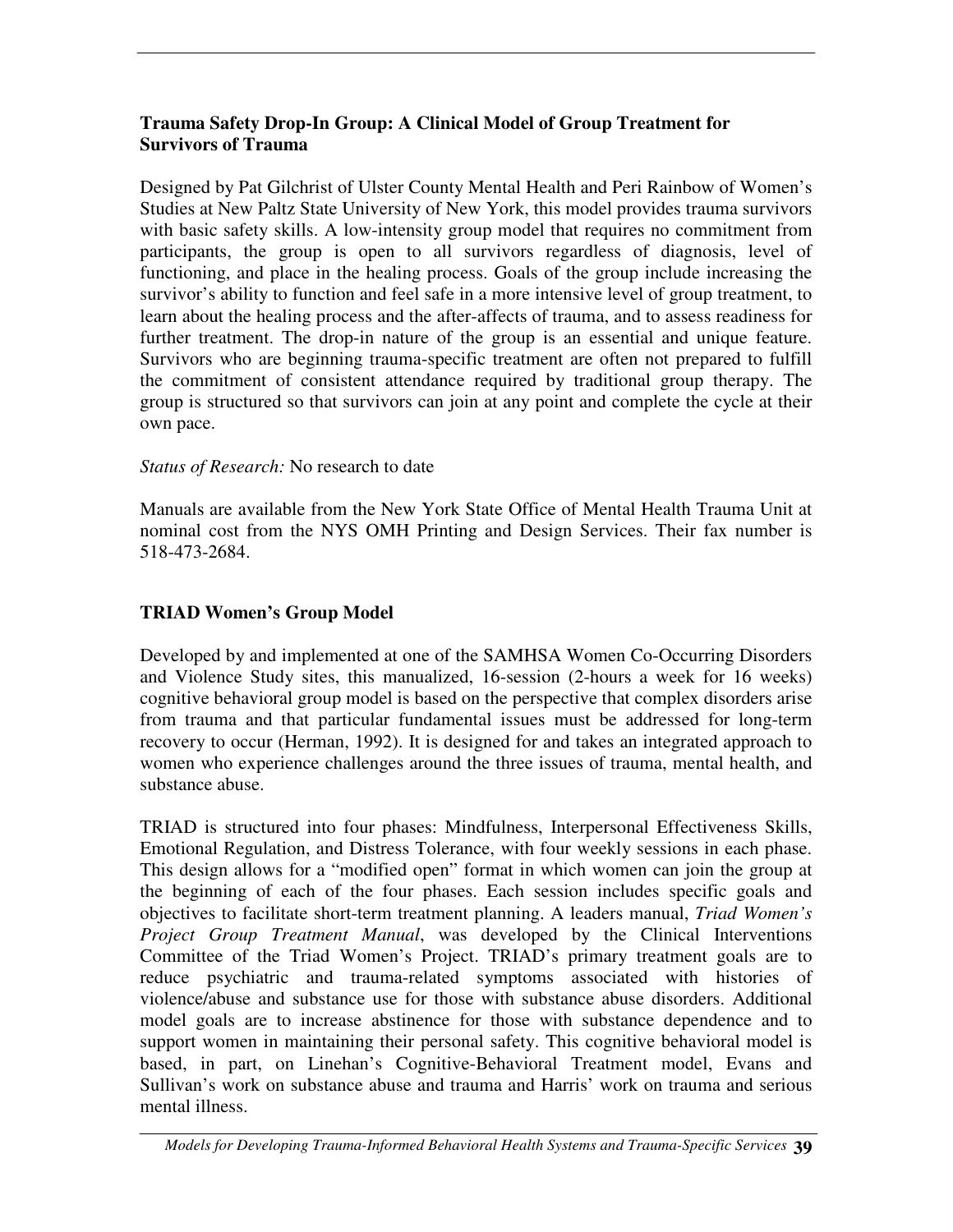#### **Trauma Safety Drop-In Group: A Clinical Model of Group Treatment for Survivors of Trauma**

Designed by Pat Gilchrist of Ulster County Mental Health and Peri Rainbow of Women's Studies at New Paltz State University of New York, this model provides trauma survivors with basic safety skills. A low-intensity group model that requires no commitment from participants, the group is open to all survivors regardless of diagnosis, level of functioning, and place in the healing process. Goals of the group include increasing the survivor's ability to function and feel safe in a more intensive level of group treatment, to learn about the healing process and the after-affects of trauma, and to assess readiness for further treatment. The drop-in nature of the group is an essential and unique feature. Survivors who are beginning trauma-specific treatment are often not prepared to fulfill the commitment of consistent attendance required by traditional group therapy. The group is structured so that survivors can join at any point and complete the cycle at their own pace.

#### *Status of Research:* No research to date

Manuals are available from the New York State Office of Mental Health Trauma Unit at nominal cost from the NYS OMH Printing and Design Services. Their fax number is 518-473-2684.

### **TRIAD Women's Group Model**

Developed by and implemented at one of the SAMHSA Women Co-Occurring Disorders and Violence Study sites, this manualized, 16-session (2-hours a week for 16 weeks) cognitive behavioral group model is based on the perspective that complex disorders arise from trauma and that particular fundamental issues must be addressed for long-term recovery to occur (Herman, 1992). It is designed for and takes an integrated approach to women who experience challenges around the three issues of trauma, mental health, and substance abuse.

TRIAD is structured into four phases: Mindfulness, Interpersonal Effectiveness Skills, Emotional Regulation, and Distress Tolerance, with four weekly sessions in each phase. This design allows for a "modified open" format in which women can join the group at the beginning of each of the four phases. Each session includes specific goals and objectives to facilitate short-term treatment planning. A leaders manual, *Triad Women's Project Group Treatment Manual*, was developed by the Clinical Interventions Committee of the Triad Women's Project. TRIAD's primary treatment goals are to reduce psychiatric and trauma-related symptoms associated with histories of violence/abuse and substance use for those with substance abuse disorders. Additional model goals are to increase abstinence for those with substance dependence and to support women in maintaining their personal safety. This cognitive behavioral model is based, in part, on Linehan's Cognitive-Behavioral Treatment model, Evans and Sullivan's work on substance abuse and trauma and Harris' work on trauma and serious mental illness.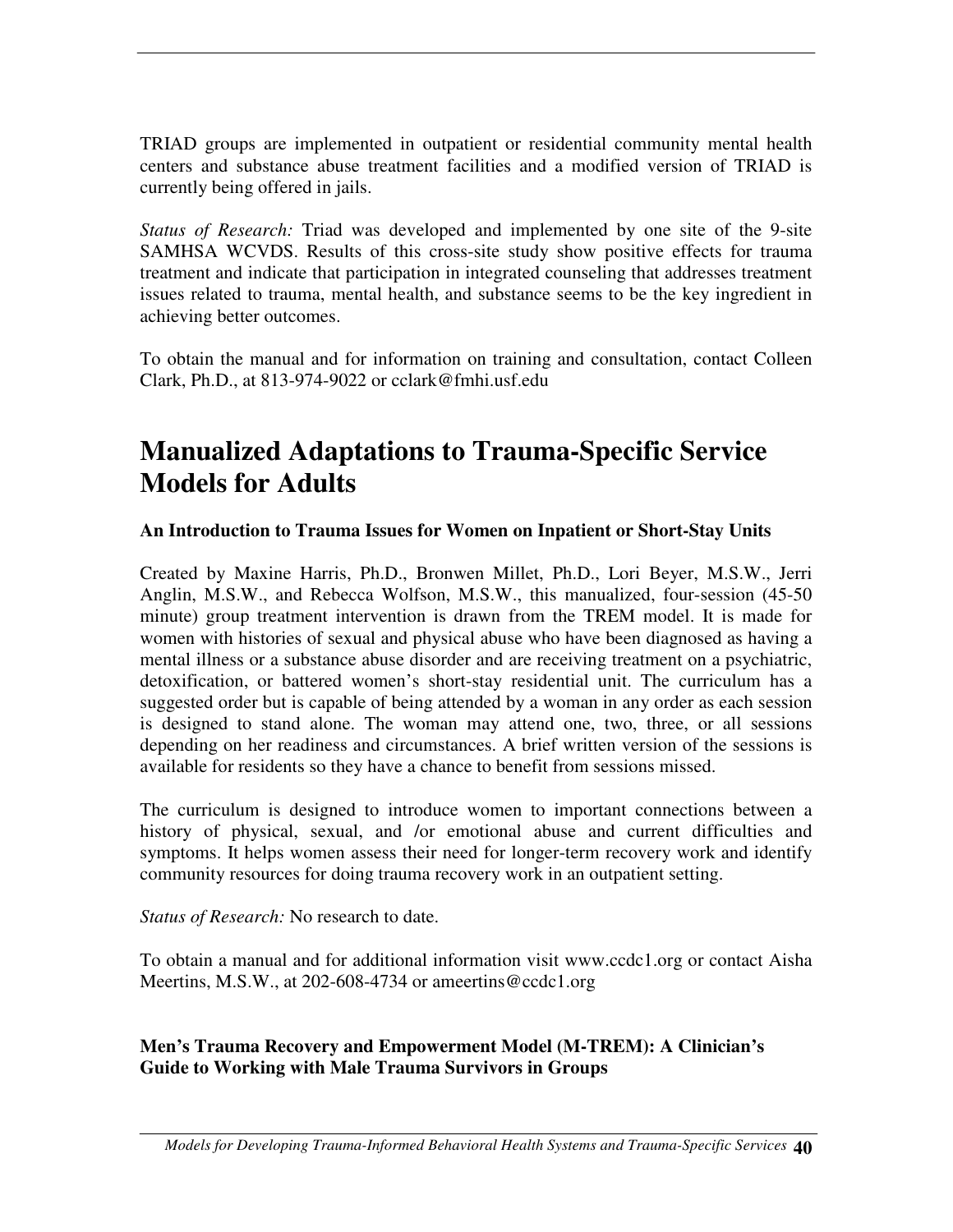TRIAD groups are implemented in outpatient or residential community mental health centers and substance abuse treatment facilities and a modified version of TRIAD is currently being offered in jails.

*Status of Research:* Triad was developed and implemented by one site of the 9-site SAMHSA WCVDS. Results of this cross-site study show positive effects for trauma treatment and indicate that participation in integrated counseling that addresses treatment issues related to trauma, mental health, and substance seems to be the key ingredient in achieving better outcomes.

To obtain the manual and for information on training and consultation, contact Colleen Clark, Ph.D., at 813-974-9022 or cclark@fmhi.usf.edu

# **Manualized Adaptations to Trauma-Specific Service Models for Adults**

**An Introduction to Trauma Issues for Women on Inpatient or Short-Stay Units**

Created by Maxine Harris, Ph.D., Bronwen Millet, Ph.D., Lori Beyer, M.S.W., Jerri Anglin, M.S.W., and Rebecca Wolfson, M.S.W., this manualized, four-session (45-50 minute) group treatment intervention is drawn from the TREM model. It is made for women with histories of sexual and physical abuse who have been diagnosed as having a mental illness or a substance abuse disorder and are receiving treatment on a psychiatric, detoxification, or battered women's short-stay residential unit. The curriculum has a suggested order but is capable of being attended by a woman in any order as each session is designed to stand alone. The woman may attend one, two, three, or all sessions depending on her readiness and circumstances. A brief written version of the sessions is available for residents so they have a chance to benefit from sessions missed.

The curriculum is designed to introduce women to important connections between a history of physical, sexual, and /or emotional abuse and current difficulties and symptoms. It helps women assess their need for longer-term recovery work and identify community resources for doing trauma recovery work in an outpatient setting.

*Status of Research:* No research to date.

To obtain a manual and for additional information visit www.ccdc1.org or contact Aisha Meertins, M.S.W., at 202-608-4734 or ameertins@ccdc1.org

#### **Men's Trauma Recovery and Empowerment Model (M-TREM): A Clinician's Guide to Working with Male Trauma Survivors in Groups**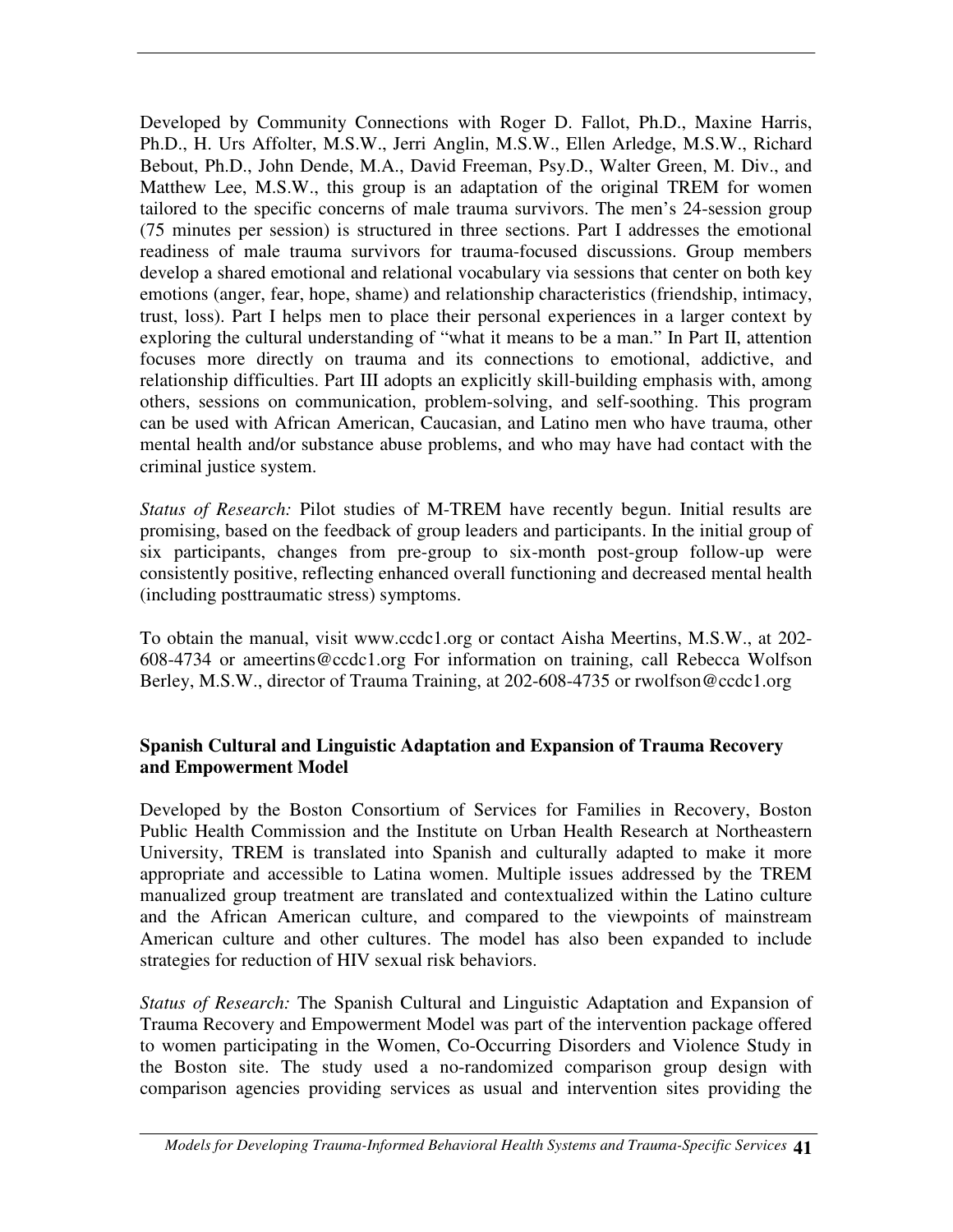Developed by Community Connections with Roger D. Fallot, Ph.D., Maxine Harris, Ph.D., H. Urs Affolter, M.S.W., Jerri Anglin, M.S.W., Ellen Arledge, M.S.W., Richard Bebout, Ph.D., John Dende, M.A., David Freeman, Psy.D., Walter Green, M. Div., and Matthew Lee, M.S.W., this group is an adaptation of the original TREM for women tailored to the specific concerns of male trauma survivors. The men's 24-session group (75 minutes per session) is structured in three sections. Part I addresses the emotional readiness of male trauma survivors for trauma-focused discussions. Group members develop a shared emotional and relational vocabulary via sessions that center on both key emotions (anger, fear, hope, shame) and relationship characteristics (friendship, intimacy, trust, loss). Part I helps men to place their personal experiences in a larger context by exploring the cultural understanding of "what it means to be a man." In Part II, attention focuses more directly on trauma and its connections to emotional, addictive, and relationship difficulties. Part III adopts an explicitly skill-building emphasis with, among others, sessions on communication, problem-solving, and self-soothing. This program can be used with African American, Caucasian, and Latino men who have trauma, other mental health and/or substance abuse problems, and who may have had contact with the criminal justice system.

*Status of Research:* Pilot studies of M-TREM have recently begun. Initial results are promising, based on the feedback of group leaders and participants. In the initial group of six participants, changes from pre-group to six-month post-group follow-up were consistently positive, reflecting enhanced overall functioning and decreased mental health (including posttraumatic stress) symptoms.

To obtain the manual, visit www.ccdc1.org or contact Aisha Meertins, M.S.W., at 202- 608-4734 or ameertins@ccdc1.org For information on training, call Rebecca Wolfson Berley, M.S.W., director of Trauma Training, at 202-608-4735 or rwolfson@ccdc1.org

#### **Spanish Cultural and Linguistic Adaptation and Expansion of Trauma Recovery and Empowerment Model**

Developed by the Boston Consortium of Services for Families in Recovery, Boston Public Health Commission and the Institute on Urban Health Research at Northeastern University, TREM is translated into Spanish and culturally adapted to make it more appropriate and accessible to Latina women. Multiple issues addressed by the TREM manualized group treatment are translated and contextualized within the Latino culture and the African American culture, and compared to the viewpoints of mainstream American culture and other cultures. The model has also been expanded to include strategies for reduction of HIV sexual risk behaviors.

*Status of Research:* The Spanish Cultural and Linguistic Adaptation and Expansion of Trauma Recovery and Empowerment Model was part of the intervention package offered to women participating in the Women, Co-Occurring Disorders and Violence Study in the Boston site. The study used a no-randomized comparison group design with comparison agencies providing services as usual and intervention sites providing the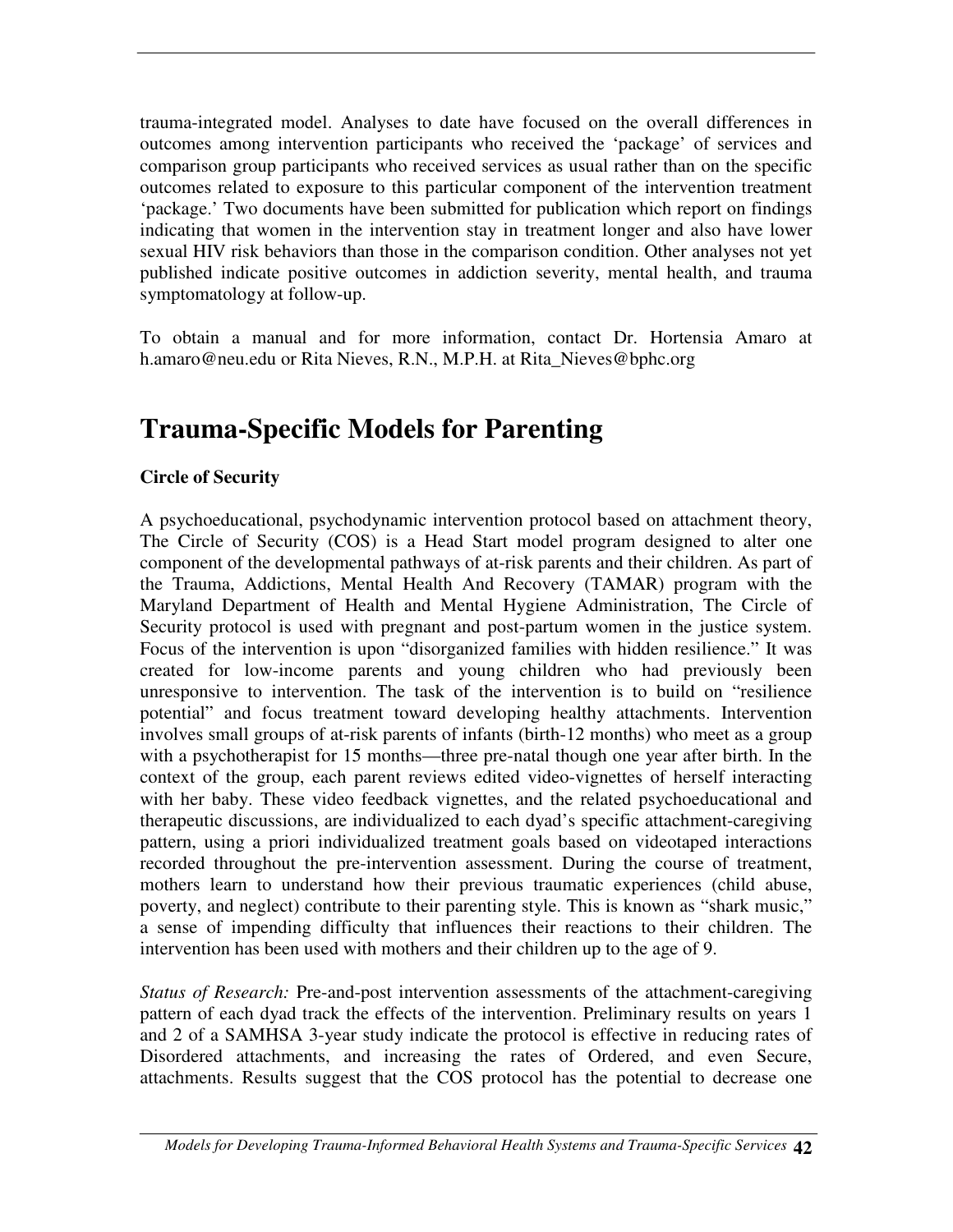trauma-integrated model. Analyses to date have focused on the overall differences in outcomes among intervention participants who received the 'package' of services and comparison group participants who received services as usual rather than on the specific outcomes related to exposure to this particular component of the intervention treatment 'package.' Two documents have been submitted for publication which report on findings indicating that women in the intervention stay in treatment longer and also have lower sexual HIV risk behaviors than those in the comparison condition. Other analyses not yet published indicate positive outcomes in addiction severity, mental health, and trauma symptomatology at follow-up.

To obtain a manual and for more information, contact Dr. Hortensia Amaro at h.amaro@neu.edu or Rita Nieves, R.N., M.P.H. at Rita\_Nieves@bphc.org

# **Trauma-Specific Models for Parenting**

## **Circle of Security**

A psychoeducational, psychodynamic intervention protocol based on attachment theory, The Circle of Security (COS) is a Head Start model program designed to alter one component of the developmental pathways of at-risk parents and their children. As part of the Trauma, Addictions, Mental Health And Recovery (TAMAR) program with the Maryland Department of Health and Mental Hygiene Administration, The Circle of Security protocol is used with pregnant and post-partum women in the justice system. Focus of the intervention is upon "disorganized families with hidden resilience." It was created for low-income parents and young children who had previously been unresponsive to intervention. The task of the intervention is to build on "resilience potential" and focus treatment toward developing healthy attachments. Intervention involves small groups of at-risk parents of infants (birth-12 months) who meet as a group with a psychotherapist for 15 months—three pre-natal though one year after birth. In the context of the group, each parent reviews edited video-vignettes of herself interacting with her baby. These video feedback vignettes, and the related psychoeducational and therapeutic discussions, are individualized to each dyad's specific attachment-caregiving pattern, using a priori individualized treatment goals based on videotaped interactions recorded throughout the pre-intervention assessment. During the course of treatment, mothers learn to understand how their previous traumatic experiences (child abuse, poverty, and neglect) contribute to their parenting style. This is known as "shark music," a sense of impending difficulty that influences their reactions to their children. The intervention has been used with mothers and their children up to the age of 9.

*Status of Research:* Pre-and-post intervention assessments of the attachment-caregiving pattern of each dyad track the effects of the intervention. Preliminary results on years 1 and 2 of a SAMHSA 3-year study indicate the protocol is effective in reducing rates of Disordered attachments, and increasing the rates of Ordered, and even Secure, attachments. Results suggest that the COS protocol has the potential to decrease one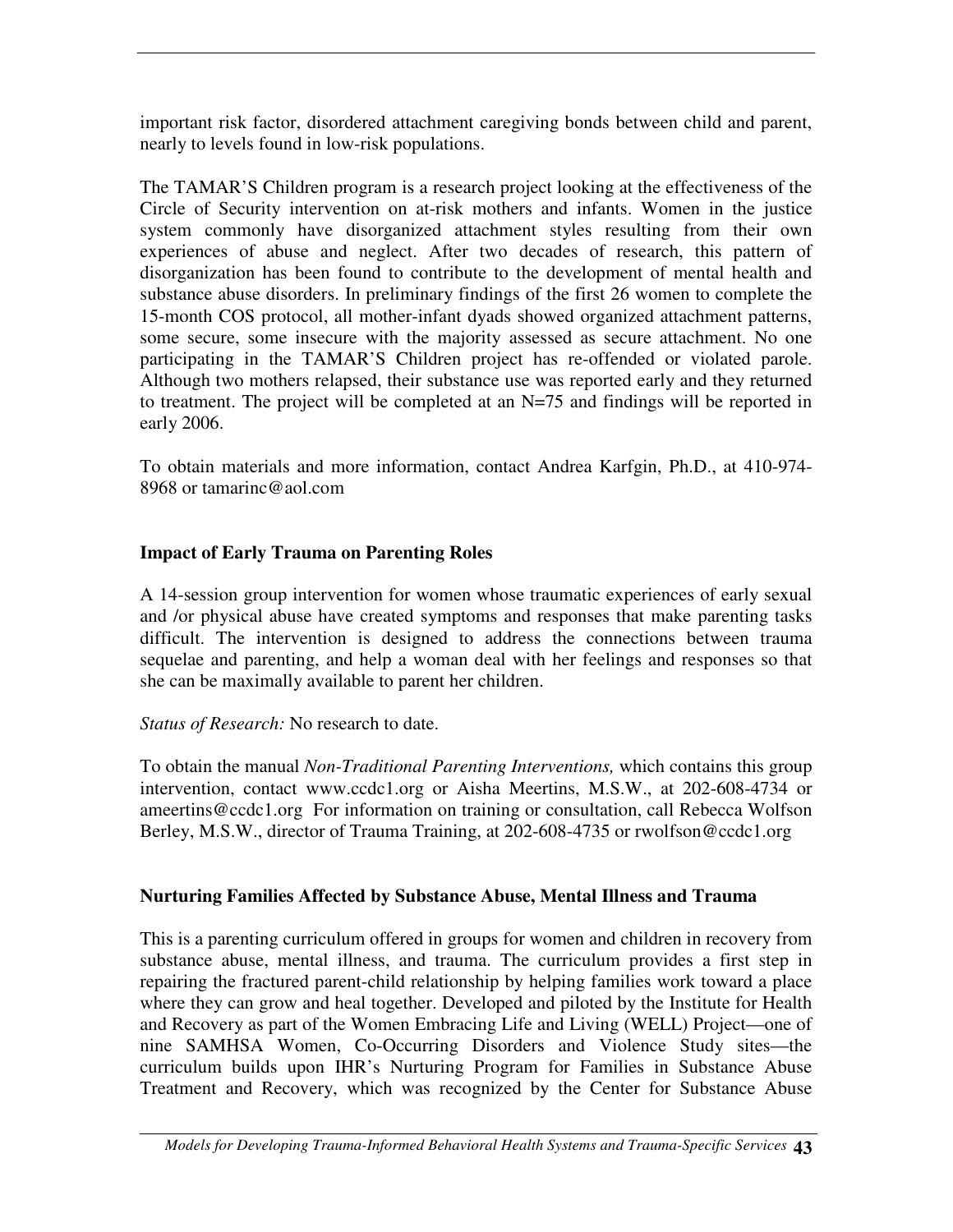important risk factor, disordered attachment caregiving bonds between child and parent, nearly to levels found in low-risk populations.

The TAMAR'S Children program is a research project looking at the effectiveness of the Circle of Security intervention on at-risk mothers and infants. Women in the justice system commonly have disorganized attachment styles resulting from their own experiences of abuse and neglect. After two decades of research, this pattern of disorganization has been found to contribute to the development of mental health and substance abuse disorders. In preliminary findings of the first 26 women to complete the 15-month COS protocol, all mother-infant dyads showed organized attachment patterns, some secure, some insecure with the majority assessed as secure attachment. No one participating in the TAMAR'S Children project has re-offended or violated parole. Although two mothers relapsed, their substance use was reported early and they returned to treatment. The project will be completed at an N=75 and findings will be reported in early 2006.

To obtain materials and more information, contact Andrea Karfgin, Ph.D., at 410-974- 8968 or tamarinc@aol.com

## **Impact of Early Trauma on Parenting Roles**

A 14-session group intervention for women whose traumatic experiences of early sexual and /or physical abuse have created symptoms and responses that make parenting tasks difficult. The intervention is designed to address the connections between trauma sequelae and parenting, and help a woman deal with her feelings and responses so that she can be maximally available to parent her children.

#### *Status of Research:* No research to date.

To obtain the manual *Non-Traditional Parenting Interventions,* which contains this group intervention, contact www.ccdc1.org or Aisha Meertins, M.S.W., at 202-608-4734 or ameertins@ccdc1.org For information on training or consultation, call Rebecca Wolfson Berley, M.S.W., director of Trauma Training, at 202-608-4735 or rwolfson@ccdc1.org

#### **Nurturing Families Affected by Substance Abuse, Mental Illness and Trauma**

This is a parenting curriculum offered in groups for women and children in recovery from substance abuse, mental illness, and trauma. The curriculum provides a first step in repairing the fractured parent-child relationship by helping families work toward a place where they can grow and heal together. Developed and piloted by the Institute for Health and Recovery as part of the Women Embracing Life and Living (WELL) Project—one of nine SAMHSA Women, Co-Occurring Disorders and Violence Study sites—the curriculum builds upon IHR's Nurturing Program for Families in Substance Abuse Treatment and Recovery, which was recognized by the Center for Substance Abuse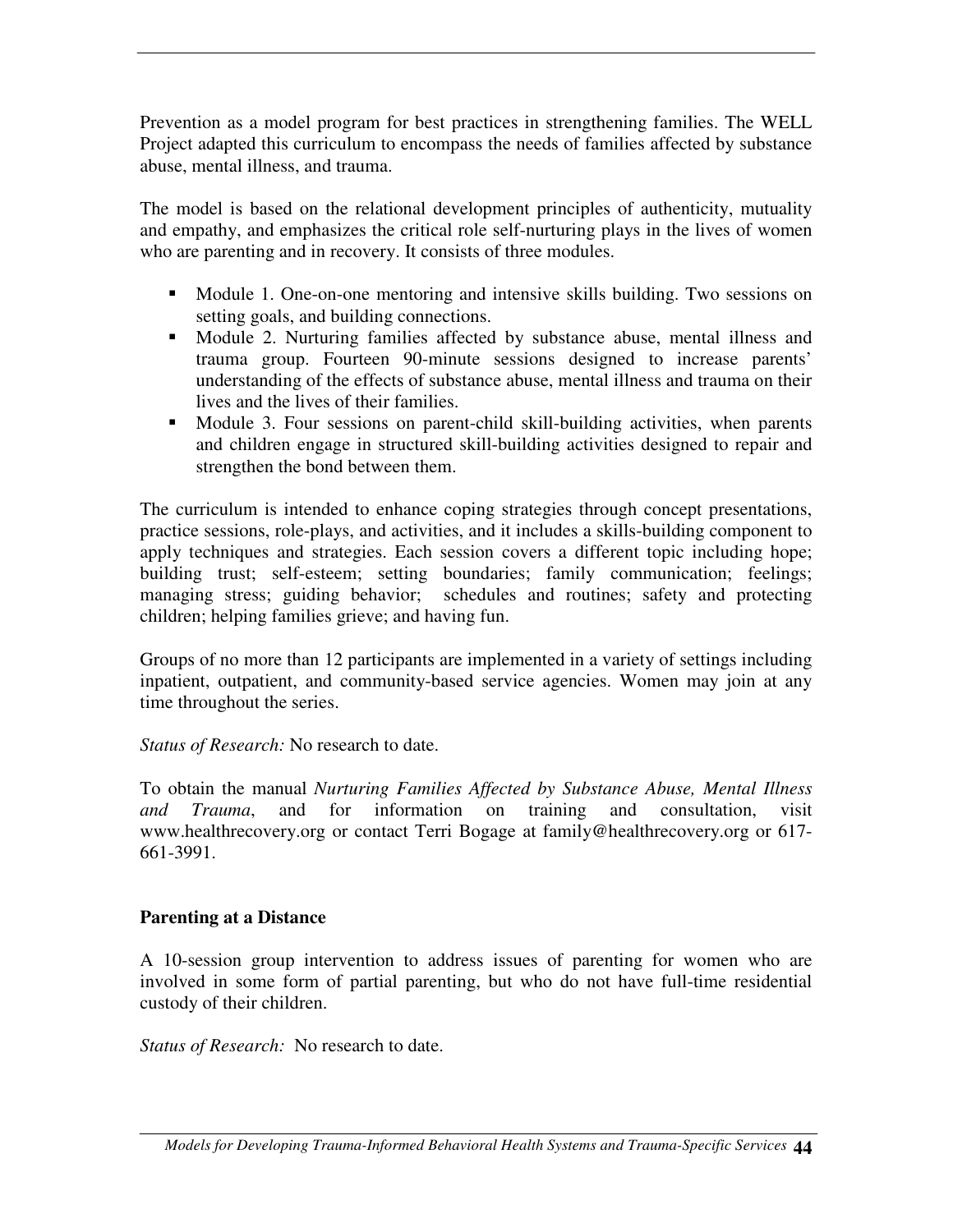Prevention as a model program for best practices in strengthening families. The WELL Project adapted this curriculum to encompass the needs of families affected by substance abuse, mental illness, and trauma.

The model is based on the relational development principles of authenticity, mutuality and empathy, and emphasizes the critical role self-nurturing plays in the lives of women who are parenting and in recovery. It consists of three modules.

- Module 1. One-on-one mentoring and intensive skills building. Two sessions on setting goals, and building connections.
- Module 2. Nurturing families affected by substance abuse, mental illness and trauma group. Fourteen 90-minute sessions designed to increase parents' understanding of the effects of substance abuse, mental illness and trauma on their lives and the lives of their families.
- Module 3. Four sessions on parent-child skill-building activities, when parents and children engage in structured skill-building activities designed to repair and strengthen the bond between them.

The curriculum is intended to enhance coping strategies through concept presentations, practice sessions, role-plays, and activities, and it includes a skills-building component to apply techniques and strategies. Each session covers a different topic including hope; building trust; self-esteem; setting boundaries; family communication; feelings; managing stress; guiding behavior; schedules and routines; safety and protecting children; helping families grieve; and having fun.

Groups of no more than 12 participants are implemented in a variety of settings including inpatient, outpatient, and community-based service agencies. Women may join at any time throughout the series.

*Status of Research:* No research to date.

To obtain the manual *Nurturing Families Affected by Substance Abuse, Mental Illness and Trauma*, and for information on training and consultation, visit www.healthrecovery.org or contact Terri Bogage at family@healthrecovery.org or 617- 661-3991.

#### **Parenting at a Distance**

A 10-session group intervention to address issues of parenting for women who are involved in some form of partial parenting, but who do not have full-time residential custody of their children.

*Status of Research:* No research to date.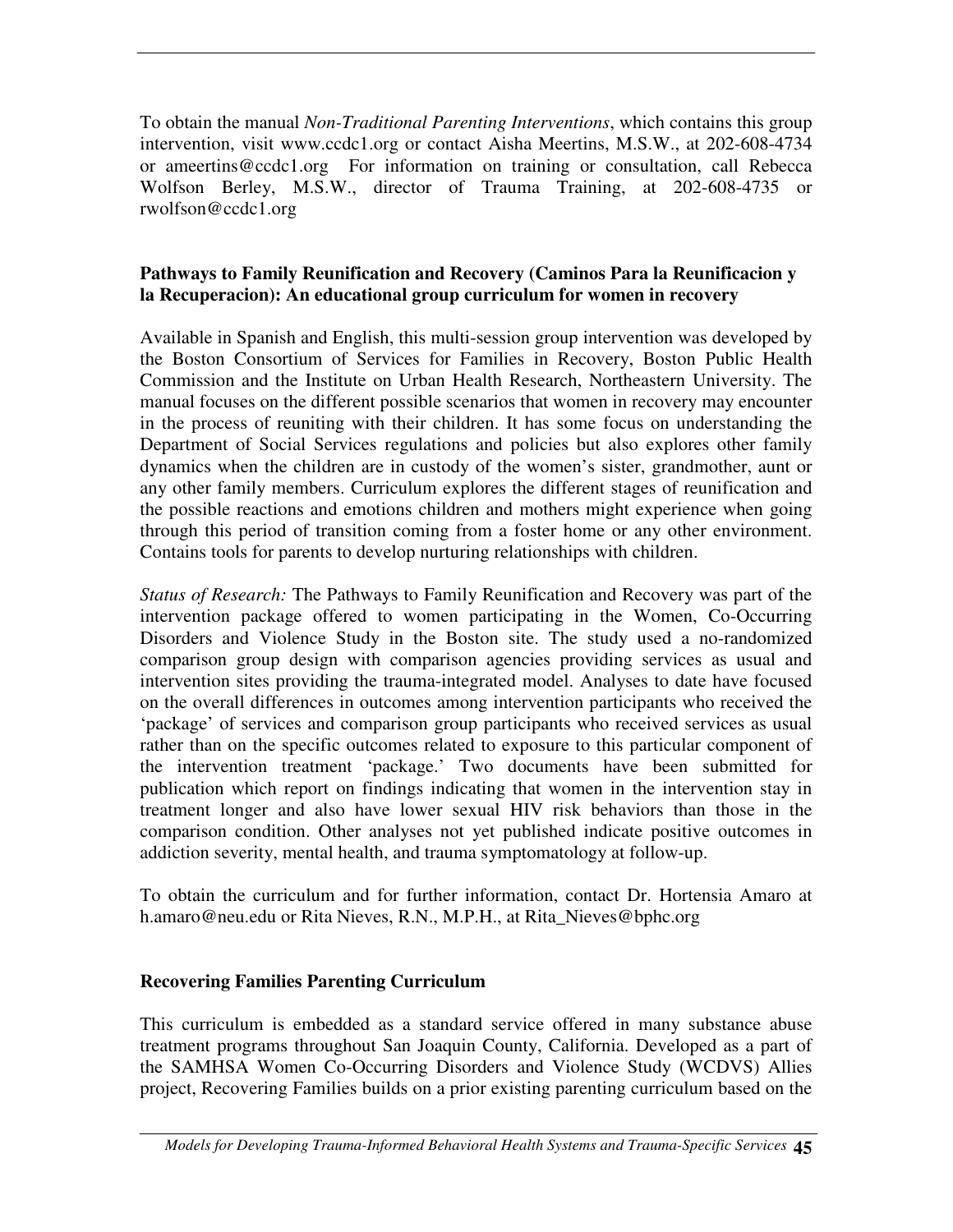To obtain the manual *Non-Traditional Parenting Interventions*, which contains this group intervention, visit www.ccdc1.org or contact Aisha Meertins, M.S.W., at 202-608-4734 or ameertins@ccdc1.org For information on training or consultation, call Rebecca Wolfson Berley, M.S.W., director of Trauma Training, at 202-608-4735 or rwolfson@ccdc1.org

#### **Pathways to Family Reunification and Recovery (Caminos Para la Reunificacion y la Recuperacion): An educational group curriculum for women in recovery**

Available in Spanish and English, this multi-session group intervention was developed by the Boston Consortium of Services for Families in Recovery, Boston Public Health Commission and the Institute on Urban Health Research, Northeastern University. The manual focuses on the different possible scenarios that women in recovery may encounter in the process of reuniting with their children. It has some focus on understanding the Department of Social Services regulations and policies but also explores other family dynamics when the children are in custody of the women's sister, grandmother, aunt or any other family members. Curriculum explores the different stages of reunification and the possible reactions and emotions children and mothers might experience when going through this period of transition coming from a foster home or any other environment. Contains tools for parents to develop nurturing relationships with children.

*Status of Research:* The Pathways to Family Reunification and Recovery was part of the intervention package offered to women participating in the Women, Co-Occurring Disorders and Violence Study in the Boston site. The study used a no-randomized comparison group design with comparison agencies providing services as usual and intervention sites providing the trauma-integrated model. Analyses to date have focused on the overall differences in outcomes among intervention participants who received the 'package' of services and comparison group participants who received services as usual rather than on the specific outcomes related to exposure to this particular component of the intervention treatment 'package.' Two documents have been submitted for publication which report on findings indicating that women in the intervention stay in treatment longer and also have lower sexual HIV risk behaviors than those in the comparison condition. Other analyses not yet published indicate positive outcomes in addiction severity, mental health, and trauma symptomatology at follow-up.

To obtain the curriculum and for further information, contact Dr. Hortensia Amaro at h.amaro@neu.edu or Rita Nieves, R.N., M.P.H., at Rita\_Nieves@bphc.org

#### **Recovering Families Parenting Curriculum**

This curriculum is embedded as a standard service offered in many substance abuse treatment programs throughout San Joaquin County, California. Developed as a part of the SAMHSA Women Co-Occurring Disorders and Violence Study (WCDVS) Allies project, Recovering Families builds on a prior existing parenting curriculum based on the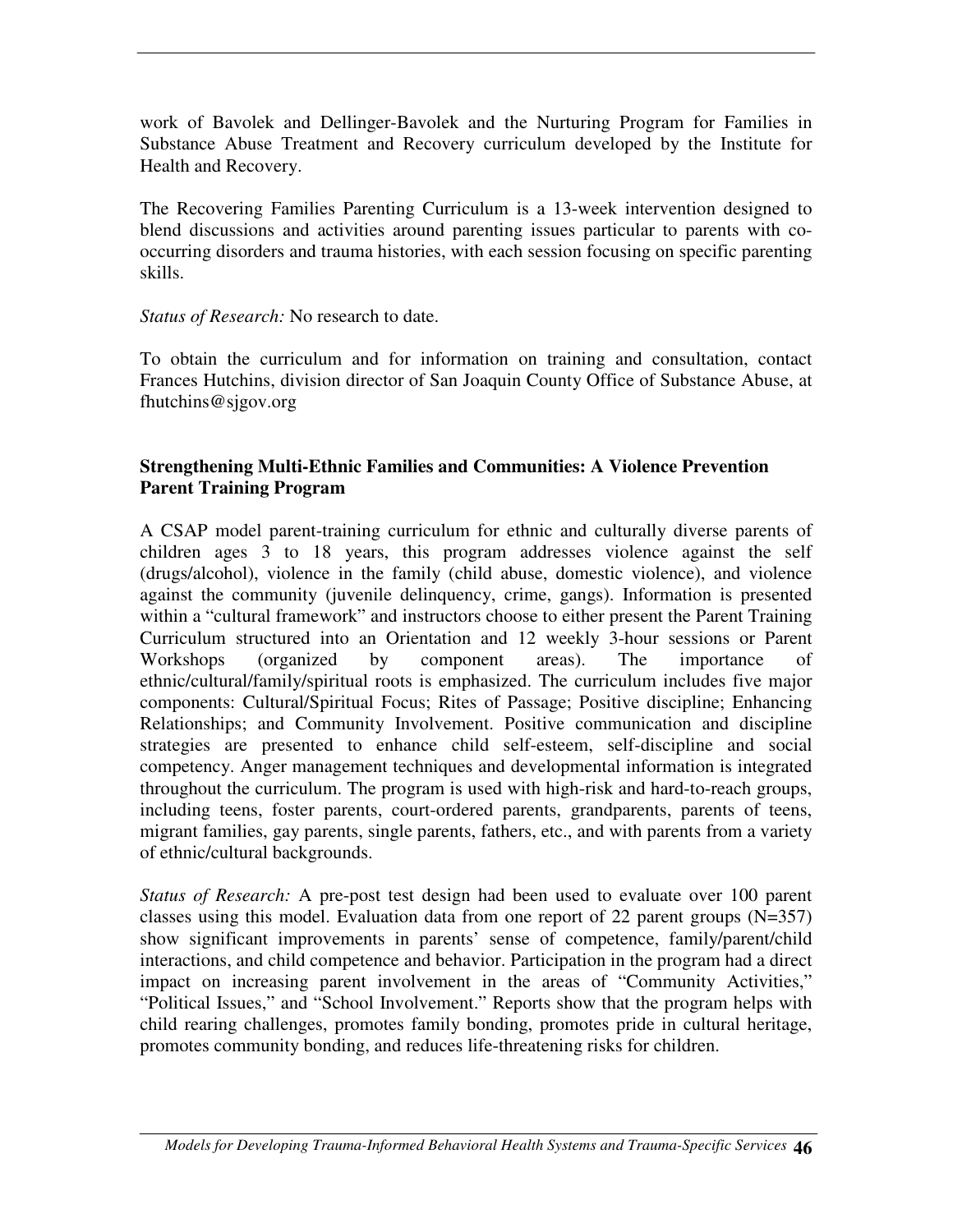work of Bavolek and Dellinger-Bavolek and the Nurturing Program for Families in Substance Abuse Treatment and Recovery curriculum developed by the Institute for Health and Recovery.

The Recovering Families Parenting Curriculum is a 13-week intervention designed to blend discussions and activities around parenting issues particular to parents with cooccurring disorders and trauma histories, with each session focusing on specific parenting skills.

#### *Status of Research:* No research to date.

To obtain the curriculum and for information on training and consultation, contact Frances Hutchins, division director of San Joaquin County Office of Substance Abuse, at fhutchins@sjgov.org

#### **Strengthening Multi-Ethnic Families and Communities: A Violence Prevention Parent Training Program**

A CSAP model parent-training curriculum for ethnic and culturally diverse parents of children ages 3 to 18 years, this program addresses violence against the self (drugs/alcohol), violence in the family (child abuse, domestic violence), and violence against the community (juvenile delinquency, crime, gangs). Information is presented within a "cultural framework" and instructors choose to either present the Parent Training Curriculum structured into an Orientation and 12 weekly 3-hour sessions or Parent Workshops (organized by component areas). The importance of ethnic/cultural/family/spiritual roots is emphasized. The curriculum includes five major components: Cultural/Spiritual Focus; Rites of Passage; Positive discipline; Enhancing Relationships; and Community Involvement. Positive communication and discipline strategies are presented to enhance child self-esteem, self-discipline and social competency. Anger management techniques and developmental information is integrated throughout the curriculum. The program is used with high-risk and hard-to-reach groups, including teens, foster parents, court-ordered parents, grandparents, parents of teens, migrant families, gay parents, single parents, fathers, etc., and with parents from a variety of ethnic/cultural backgrounds.

*Status of Research:* A pre-post test design had been used to evaluate over 100 parent classes using this model. Evaluation data from one report of 22 parent groups  $(N=357)$ show significant improvements in parents' sense of competence, family/parent/child interactions, and child competence and behavior. Participation in the program had a direct impact on increasing parent involvement in the areas of "Community Activities," "Political Issues," and "School Involvement." Reports show that the program helps with child rearing challenges, promotes family bonding, promotes pride in cultural heritage, promotes community bonding, and reduces life-threatening risks for children.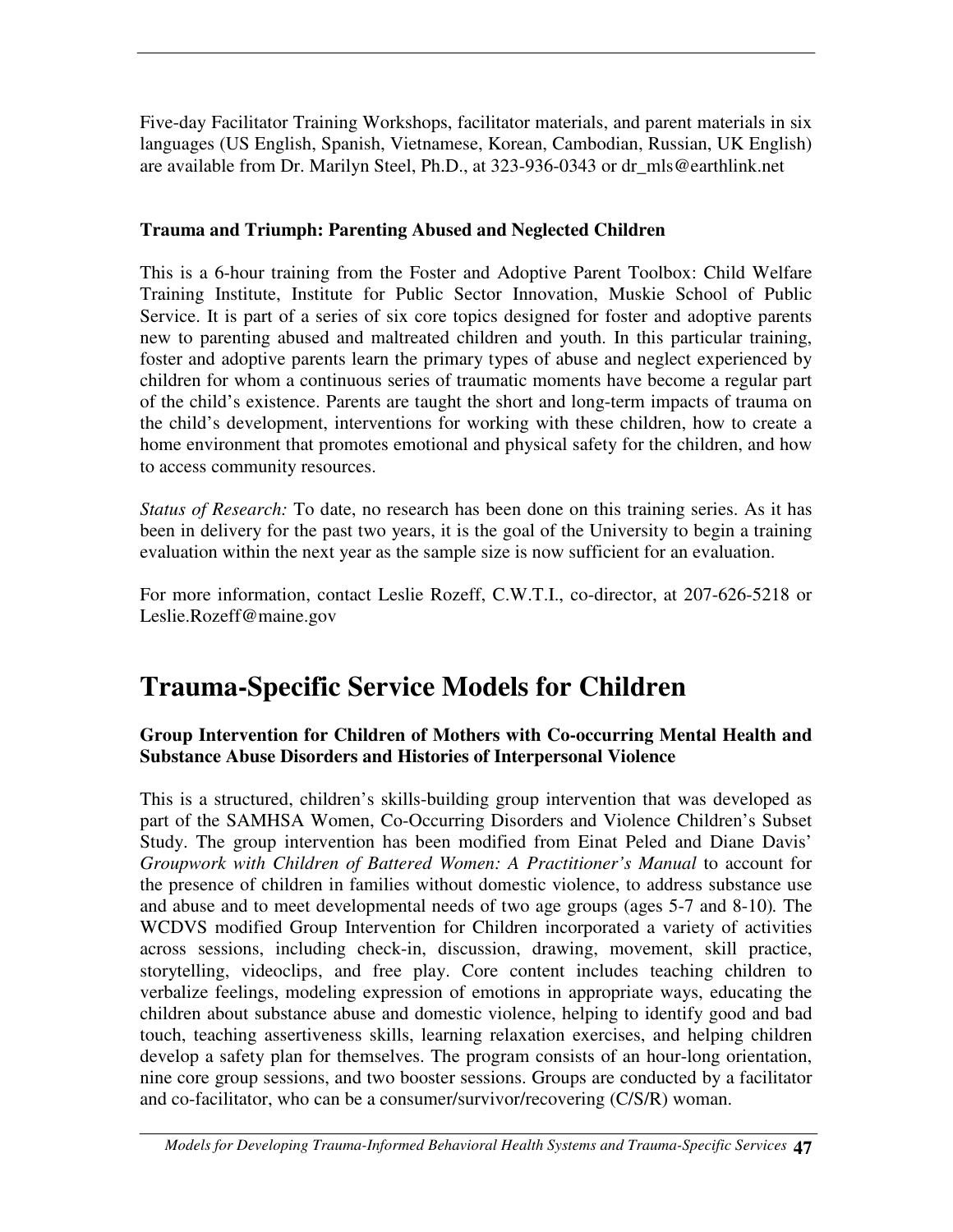Five-day Facilitator Training Workshops, facilitator materials, and parent materials in six languages (US English, Spanish, Vietnamese, Korean, Cambodian, Russian, UK English) are available from Dr. Marilyn Steel, Ph.D., at 323-936-0343 or dr\_mls@earthlink.net

## **Trauma and Triumph: Parenting Abused and Neglected Children**

This is a 6-hour training from the Foster and Adoptive Parent Toolbox: Child Welfare Training Institute, Institute for Public Sector Innovation, Muskie School of Public Service. It is part of a series of six core topics designed for foster and adoptive parents new to parenting abused and maltreated children and youth. In this particular training, foster and adoptive parents learn the primary types of abuse and neglect experienced by children for whom a continuous series of traumatic moments have become a regular part of the child's existence. Parents are taught the short and long-term impacts of trauma on the child's development, interventions for working with these children, how to create a home environment that promotes emotional and physical safety for the children, and how to access community resources.

*Status of Research:* To date, no research has been done on this training series. As it has been in delivery for the past two years, it is the goal of the University to begin a training evaluation within the next year as the sample size is now sufficient for an evaluation.

For more information, contact Leslie Rozeff, C.W.T.I., co-director, at 207-626-5218 or Leslie.Rozeff@maine.gov

# **Trauma-Specific Service Models for Children**

#### **Group Intervention for Children of Mothers with Co-occurring Mental Health and Substance Abuse Disorders and Histories of Interpersonal Violence**

This is a structured, children's skills-building group intervention that was developed as part of the SAMHSA Women, Co-Occurring Disorders and Violence Children's Subset Study. The group intervention has been modified from Einat Peled and Diane Davis' *Groupwork with Children of Battered Women: A Practitioner's Manual* to account for the presence of children in families without domestic violence, to address substance use and abuse and to meet developmental needs of two age groups (ages 5-7 and 8-10)*.* The WCDVS modified Group Intervention for Children incorporated a variety of activities across sessions, including check-in, discussion, drawing, movement, skill practice, storytelling, videoclips, and free play. Core content includes teaching children to verbalize feelings, modeling expression of emotions in appropriate ways, educating the children about substance abuse and domestic violence, helping to identify good and bad touch, teaching assertiveness skills, learning relaxation exercises, and helping children develop a safety plan for themselves. The program consists of an hour-long orientation, nine core group sessions, and two booster sessions. Groups are conducted by a facilitator and co-facilitator, who can be a consumer/survivor/recovering (C/S/R) woman.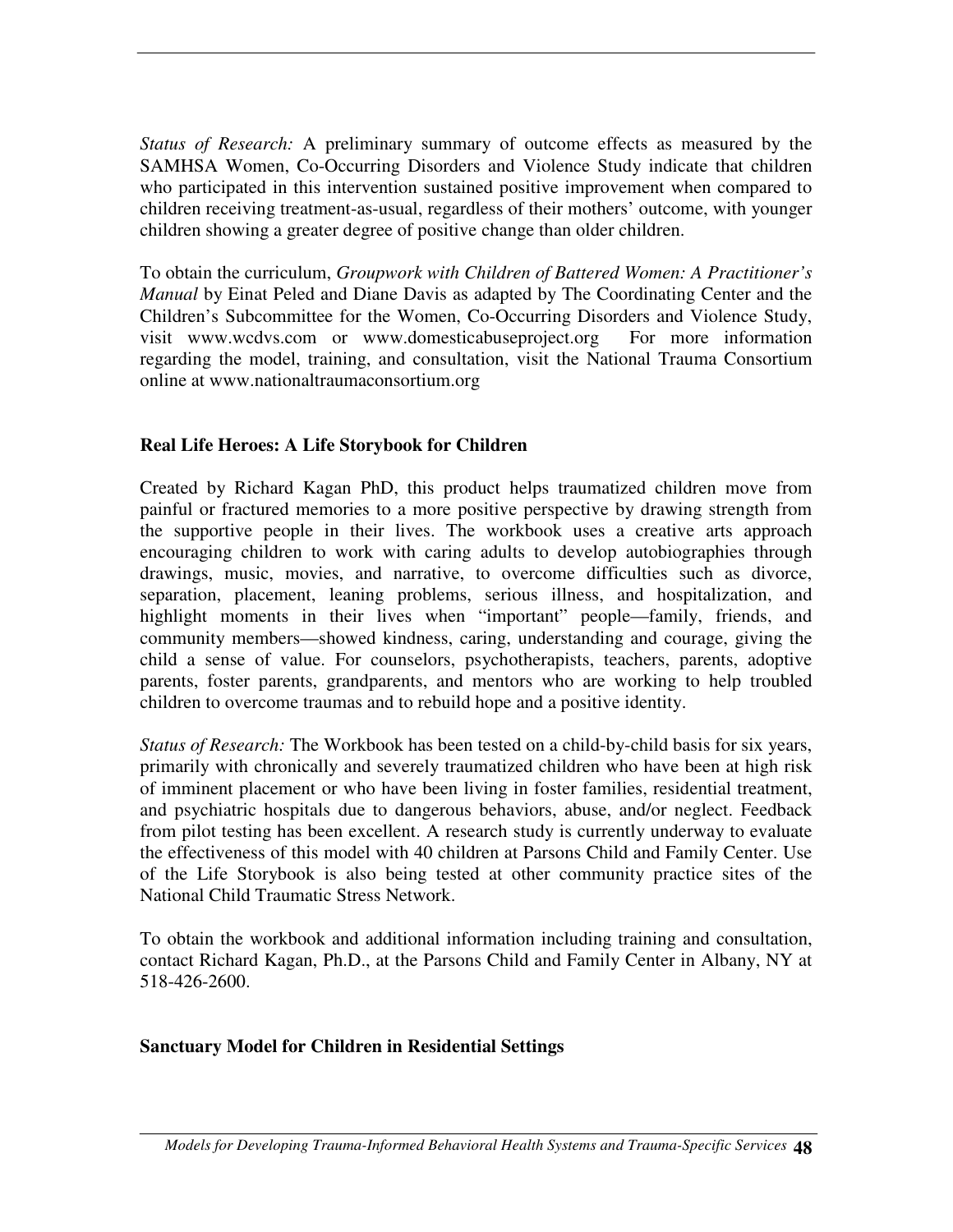*Status of Research:* A preliminary summary of outcome effects as measured by the SAMHSA Women, Co-Occurring Disorders and Violence Study indicate that children who participated in this intervention sustained positive improvement when compared to children receiving treatment-as-usual, regardless of their mothers' outcome, with younger children showing a greater degree of positive change than older children.

To obtain the curriculum, *Groupwork with Children of Battered Women: A Practitioner's Manual* by Einat Peled and Diane Davis as adapted by The Coordinating Center and the Children's Subcommittee for the Women, Co-Occurring Disorders and Violence Study, visit www.wcdvs.com or www.domesticabuseproject.org For more information regarding the model, training, and consultation, visit the National Trauma Consortium online at www.nationaltraumaconsortium.org

#### **Real Life Heroes: A Life Storybook for Children**

Created by Richard Kagan PhD, this product helps traumatized children move from painful or fractured memories to a more positive perspective by drawing strength from the supportive people in their lives. The workbook uses a creative arts approach encouraging children to work with caring adults to develop autobiographies through drawings, music, movies, and narrative, to overcome difficulties such as divorce, separation, placement, leaning problems, serious illness, and hospitalization, and highlight moments in their lives when "important" people—family, friends, and community members—showed kindness, caring, understanding and courage, giving the child a sense of value. For counselors, psychotherapists, teachers, parents, adoptive parents, foster parents, grandparents, and mentors who are working to help troubled children to overcome traumas and to rebuild hope and a positive identity.

*Status of Research:* The Workbook has been tested on a child-by-child basis for six years, primarily with chronically and severely traumatized children who have been at high risk of imminent placement or who have been living in foster families, residential treatment, and psychiatric hospitals due to dangerous behaviors, abuse, and/or neglect. Feedback from pilot testing has been excellent. A research study is currently underway to evaluate the effectiveness of this model with 40 children at Parsons Child and Family Center. Use of the Life Storybook is also being tested at other community practice sites of the National Child Traumatic Stress Network.

To obtain the workbook and additional information including training and consultation, contact Richard Kagan, Ph.D., at the Parsons Child and Family Center in Albany, NY at 518-426-2600.

#### **Sanctuary Model for Children in Residential Settings**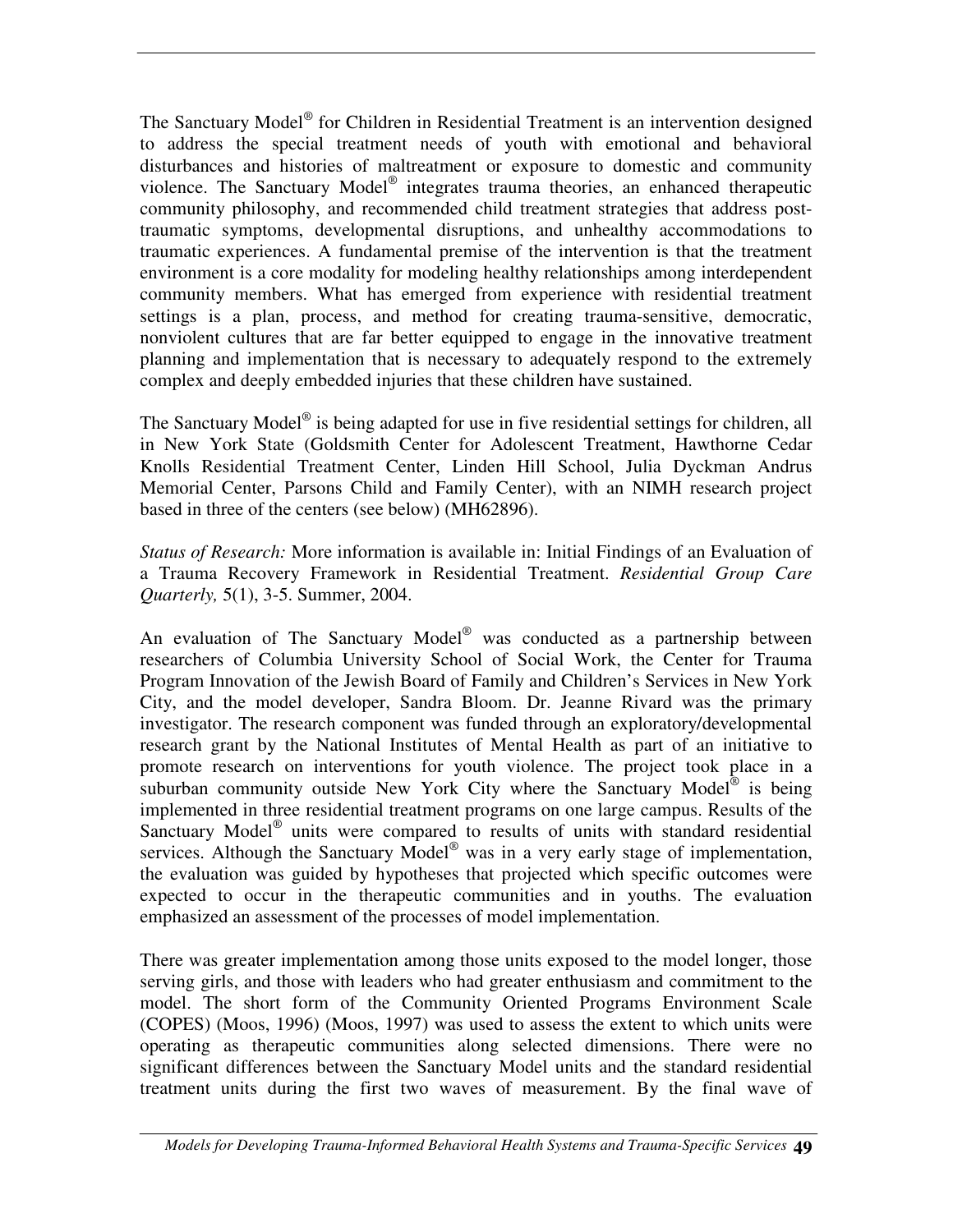The Sanctuary Model<sup>®</sup> for Children in Residential Treatment is an intervention designed to address the special treatment needs of youth with emotional and behavioral disturbances and histories of maltreatment or exposure to domestic and community violence. The Sanctuary Model<sup>®</sup> integrates trauma theories, an enhanced therapeutic community philosophy, and recommended child treatment strategies that address posttraumatic symptoms, developmental disruptions, and unhealthy accommodations to traumatic experiences. A fundamental premise of the intervention is that the treatment environment is a core modality for modeling healthy relationships among interdependent community members. What has emerged from experience with residential treatment settings is a plan, process, and method for creating trauma-sensitive, democratic, nonviolent cultures that are far better equipped to engage in the innovative treatment planning and implementation that is necessary to adequately respond to the extremely complex and deeply embedded injuries that these children have sustained.

The Sanctuary Model<sup>®</sup> is being adapted for use in five residential settings for children, all in New York State (Goldsmith Center for Adolescent Treatment, Hawthorne Cedar Knolls Residential Treatment Center, Linden Hill School, Julia Dyckman Andrus Memorial Center, Parsons Child and Family Center), with an NIMH research project based in three of the centers (see below) (MH62896).

*Status of Research:* More information is available in: Initial Findings of an Evaluation of a Trauma Recovery Framework in Residential Treatment. *Residential Group Care Quarterly,* 5(1), 3-5. Summer, 2004.

An evaluation of The Sanctuary Model<sup>®</sup> was conducted as a partnership between researchers of Columbia University School of Social Work, the Center for Trauma Program Innovation of the Jewish Board of Family and Children's Services in New York City, and the model developer, Sandra Bloom. Dr. Jeanne Rivard was the primary investigator. The research component was funded through an exploratory/developmental research grant by the National Institutes of Mental Health as part of an initiative to promote research on interventions for youth violence. The project took place in a suburban community outside New York City where the Sanctuary Model® is being implemented in three residential treatment programs on one large campus. Results of the Sanctuary Model<sup>®</sup> units were compared to results of units with standard residential services. Although the Sanctuary Model<sup>®</sup> was in a very early stage of implementation, the evaluation was guided by hypotheses that projected which specific outcomes were expected to occur in the therapeutic communities and in youths. The evaluation emphasized an assessment of the processes of model implementation.

There was greater implementation among those units exposed to the model longer, those serving girls, and those with leaders who had greater enthusiasm and commitment to the model. The short form of the Community Oriented Programs Environment Scale (COPES) (Moos, 1996) (Moos, 1997) was used to assess the extent to which units were operating as therapeutic communities along selected dimensions. There were no significant differences between the Sanctuary Model units and the standard residential treatment units during the first two waves of measurement. By the final wave of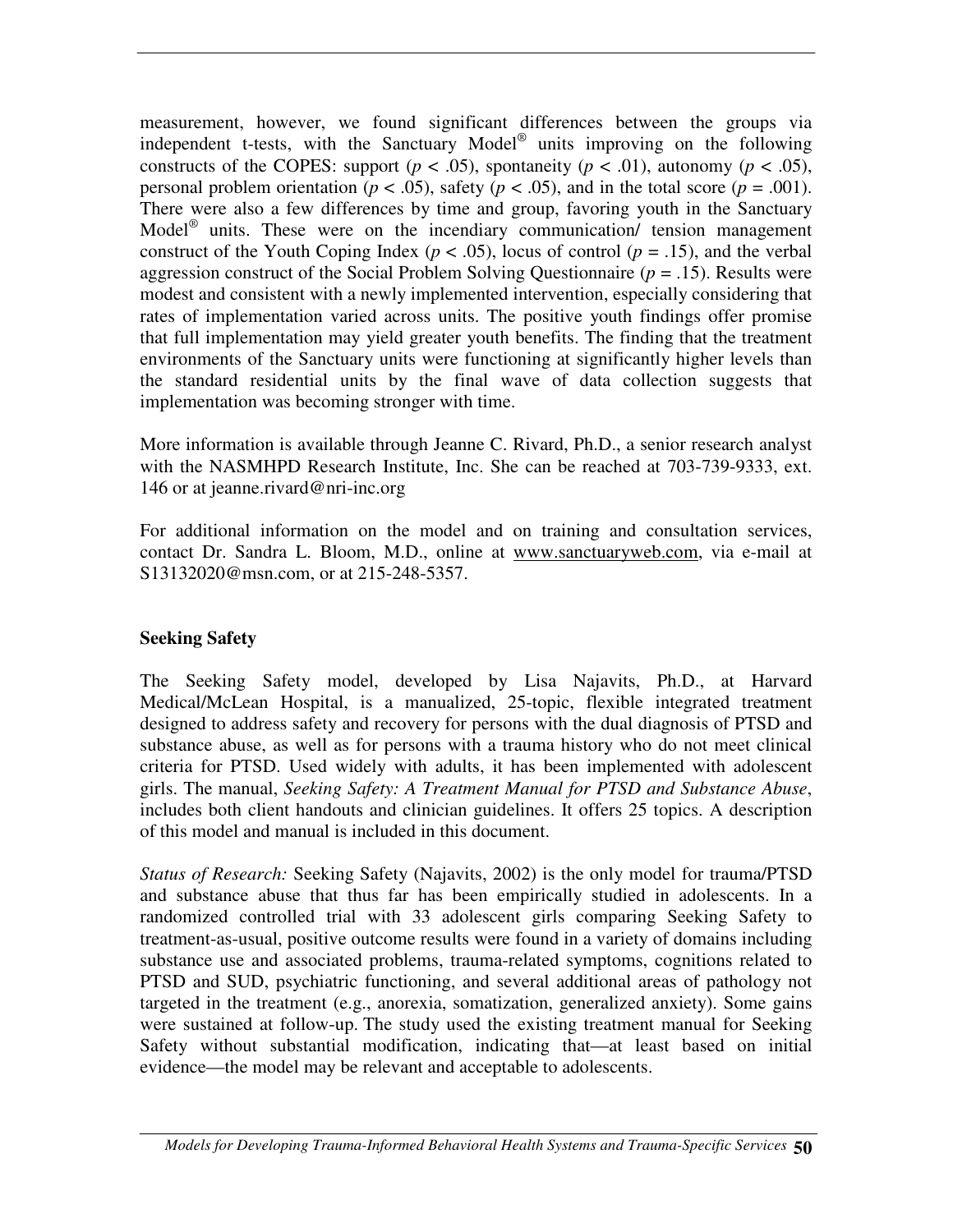measurement, however, we found significant differences between the groups via independent t-tests, with the Sanctuary Model<sup>®</sup> units improving on the following constructs of the COPES: support ( $p < .05$ ), spontaneity ( $p < .01$ ), autonomy ( $p < .05$ ), personal problem orientation ( $p < .05$ ), safety ( $p < .05$ ), and in the total score ( $p = .001$ ). There were also a few differences by time and group, favoring youth in the Sanctuary Model ® units. These were on the incendiary communication/ tension management construct of the Youth Coping Index ( $p < .05$ ), locus of control ( $p = .15$ ), and the verbal aggression construct of the Social Problem Solving Questionnaire (*p* = .15). Results were modest and consistent with a newly implemented intervention, especially considering that rates of implementation varied across units. The positive youth findings offer promise that full implementation may yield greater youth benefits. The finding that the treatment environments of the Sanctuary units were functioning at significantly higher levels than the standard residential units by the final wave of data collection suggests that implementation was becoming stronger with time.

More information is available through Jeanne C. Rivard, Ph.D., a senior research analyst with the NASMHPD Research Institute, Inc. She can be reached at 703-739-9333, ext. 146 or at jeanne.rivard@nri-inc.org

For additional information on the model and on training and consultation services, contact Dr. Sandra L. Bloom, M.D., online at www.sanctuaryweb.com, via e-mail at S13132020@msn.com, or at 215-248-5357.

#### **Seeking Safety**

The Seeking Safety model, developed by Lisa Najavits, Ph.D., at Harvard Medical/McLean Hospital, is a manualized, 25-topic, flexible integrated treatment designed to address safety and recovery for persons with the dual diagnosis of PTSD and substance abuse, as well as for persons with a trauma history who do not meet clinical criteria for PTSD. Used widely with adults, it has been implemented with adolescent girls. The manual, *Seeking Safety: A Treatment Manual for PTSD and Substance Abuse*, includes both client handouts and clinician guidelines. It offers 25 topics. A description of this model and manual is included in this document.

*Status of Research:* Seeking Safety (Najavits, 2002) is the only model for trauma/PTSD and substance abuse that thus far has been empirically studied in adolescents. In a randomized controlled trial with 33 adolescent girls comparing Seeking Safety to treatment-as-usual, positive outcome results were found in a variety of domains including substance use and associated problems, trauma-related symptoms, cognitions related to PTSD and SUD, psychiatric functioning, and several additional areas of pathology not targeted in the treatment (e.g., anorexia, somatization, generalized anxiety). Some gains were sustained at follow-up. The study used the existing treatment manual for Seeking Safety without substantial modification, indicating that—at least based on initial evidence—the model may be relevant and acceptable to adolescents.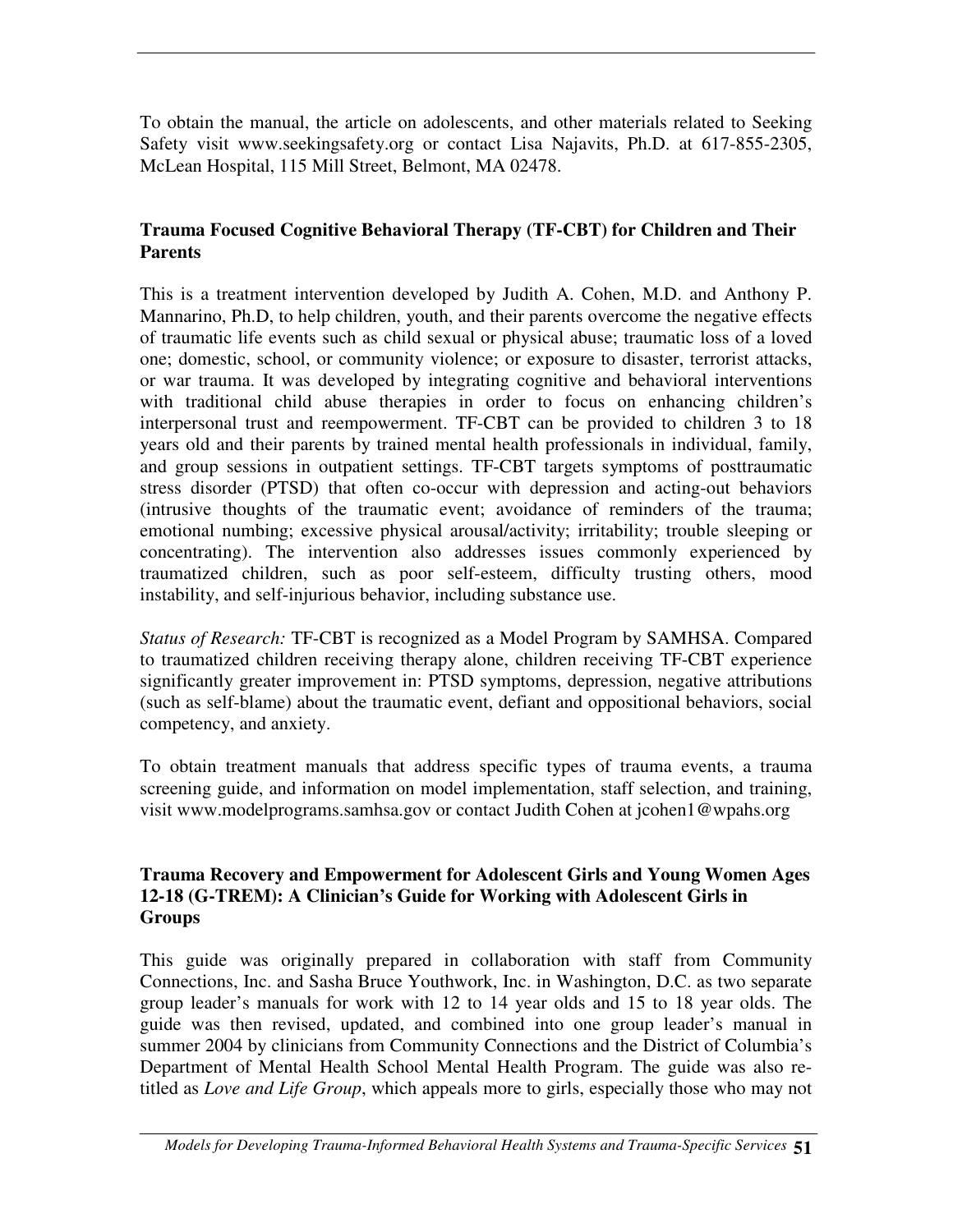To obtain the manual, the article on adolescents, and other materials related to Seeking Safety visit www.seekingsafety.org or contact Lisa Najavits, Ph.D. at 617-855-2305, McLean Hospital, 115 Mill Street, Belmont, MA 02478.

#### **Trauma Focused Cognitive Behavioral Therapy (TF-CBT) for Children and Their Parents**

This is a treatment intervention developed by Judith A. Cohen, M.D. and Anthony P. Mannarino, Ph.D, to help children, youth, and their parents overcome the negative effects of traumatic life events such as child sexual or physical abuse; traumatic loss of a loved one; domestic, school, or community violence; or exposure to disaster, terrorist attacks, or war trauma. It was developed by integrating cognitive and behavioral interventions with traditional child abuse therapies in order to focus on enhancing children's interpersonal trust and reempowerment. TF-CBT can be provided to children 3 to 18 years old and their parents by trained mental health professionals in individual, family, and group sessions in outpatient settings. TF-CBT targets symptoms of posttraumatic stress disorder (PTSD) that often co-occur with depression and acting-out behaviors (intrusive thoughts of the traumatic event; avoidance of reminders of the trauma; emotional numbing; excessive physical arousal/activity; irritability; trouble sleeping or concentrating). The intervention also addresses issues commonly experienced by traumatized children, such as poor self-esteem, difficulty trusting others, mood instability, and self-injurious behavior, including substance use.

*Status of Research:* TF-CBT is recognized as a Model Program by SAMHSA. Compared to traumatized children receiving therapy alone, children receiving TF-CBT experience significantly greater improvement in: PTSD symptoms, depression, negative attributions (such as self-blame) about the traumatic event, defiant and oppositional behaviors, social competency, and anxiety.

To obtain treatment manuals that address specific types of trauma events, a trauma screening guide, and information on model implementation, staff selection, and training, visit www.modelprograms.samhsa.gov or contact Judith Cohen at jcohen1@wpahs.org

#### **Trauma Recovery and Empowerment for Adolescent Girls and Young Women Ages 12-18 (G-TREM): A Clinician's Guide for Working with Adolescent Girls in Groups**

This guide was originally prepared in collaboration with staff from Community Connections, Inc. and Sasha Bruce Youthwork, Inc. in Washington, D.C. as two separate group leader's manuals for work with 12 to 14 year olds and 15 to 18 year olds. The guide was then revised, updated, and combined into one group leader's manual in summer 2004 by clinicians from Community Connections and the District of Columbia's Department of Mental Health School Mental Health Program. The guide was also retitled as *Love and Life Group*, which appeals more to girls, especially those who may not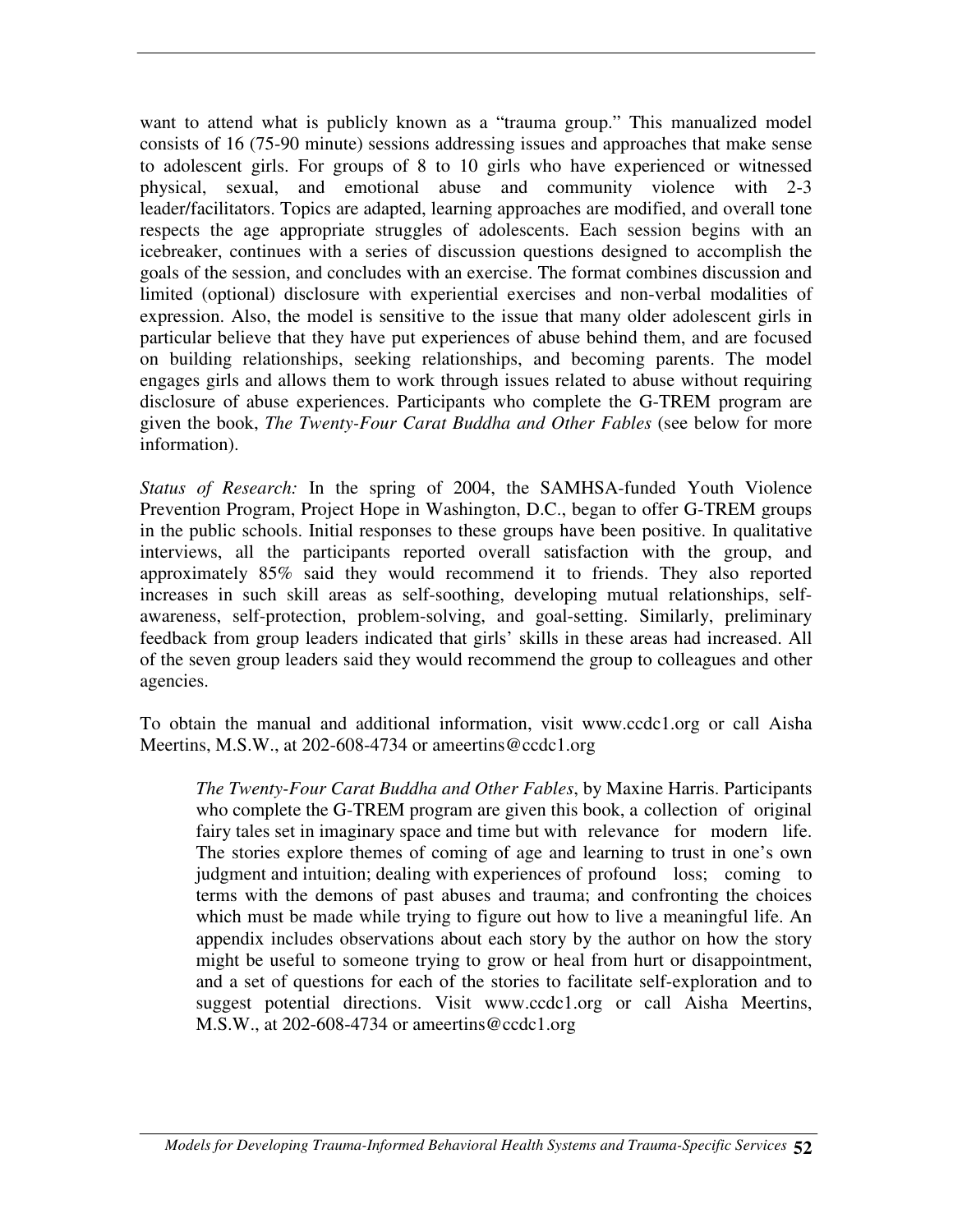want to attend what is publicly known as a "trauma group." This manualized model consists of 16 (75-90 minute) sessions addressing issues and approaches that make sense to adolescent girls. For groups of 8 to 10 girls who have experienced or witnessed physical, sexual, and emotional abuse and community violence with 2-3 leader/facilitators. Topics are adapted, learning approaches are modified, and overall tone respects the age appropriate struggles of adolescents. Each session begins with an icebreaker, continues with a series of discussion questions designed to accomplish the goals of the session, and concludes with an exercise. The format combines discussion and limited (optional) disclosure with experiential exercises and non-verbal modalities of expression. Also, the model is sensitive to the issue that many older adolescent girls in particular believe that they have put experiences of abuse behind them, and are focused on building relationships, seeking relationships, and becoming parents. The model engages girls and allows them to work through issues related to abuse without requiring disclosure of abuse experiences. Participants who complete the G-TREM program are given the book, *The Twenty-Four Carat Buddha and Other Fables* (see below for more information).

*Status of Research:* In the spring of 2004, the SAMHSA-funded Youth Violence Prevention Program, Project Hope in Washington, D.C., began to offer G-TREM groups in the public schools. Initial responses to these groups have been positive. In qualitative interviews, all the participants reported overall satisfaction with the group, and approximately 85% said they would recommend it to friends. They also reported increases in such skill areas as self-soothing, developing mutual relationships, selfawareness, self-protection, problem-solving, and goal-setting. Similarly, preliminary feedback from group leaders indicated that girls' skills in these areas had increased. All of the seven group leaders said they would recommend the group to colleagues and other agencies.

To obtain the manual and additional information, visit www.ccdc1.org or call Aisha Meertins, M.S.W., at 202-608-4734 or ameertins@ccdc1.org

*The Twenty-Four Carat Buddha and Other Fables*, by Maxine Harris. Participants who complete the G-TREM program are given this book, a collection of original fairy tales set in imaginary space and time but with relevance for modern life. The stories explore themes of coming of age and learning to trust in one's own judgment and intuition; dealing with experiences of profound loss; coming to terms with the demons of past abuses and trauma; and confronting the choices which must be made while trying to figure out how to live a meaningful life. An appendix includes observations about each story by the author on how the story might be useful to someone trying to grow or heal from hurt or disappointment, and a set of questions for each of the stories to facilitate self-exploration and to suggest potential directions. Visit www.ccdc1.org or call Aisha Meertins, M.S.W., at 202-608-4734 or ameertins@ccdc1.org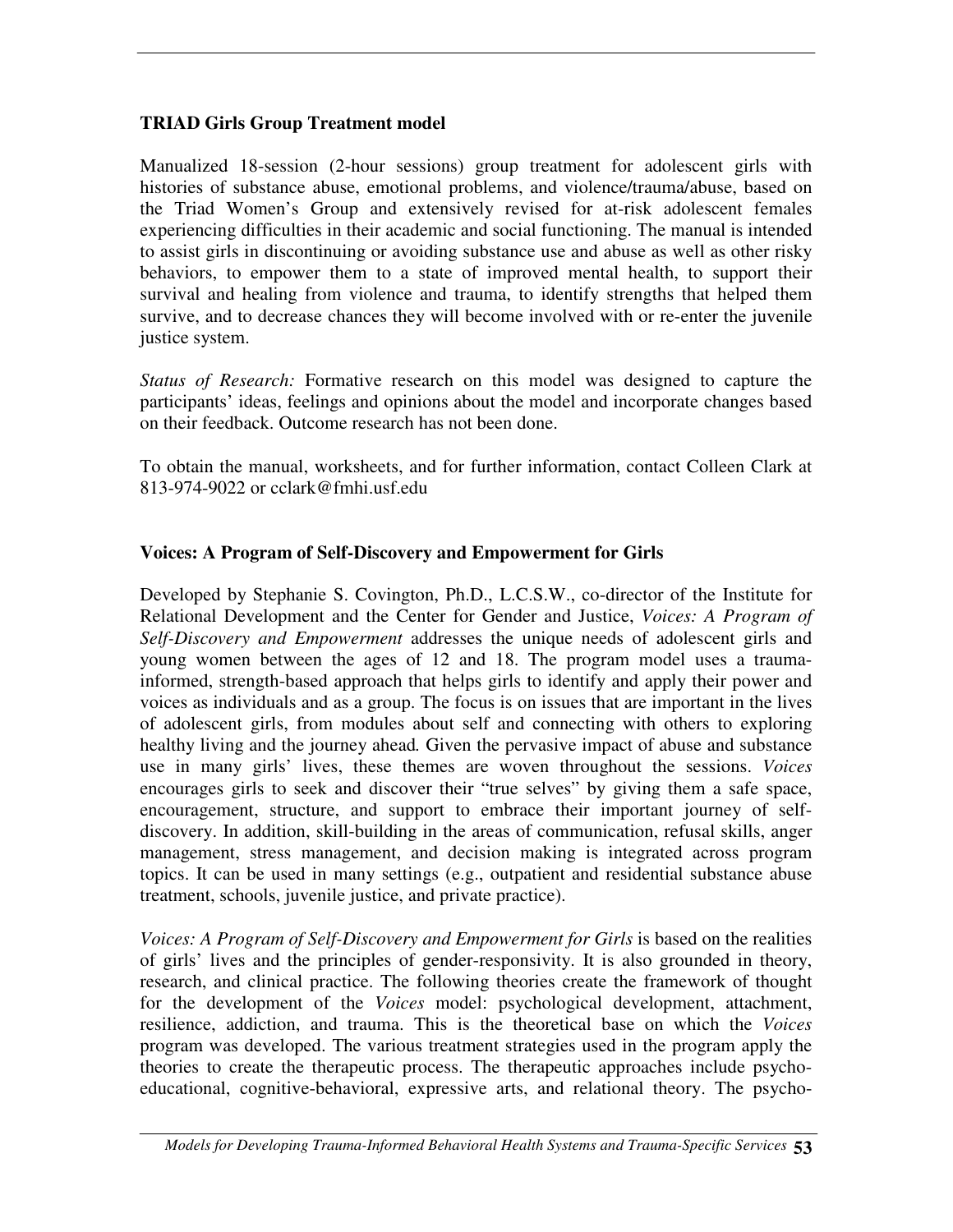#### **TRIAD Girls Group Treatment model**

Manualized 18-session (2-hour sessions) group treatment for adolescent girls with histories of substance abuse, emotional problems, and violence/trauma/abuse, based on the Triad Women's Group and extensively revised for at-risk adolescent females experiencing difficulties in their academic and social functioning. The manual is intended to assist girls in discontinuing or avoiding substance use and abuse as well as other risky behaviors, to empower them to a state of improved mental health, to support their survival and healing from violence and trauma, to identify strengths that helped them survive, and to decrease chances they will become involved with or re-enter the juvenile justice system.

*Status of Research:* Formative research on this model was designed to capture the participants' ideas, feelings and opinions about the model and incorporate changes based on their feedback. Outcome research has not been done.

To obtain the manual, worksheets, and for further information, contact Colleen Clark at 813-974-9022 or cclark@fmhi.usf.edu

#### **Voices: A Program of Self-Discovery and Empowerment for Girls**

Developed by Stephanie S. Covington, Ph.D., L.C.S.W., co-director of the Institute for Relational Development and the Center for Gender and Justice, *Voices: A Program of Self-Discovery and Empowerment* addresses the unique needs of adolescent girls and young women between the ages of 12 and 18. The program model uses a traumainformed, strength-based approach that helps girls to identify and apply their power and voices as individuals and as a group. The focus is on issues that are important in the lives of adolescent girls, from modules about self and connecting with others to exploring healthy living and the journey ahead*.* Given the pervasive impact of abuse and substance use in many girls' lives, these themes are woven throughout the sessions. *Voices* encourages girls to seek and discover their "true selves" by giving them a safe space, encouragement, structure, and support to embrace their important journey of selfdiscovery. In addition, skill-building in the areas of communication, refusal skills, anger management, stress management, and decision making is integrated across program topics. It can be used in many settings (e.g., outpatient and residential substance abuse treatment, schools, juvenile justice, and private practice).

*Voices: A Program of Self-Discovery and Empowerment for Girls* is based on the realities of girls' lives and the principles of gender-responsivity. It is also grounded in theory, research, and clinical practice. The following theories create the framework of thought for the development of the *Voices* model: psychological development, attachment, resilience, addiction, and trauma. This is the theoretical base on which the *Voices* program was developed. The various treatment strategies used in the program apply the theories to create the therapeutic process. The therapeutic approaches include psychoeducational, cognitive-behavioral, expressive arts, and relational theory. The psycho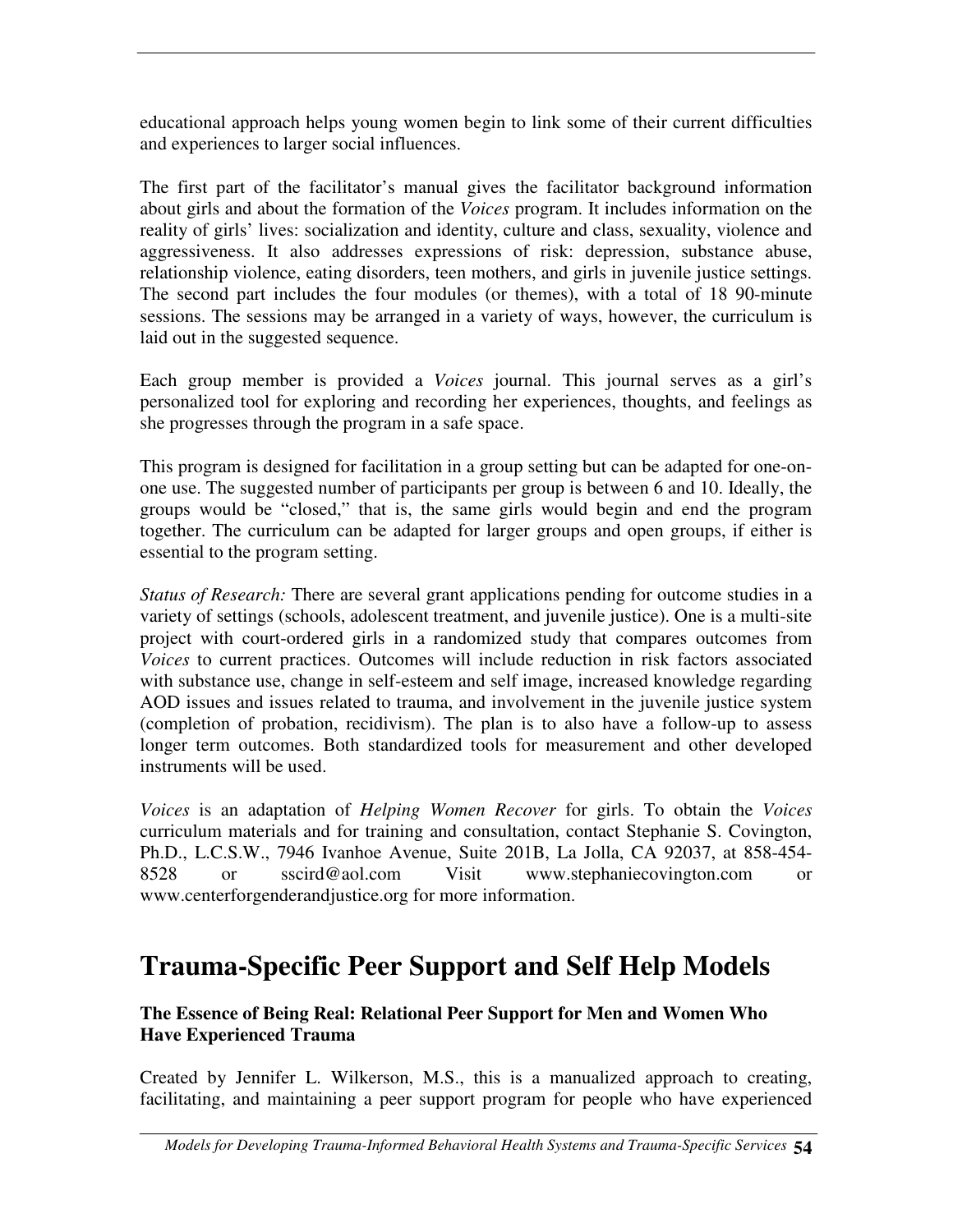educational approach helps young women begin to link some of their current difficulties and experiences to larger social influences.

The first part of the facilitator's manual gives the facilitator background information about girls and about the formation of the *Voices* program. It includes information on the reality of girls' lives: socialization and identity, culture and class, sexuality, violence and aggressiveness. It also addresses expressions of risk: depression, substance abuse, relationship violence, eating disorders, teen mothers, and girls in juvenile justice settings. The second part includes the four modules (or themes), with a total of 18 90-minute sessions. The sessions may be arranged in a variety of ways, however, the curriculum is laid out in the suggested sequence.

Each group member is provided a *Voices* journal. This journal serves as a girl's personalized tool for exploring and recording her experiences, thoughts, and feelings as she progresses through the program in a safe space.

This program is designed for facilitation in a group setting but can be adapted for one-onone use. The suggested number of participants per group is between 6 and 10. Ideally, the groups would be "closed," that is, the same girls would begin and end the program together. The curriculum can be adapted for larger groups and open groups, if either is essential to the program setting.

*Status of Research:* There are several grant applications pending for outcome studies in a variety of settings (schools, adolescent treatment, and juvenile justice). One is a multi-site project with court-ordered girls in a randomized study that compares outcomes from *Voices* to current practices. Outcomes will include reduction in risk factors associated with substance use, change in self-esteem and self image, increased knowledge regarding AOD issues and issues related to trauma, and involvement in the juvenile justice system (completion of probation, recidivism). The plan is to also have a follow-up to assess longer term outcomes. Both standardized tools for measurement and other developed instruments will be used.

*Voices* is an adaptation of *Helping Women Recover* for girls. To obtain the *Voices* curriculum materials and for training and consultation, contact Stephanie S. Covington, Ph.D., L.C.S.W., 7946 Ivanhoe Avenue, Suite 201B, La Jolla, CA 92037, at 858-454- 8528 or sscird@aol.com Visit www.stephaniecovington.com or www.centerforgenderandjustice.org for more information.

# **Trauma-Specific Peer Support and Self Help Models**

## **The Essence of Being Real: Relational Peer Support for Men and Women Who Have Experienced Trauma**

Created by Jennifer L. Wilkerson, M.S., this is a manualized approach to creating, facilitating, and maintaining a peer support program for people who have experienced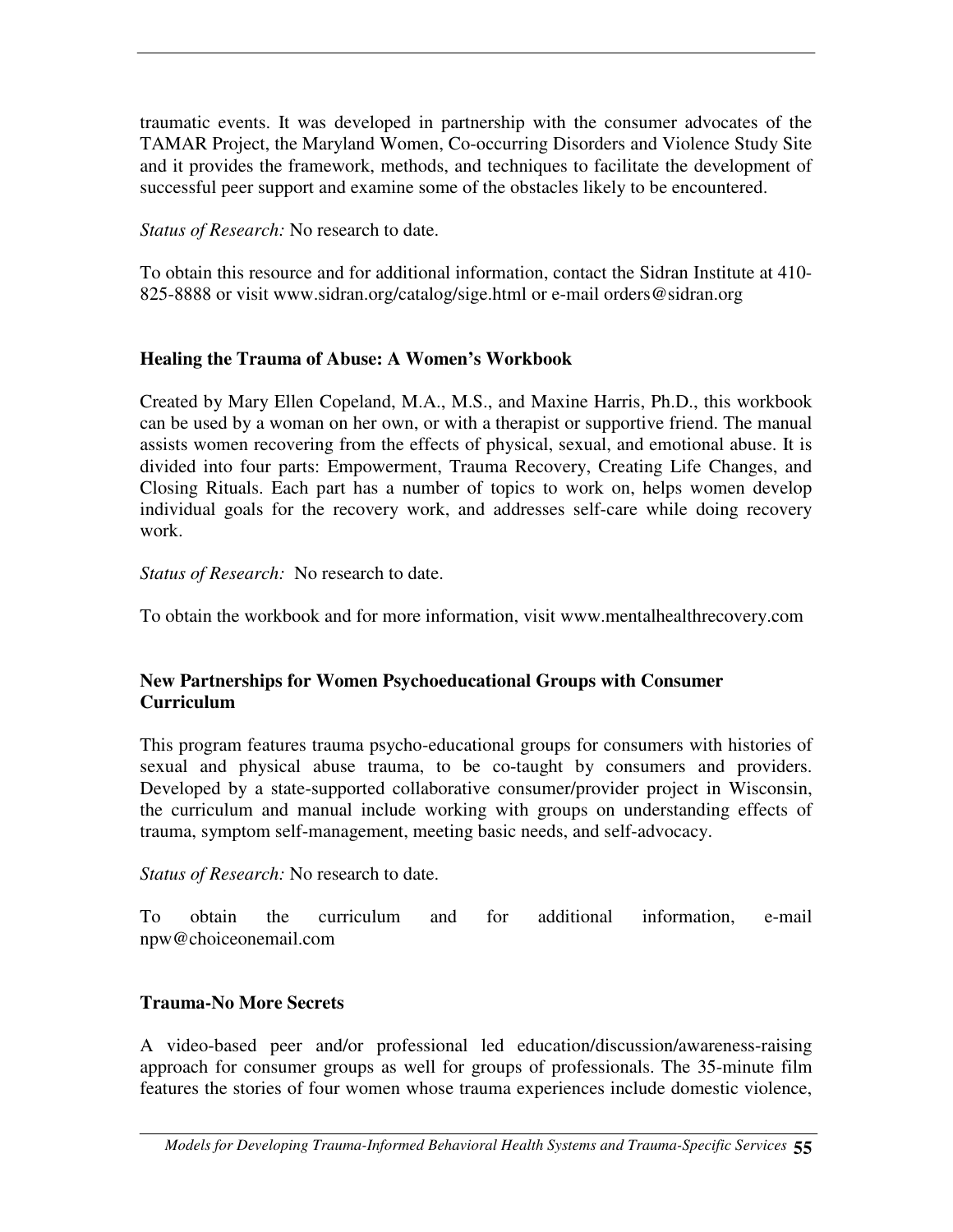traumatic events. It was developed in partnership with the consumer advocates of the TAMAR Project, the Maryland Women, Co-occurring Disorders and Violence Study Site and it provides the framework, methods, and techniques to facilitate the development of successful peer support and examine some of the obstacles likely to be encountered.

*Status of Research:* No research to date.

To obtain this resource and for additional information, contact the Sidran Institute at 410- 825-8888 or visit www.sidran.org/catalog/sige.html or e-mail orders@sidran.org

## **Healing the Trauma of Abuse: A Women's Workbook**

Created by Mary Ellen Copeland, M.A., M.S., and Maxine Harris, Ph.D., this workbook can be used by a woman on her own, or with a therapist or supportive friend. The manual assists women recovering from the effects of physical, sexual, and emotional abuse. It is divided into four parts: Empowerment, Trauma Recovery, Creating Life Changes, and Closing Rituals. Each part has a number of topics to work on, helps women develop individual goals for the recovery work, and addresses self-care while doing recovery work.

*Status of Research:* No research to date.

To obtain the workbook and for more information, visit www.mentalhealthrecovery.com

#### **New Partnerships for Women Psychoeducational Groups with Consumer Curriculum**

This program features trauma psycho-educational groups for consumers with histories of sexual and physical abuse trauma, to be co-taught by consumers and providers. Developed by a state-supported collaborative consumer/provider project in Wisconsin, the curriculum and manual include working with groups on understanding effects of trauma, symptom self-management, meeting basic needs, and self-advocacy.

*Status of Research:* No research to date.

To obtain the curriculum and for additional information, e-mail npw@choiceonemail.com

# **Trauma-No More Secrets**

A video-based peer and/or professional led education/discussion/awareness-raising approach for consumer groups as well for groups of professionals. The 35-minute film features the stories of four women whose trauma experiences include domestic violence,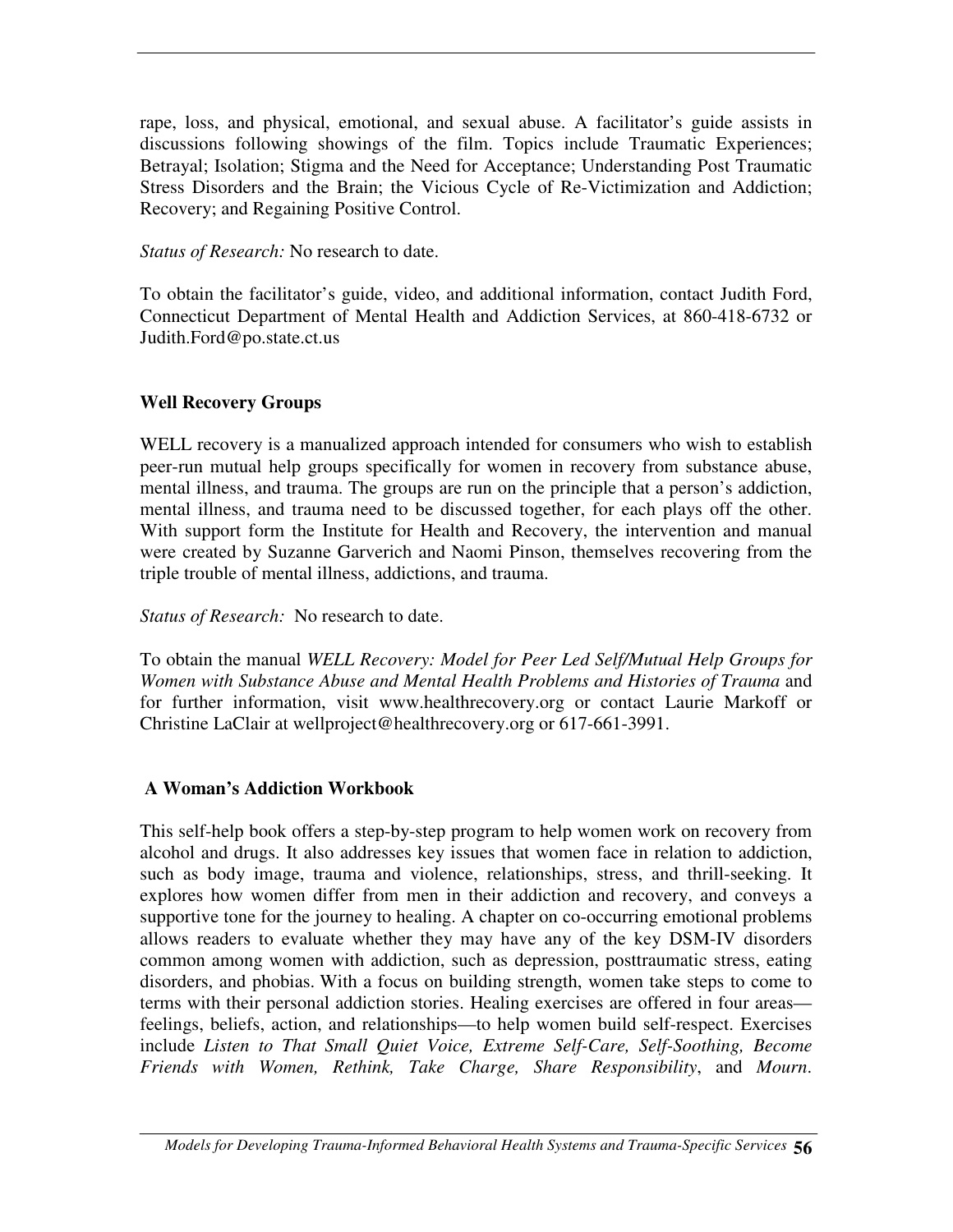rape, loss, and physical, emotional, and sexual abuse. A facilitator's guide assists in discussions following showings of the film. Topics include Traumatic Experiences; Betrayal; Isolation; Stigma and the Need for Acceptance; Understanding Post Traumatic Stress Disorders and the Brain; the Vicious Cycle of Re-Victimization and Addiction; Recovery; and Regaining Positive Control.

*Status of Research:* No research to date.

To obtain the facilitator's guide, video, and additional information, contact Judith Ford, Connecticut Department of Mental Health and Addiction Services, at 860-418-6732 or Judith.Ford@po.state.ct.us

## **Well Recovery Groups**

WELL recovery is a manualized approach intended for consumers who wish to establish peer-run mutual help groups specifically for women in recovery from substance abuse, mental illness, and trauma. The groups are run on the principle that a person's addiction, mental illness, and trauma need to be discussed together, for each plays off the other. With support form the Institute for Health and Recovery, the intervention and manual were created by Suzanne Garverich and Naomi Pinson, themselves recovering from the triple trouble of mental illness, addictions, and trauma.

*Status of Research:* No research to date.

To obtain the manual *WELL Recovery: Model for Peer Led Self/Mutual Help Groups for Women with Substance Abuse and Mental Health Problems and Histories of Trauma* and for further information, visit www.healthrecovery.org or contact Laurie Markoff or Christine LaClair at wellproject@healthrecovery.org or 617-661-3991.

# **A Woman's Addiction Workbook**

This self-help book offers a step-by-step program to help women work on recovery from alcohol and drugs. It also addresses key issues that women face in relation to addiction, such as body image, trauma and violence, relationships, stress, and thrill-seeking. It explores how women differ from men in their addiction and recovery, and conveys a supportive tone for the journey to healing. A chapter on co-occurring emotional problems allows readers to evaluate whether they may have any of the key DSM-IV disorders common among women with addiction, such as depression, posttraumatic stress, eating disorders, and phobias. With a focus on building strength, women take steps to come to terms with their personal addiction stories. Healing exercises are offered in four areas feelings, beliefs, action, and relationships—to help women build self-respect. Exercises include *Listen to That Small Quiet Voice, Extreme Self-Care, Self-Soothing, Become Friends with Women, Rethink, Take Charge, Share Responsibility*, and *Mourn*.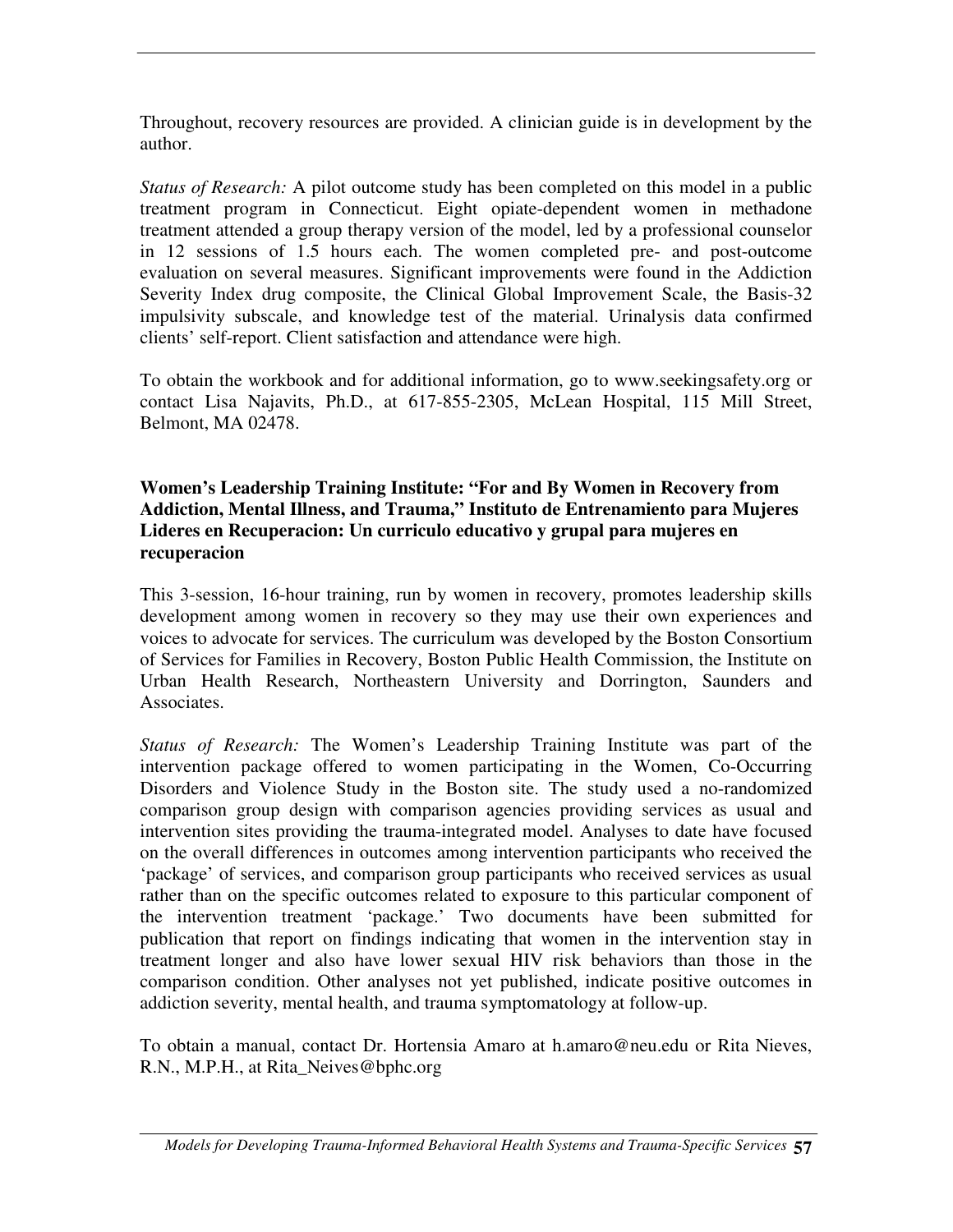Throughout, recovery resources are provided. A clinician guide is in development by the author.

*Status of Research:* A pilot outcome study has been completed on this model in a public treatment program in Connecticut. Eight opiate-dependent women in methadone treatment attended a group therapy version of the model, led by a professional counselor in 12 sessions of 1.5 hours each. The women completed pre- and post-outcome evaluation on several measures. Significant improvements were found in the Addiction Severity Index drug composite, the Clinical Global Improvement Scale, the Basis-32 impulsivity subscale, and knowledge test of the material. Urinalysis data confirmed clients' self-report. Client satisfaction and attendance were high.

To obtain the workbook and for additional information, go to www.seekingsafety.org or contact Lisa Najavits, Ph.D., at 617-855-2305, McLean Hospital, 115 Mill Street, Belmont, MA 02478.

#### **Women's Leadership Training Institute: "For and By Women in Recovery from Addiction, Mental Illness, and Trauma," Instituto de Entrenamiento para Mujeres Lideres en Recuperacion: Un curriculo educativo y grupal para mujeres en recuperacion**

This 3-session, 16-hour training, run by women in recovery, promotes leadership skills development among women in recovery so they may use their own experiences and voices to advocate for services. The curriculum was developed by the Boston Consortium of Services for Families in Recovery, Boston Public Health Commission, the Institute on Urban Health Research, Northeastern University and Dorrington, Saunders and Associates.

*Status of Research:* The Women's Leadership Training Institute was part of the intervention package offered to women participating in the Women, Co-Occurring Disorders and Violence Study in the Boston site. The study used a no-randomized comparison group design with comparison agencies providing services as usual and intervention sites providing the trauma-integrated model. Analyses to date have focused on the overall differences in outcomes among intervention participants who received the 'package' of services, and comparison group participants who received services as usual rather than on the specific outcomes related to exposure to this particular component of the intervention treatment 'package.' Two documents have been submitted for publication that report on findings indicating that women in the intervention stay in treatment longer and also have lower sexual HIV risk behaviors than those in the comparison condition. Other analyses not yet published, indicate positive outcomes in addiction severity, mental health, and trauma symptomatology at follow-up.

To obtain a manual, contact Dr. Hortensia Amaro at h.amaro@neu.edu or Rita Nieves, R.N., M.P.H., at Rita\_Neives@bphc.org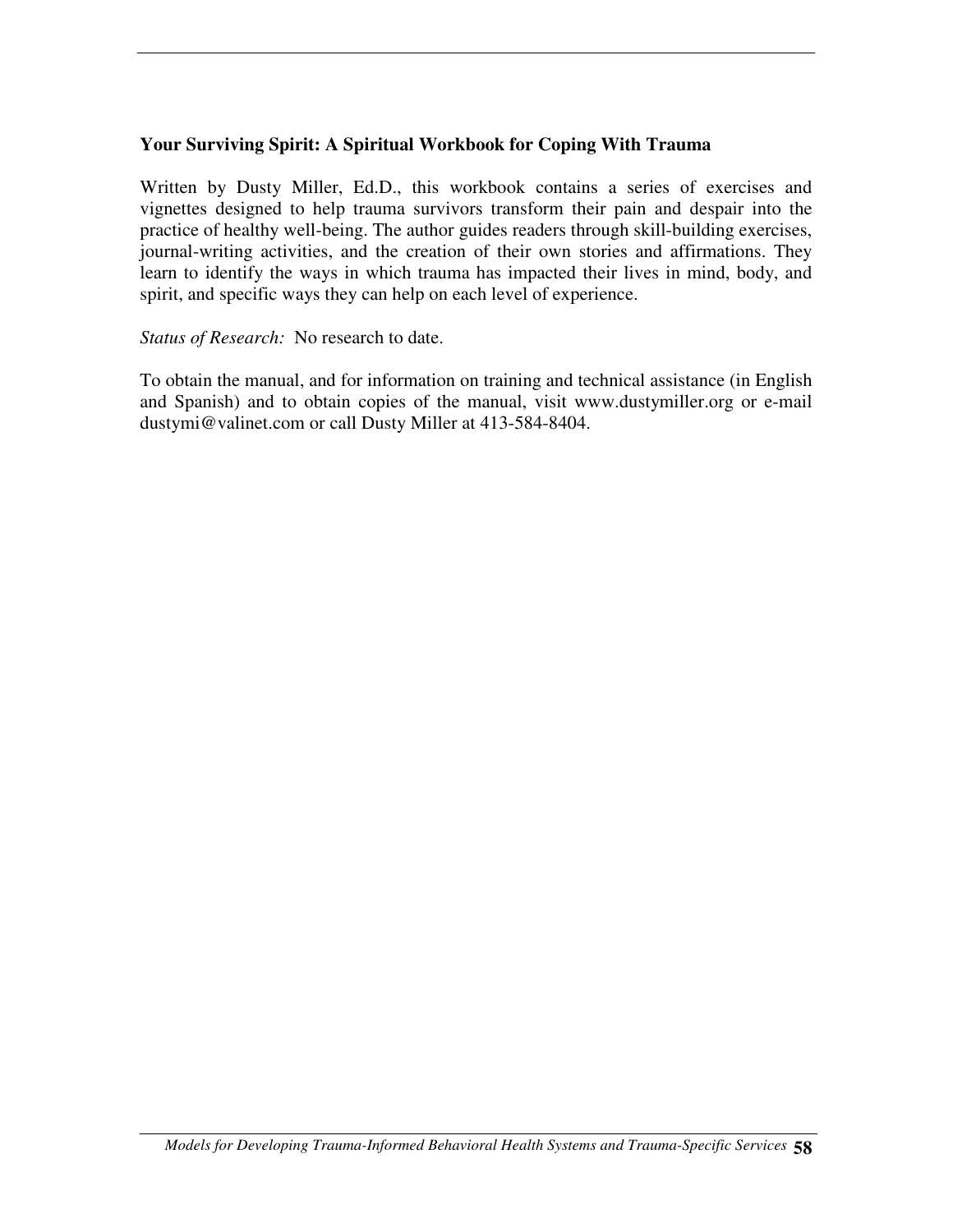#### **Your Surviving Spirit: A Spiritual Workbook for Coping With Trauma**

Written by Dusty Miller, Ed.D., this workbook contains a series of exercises and vignettes designed to help trauma survivors transform their pain and despair into the practice of healthy well-being. The author guides readers through skill-building exercises, journal-writing activities, and the creation of their own stories and affirmations. They learn to identify the ways in which trauma has impacted their lives in mind, body, and spirit, and specific ways they can help on each level of experience.

#### *Status of Research:* No research to date.

To obtain the manual, and for information on training and technical assistance (in English and Spanish) and to obtain copies of the manual, visit www.dustymiller.org or e-mail dustymi@valinet.com or call Dusty Miller at 413-584-8404.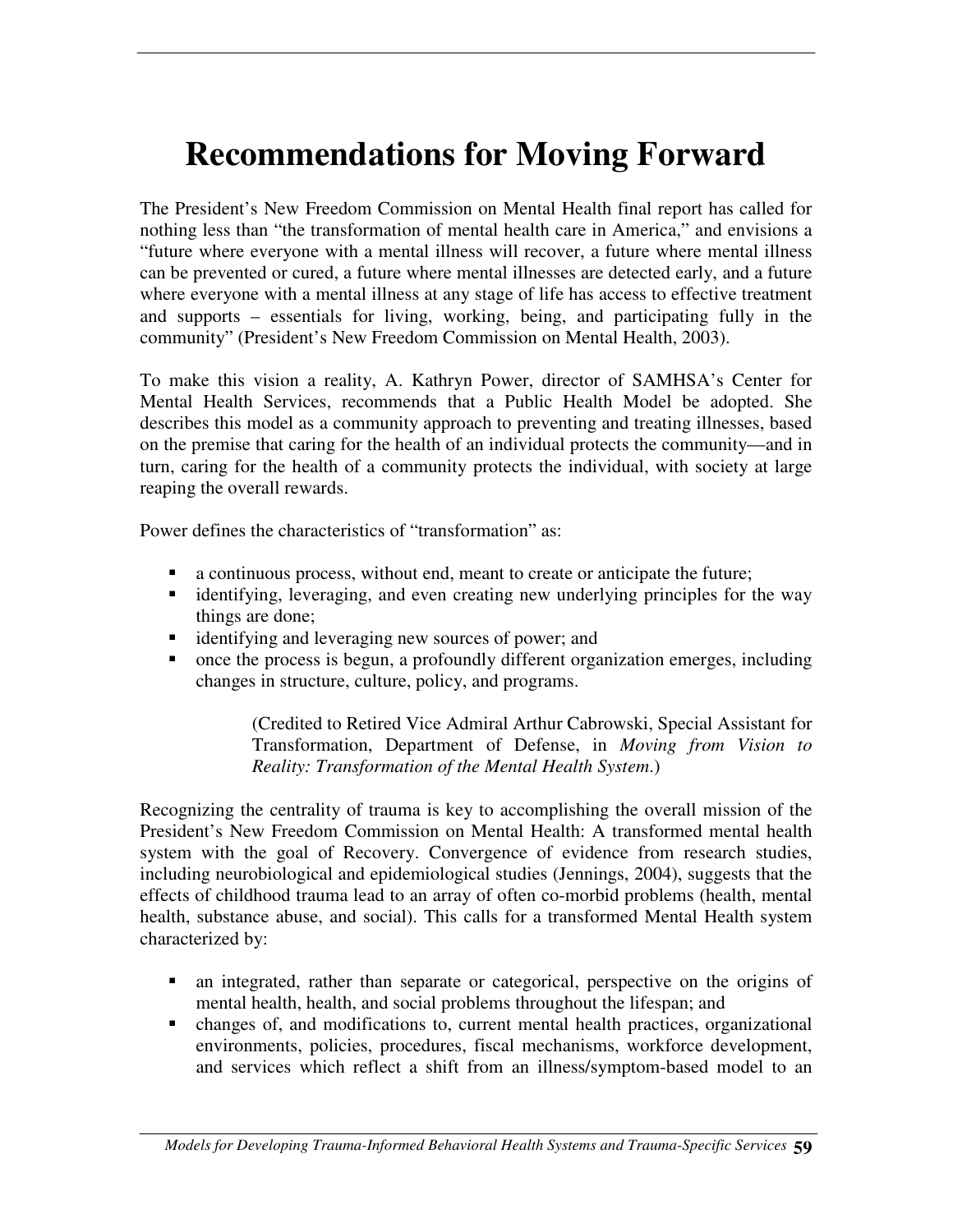# **Recommendations for Moving Forward**

The President's New Freedom Commission on Mental Health final report has called for nothing less than "the transformation of mental health care in America," and envisions a "future where everyone with a mental illness will recover, a future where mental illness can be prevented or cured, a future where mental illnesses are detected early, and a future where everyone with a mental illness at any stage of life has access to effective treatment and supports – essentials for living, working, being, and participating fully in the community" (President's New Freedom Commission on Mental Health, 2003).

To make this vision a reality, A. Kathryn Power, director of SAMHSA's Center for Mental Health Services, recommends that a Public Health Model be adopted. She describes this model as a community approach to preventing and treating illnesses, based on the premise that caring for the health of an individual protects the community—and in turn, caring for the health of a community protects the individual, with society at large reaping the overall rewards.

Power defines the characteristics of "transformation" as:

- a continuous process, without end, meant to create or anticipate the future;
- identifying, leveraging, and even creating new underlying principles for the way things are done;
- identifying and leveraging new sources of power; and
- once the process is begun, a profoundly different organization emerges, including changes in structure, culture, policy, and programs.

(Credited to Retired Vice Admiral Arthur Cabrowski, Special Assistant for Transformation, Department of Defense, in *Moving from Vision to Reality: Transformation of the Mental Health System*.)

Recognizing the centrality of trauma is key to accomplishing the overall mission of the President's New Freedom Commission on Mental Health: A transformed mental health system with the goal of Recovery. Convergence of evidence from research studies, including neurobiological and epidemiological studies (Jennings, 2004), suggests that the effects of childhood trauma lead to an array of often co-morbid problems (health, mental health, substance abuse, and social). This calls for a transformed Mental Health system characterized by:

- an integrated, rather than separate or categorical, perspective on the origins of mental health, health, and social problems throughout the lifespan; and
- changes of, and modifications to, current mental health practices, organizational environments, policies, procedures, fiscal mechanisms, workforce development, and services which reflect a shift from an illness/symptom-based model to an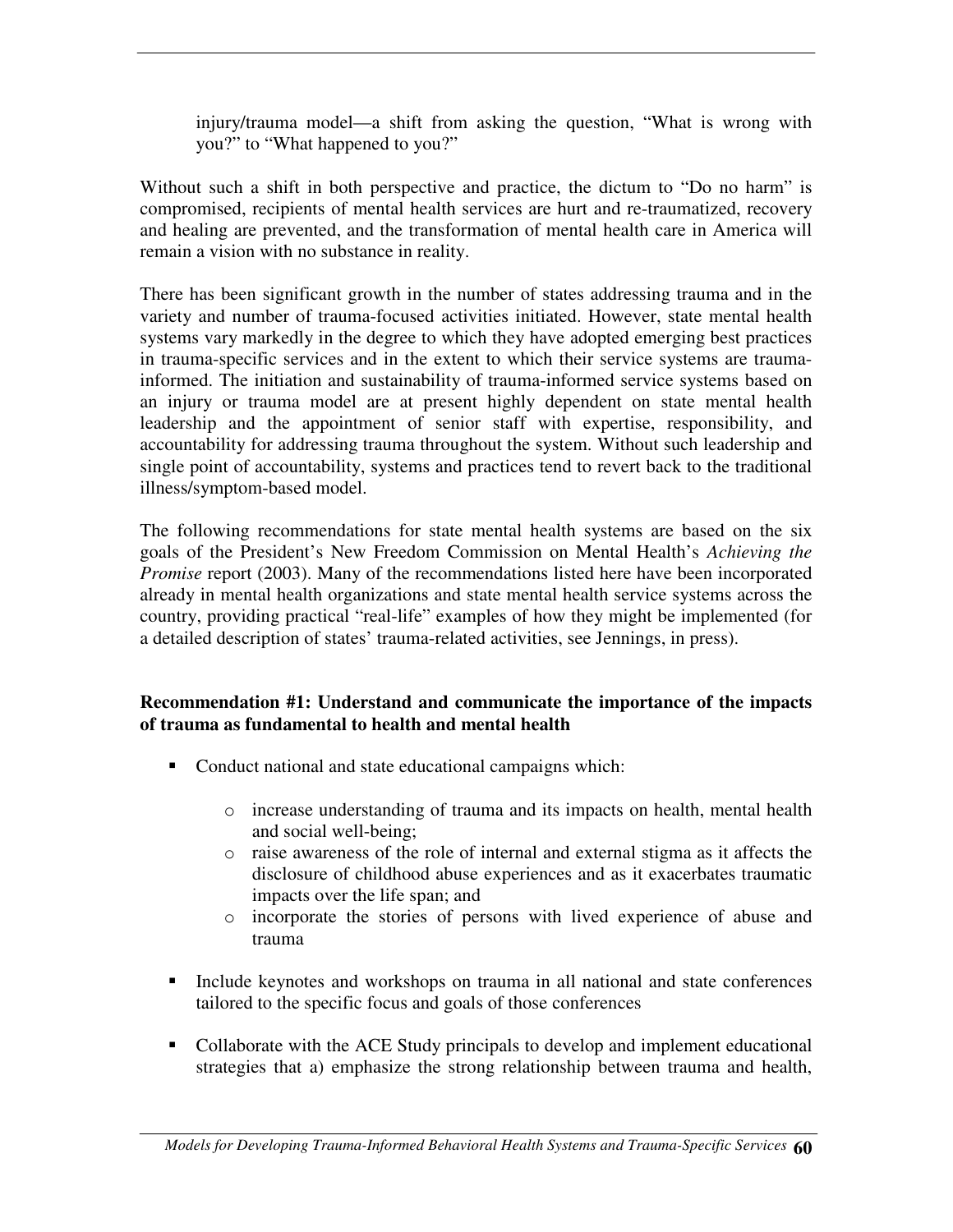injury/trauma model—a shift from asking the question, "What is wrong with you?" to "What happened to you?"

Without such a shift in both perspective and practice, the dictum to "Do no harm" is compromised, recipients of mental health services are hurt and re-traumatized, recovery and healing are prevented, and the transformation of mental health care in America will remain a vision with no substance in reality.

There has been significant growth in the number of states addressing trauma and in the variety and number of trauma-focused activities initiated. However, state mental health systems vary markedly in the degree to which they have adopted emerging best practices in trauma-specific services and in the extent to which their service systems are traumainformed. The initiation and sustainability of trauma-informed service systems based on an injury or trauma model are at present highly dependent on state mental health leadership and the appointment of senior staff with expertise, responsibility, and accountability for addressing trauma throughout the system. Without such leadership and single point of accountability, systems and practices tend to revert back to the traditional illness/symptom-based model.

The following recommendations for state mental health systems are based on the six goals of the President's New Freedom Commission on Mental Health's *Achieving the Promise* report (2003). Many of the recommendations listed here have been incorporated already in mental health organizations and state mental health service systems across the country, providing practical "real-life" examples of how they might be implemented (for a detailed description of states' trauma-related activities, see Jennings, in press).

#### **Recommendation #1: Understand and communicate the importance of the impacts of trauma as fundamental to health and mental health**

- Conduct national and state educational campaigns which:
	- o increase understanding of trauma and its impacts on health, mental health and social well-being;
	- o raise awareness of the role of internal and external stigma as it affects the disclosure of childhood abuse experiences and as it exacerbates traumatic impacts over the life span; and
	- o incorporate the stories of persons with lived experience of abuse and trauma
- Include keynotes and workshops on trauma in all national and state conferences tailored to the specific focus and goals of those conferences
- Collaborate with the ACE Study principals to develop and implement educational strategies that a) emphasize the strong relationship between trauma and health,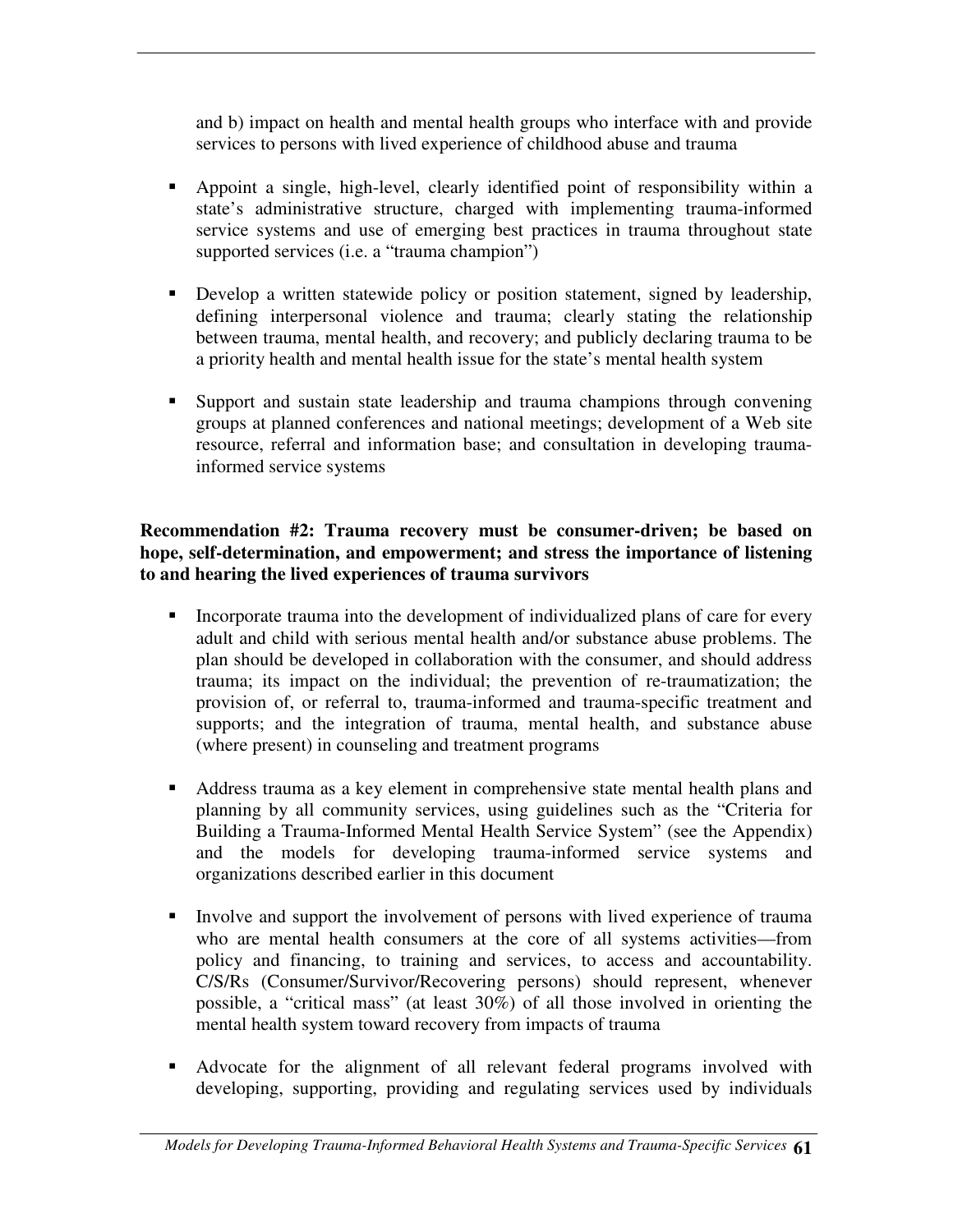and b) impact on health and mental health groups who interface with and provide services to persons with lived experience of childhood abuse and trauma

- Appoint a single, high-level, clearly identified point of responsibility within a state's administrative structure, charged with implementing trauma-informed service systems and use of emerging best practices in trauma throughout state supported services (i.e. a "trauma champion")
- **Develop a written statewide policy or position statement, signed by leadership,** defining interpersonal violence and trauma; clearly stating the relationship between trauma, mental health, and recovery; and publicly declaring trauma to be a priority health and mental health issue for the state's mental health system
- Support and sustain state leadership and trauma champions through convening groups at planned conferences and national meetings; development of a Web site resource, referral and information base; and consultation in developing traumainformed service systems

#### **Recommendation #2: Trauma recovery must be consumer-driven; be based on hope, self-determination, and empowerment; and stress the importance of listening to and hearing the lived experiences of trauma survivors**

- Incorporate trauma into the development of individualized plans of care for every adult and child with serious mental health and/or substance abuse problems. The plan should be developed in collaboration with the consumer, and should address trauma; its impact on the individual; the prevention of re-traumatization; the provision of, or referral to, trauma-informed and trauma-specific treatment and supports; and the integration of trauma, mental health, and substance abuse (where present) in counseling and treatment programs
- Address trauma as a key element in comprehensive state mental health plans and planning by all community services, using guidelines such as the "Criteria for Building a Trauma-Informed Mental Health Service System" (see the Appendix) and the models for developing trauma-informed service systems and organizations described earlier in this document
- Involve and support the involvement of persons with lived experience of trauma who are mental health consumers at the core of all systems activities—from policy and financing, to training and services, to access and accountability. C/S/Rs (Consumer/Survivor/Recovering persons) should represent, whenever possible, a "critical mass" (at least 30%) of all those involved in orienting the mental health system toward recovery from impacts of trauma
- Advocate for the alignment of all relevant federal programs involved with developing, supporting, providing and regulating services used by individuals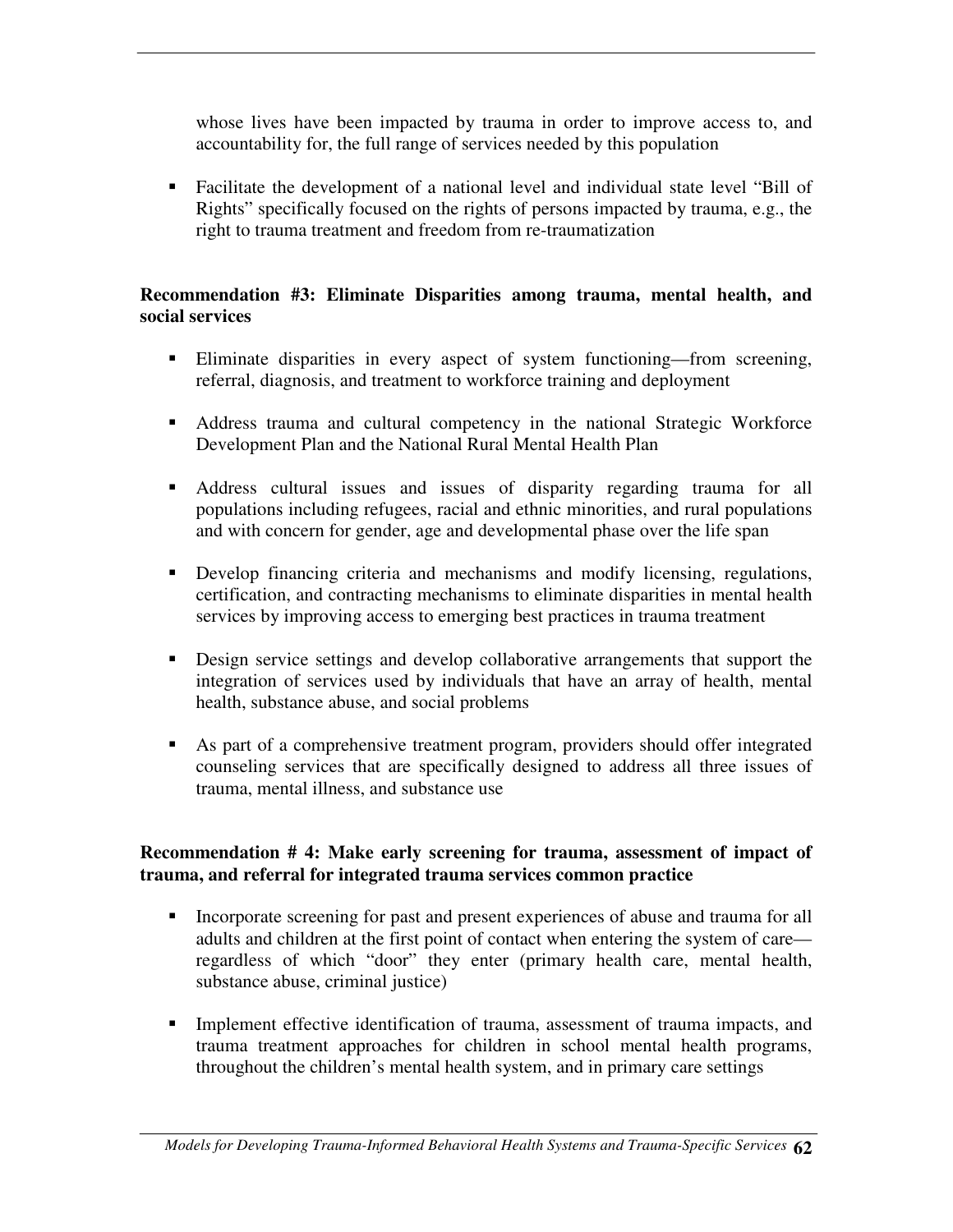whose lives have been impacted by trauma in order to improve access to, and accountability for, the full range of services needed by this population

 Facilitate the development of a national level and individual state level "Bill of Rights" specifically focused on the rights of persons impacted by trauma, e.g., the right to trauma treatment and freedom from re-traumatization

#### **Recommendation #3: Eliminate Disparities among trauma, mental health, and social services**

- Eliminate disparities in every aspect of system functioning—from screening, referral, diagnosis, and treatment to workforce training and deployment
- Address trauma and cultural competency in the national Strategic Workforce Development Plan and the National Rural Mental Health Plan
- Address cultural issues and issues of disparity regarding trauma for all populations including refugees, racial and ethnic minorities, and rural populations and with concern for gender, age and developmental phase over the life span
- Develop financing criteria and mechanisms and modify licensing, regulations, certification, and contracting mechanisms to eliminate disparities in mental health services by improving access to emerging best practices in trauma treatment
- Design service settings and develop collaborative arrangements that support the integration of services used by individuals that have an array of health, mental health, substance abuse, and social problems
- As part of a comprehensive treatment program, providers should offer integrated counseling services that are specifically designed to address all three issues of trauma, mental illness, and substance use

#### **Recommendation # 4: Make early screening for trauma, assessment of impact of trauma, and referral for integrated trauma services common practice**

- Incorporate screening for past and present experiences of abuse and trauma for all adults and children at the first point of contact when entering the system of care regardless of which "door" they enter (primary health care, mental health, substance abuse, criminal justice)
- **Implement effective identification of trauma, assessment of trauma impacts, and** trauma treatment approaches for children in school mental health programs, throughout the children's mental health system, and in primary care settings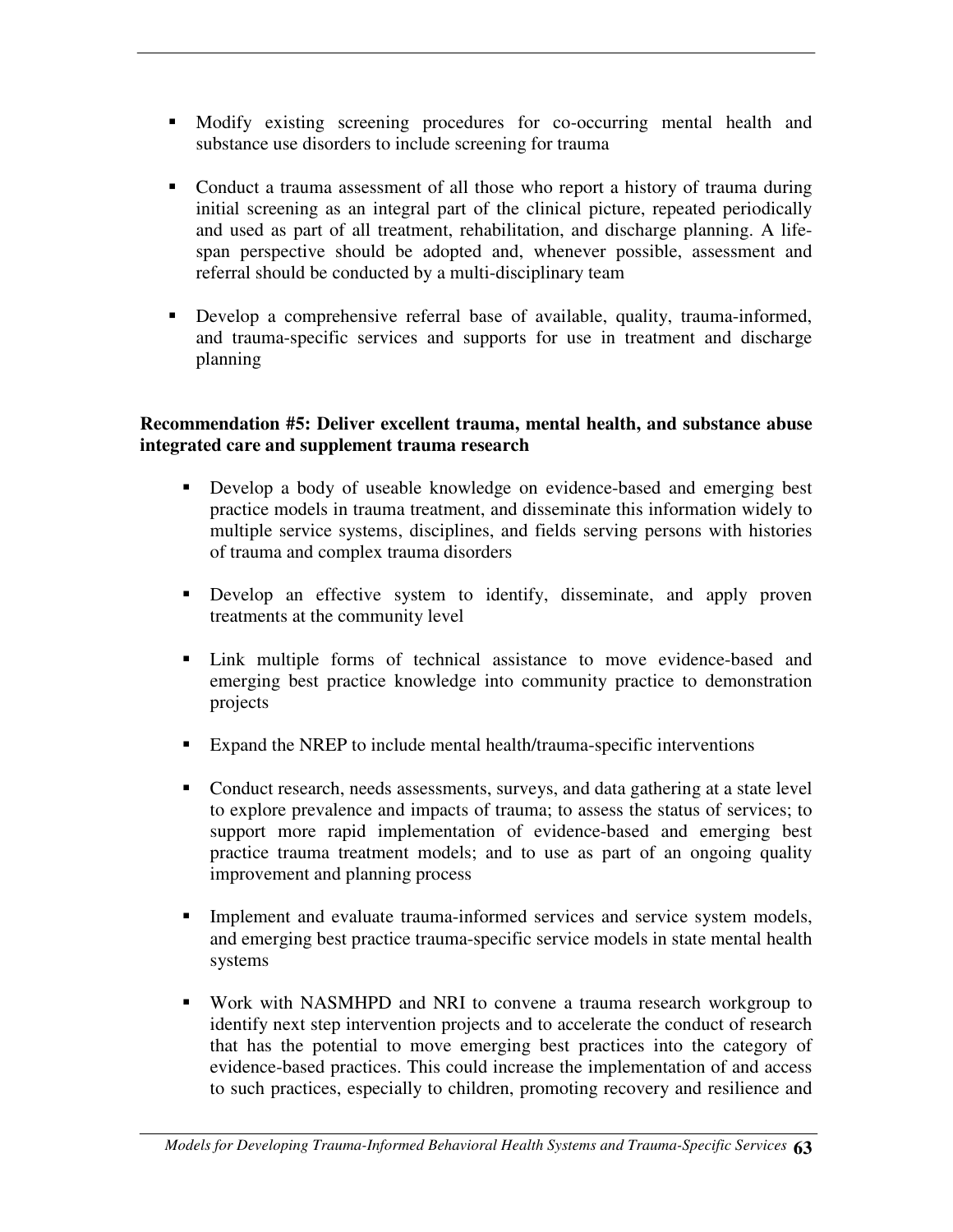- Modify existing screening procedures for co-occurring mental health and substance use disorders to include screening for trauma
- Conduct a trauma assessment of all those who report a history of trauma during initial screening as an integral part of the clinical picture, repeated periodically and used as part of all treatment, rehabilitation, and discharge planning. A lifespan perspective should be adopted and, whenever possible, assessment and referral should be conducted by a multi-disciplinary team
- Develop a comprehensive referral base of available, quality, trauma-informed, and trauma-specific services and supports for use in treatment and discharge planning

#### **Recommendation #5: Deliver excellent trauma, mental health, and substance abuse integrated care and supplement trauma research**

- Develop a body of useable knowledge on evidence-based and emerging best practice models in trauma treatment, and disseminate this information widely to multiple service systems, disciplines, and fields serving persons with histories of trauma and complex trauma disorders
- Develop an effective system to identify, disseminate, and apply proven treatments at the community level
- Link multiple forms of technical assistance to move evidence-based and emerging best practice knowledge into community practice to demonstration projects
- Expand the NREP to include mental health/trauma-specific interventions
- Conduct research, needs assessments, surveys, and data gathering at a state level to explore prevalence and impacts of trauma; to assess the status of services; to support more rapid implementation of evidence-based and emerging best practice trauma treatment models; and to use as part of an ongoing quality improvement and planning process
- **Implement and evaluate trauma-informed services and service system models,** and emerging best practice trauma-specific service models in state mental health systems
- Work with NASMHPD and NRI to convene a trauma research workgroup to identify next step intervention projects and to accelerate the conduct of research that has the potential to move emerging best practices into the category of evidence-based practices. This could increase the implementation of and access to such practices, especially to children, promoting recovery and resilience and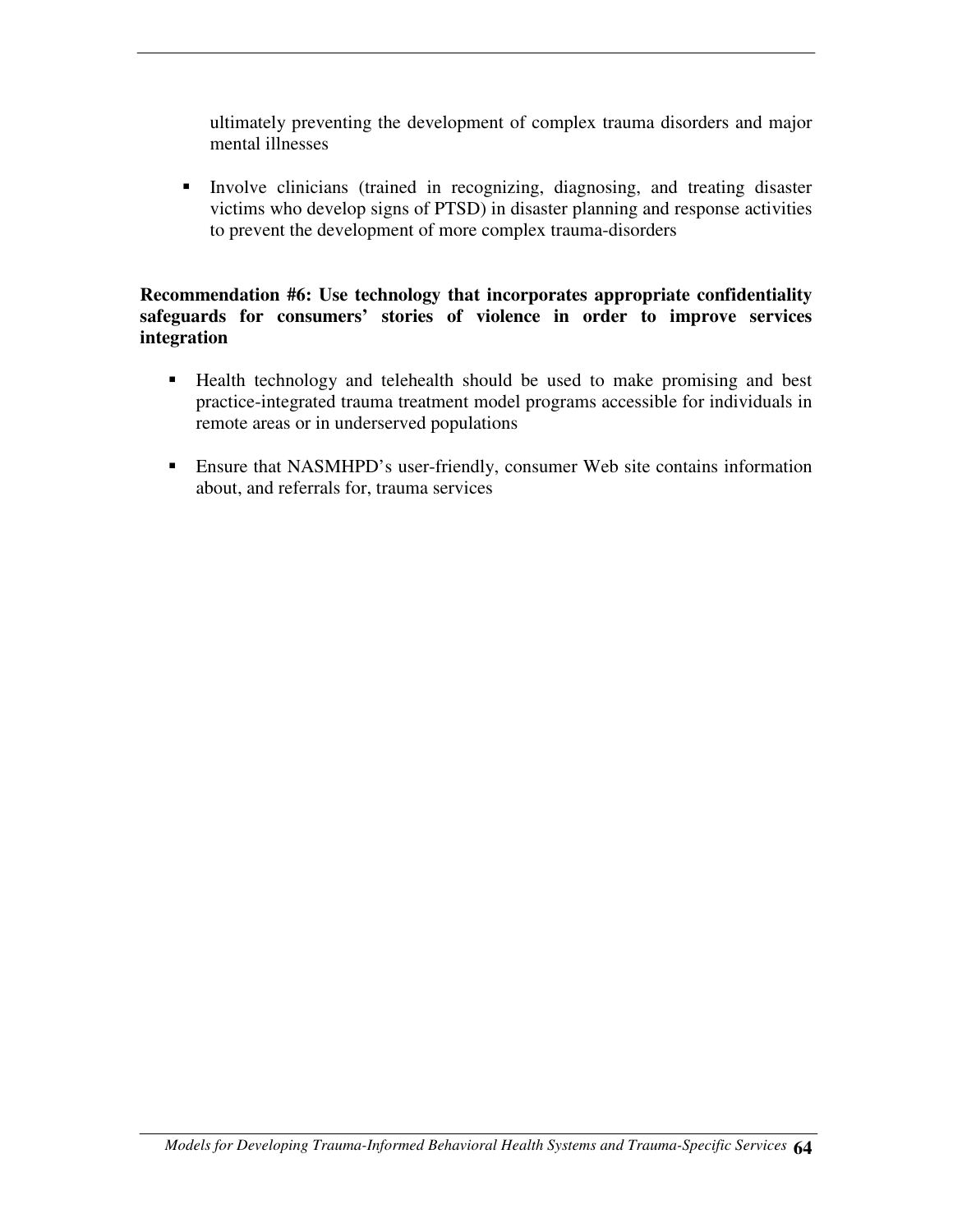ultimately preventing the development of complex trauma disorders and major mental illnesses

 Involve clinicians (trained in recognizing, diagnosing, and treating disaster victims who develop signs of PTSD) in disaster planning and response activities to prevent the development of more complex trauma-disorders

#### **Recommendation #6: Use technology that incorporates appropriate confidentiality safeguards for consumers' stories of violence in order to improve services integration**

- Health technology and telehealth should be used to make promising and best practice-integrated trauma treatment model programs accessible for individuals in remote areas or in underserved populations
- Ensure that NASMHPD's user-friendly, consumer Web site contains information about, and referrals for, trauma services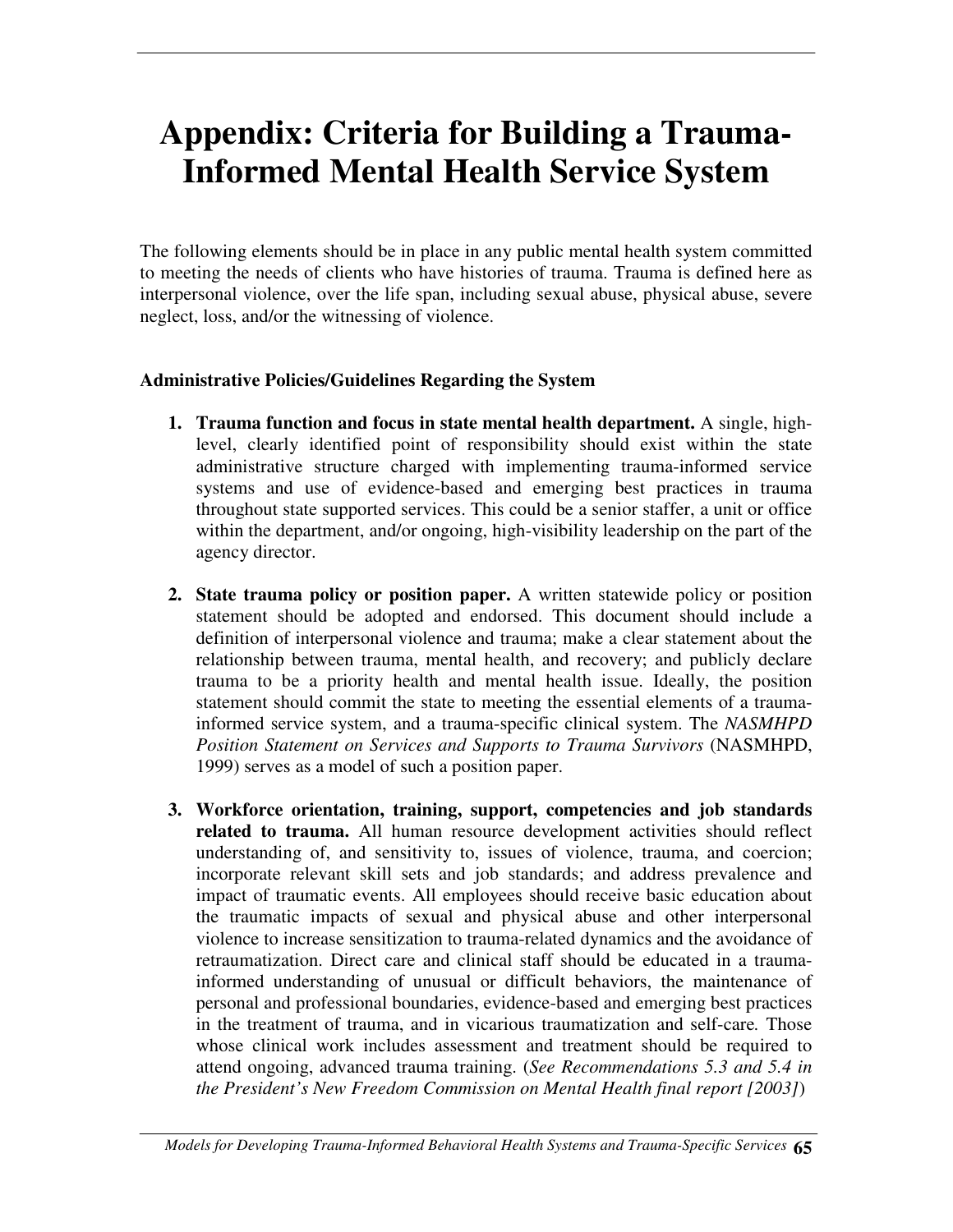# **Appendix: Criteria for Building a Trauma-Informed Mental Health Service System**

The following elements should be in place in any public mental health system committed to meeting the needs of clients who have histories of trauma. Trauma is defined here as interpersonal violence, over the life span, including sexual abuse, physical abuse, severe neglect, loss, and/or the witnessing of violence.

#### **Administrative Policies/Guidelines Regarding the System**

- **1. Trauma function and focus in state mental health department.** A single, highlevel, clearly identified point of responsibility should exist within the state administrative structure charged with implementing trauma-informed service systems and use of evidence-based and emerging best practices in trauma throughout state supported services. This could be a senior staffer, a unit or office within the department, and/or ongoing, high-visibility leadership on the part of the agency director.
- **2. State trauma policy or position paper.** A written statewide policy or position statement should be adopted and endorsed. This document should include a definition of interpersonal violence and trauma; make a clear statement about the relationship between trauma, mental health, and recovery; and publicly declare trauma to be a priority health and mental health issue. Ideally, the position statement should commit the state to meeting the essential elements of a traumainformed service system, and a trauma-specific clinical system. The *NASMHPD Position Statement on Services and Supports to Trauma Survivors* (NASMHPD, 1999) serves as a model of such a position paper.
- **3. Workforce orientation, training, support, competencies and job standards related to trauma.** All human resource development activities should reflect understanding of, and sensitivity to, issues of violence, trauma, and coercion; incorporate relevant skill sets and job standards; and address prevalence and impact of traumatic events. All employees should receive basic education about the traumatic impacts of sexual and physical abuse and other interpersonal violence to increase sensitization to trauma-related dynamics and the avoidance of retraumatization. Direct care and clinical staff should be educated in a traumainformed understanding of unusual or difficult behaviors, the maintenance of personal and professional boundaries, evidence-based and emerging best practices in the treatment of trauma, and in vicarious traumatization and self-care*.* Those whose clinical work includes assessment and treatment should be required to attend ongoing, advanced trauma training. (*See Recommendations 5.3 and 5.4 in the President's New Freedom Commission on Mental Health final report [2003]*)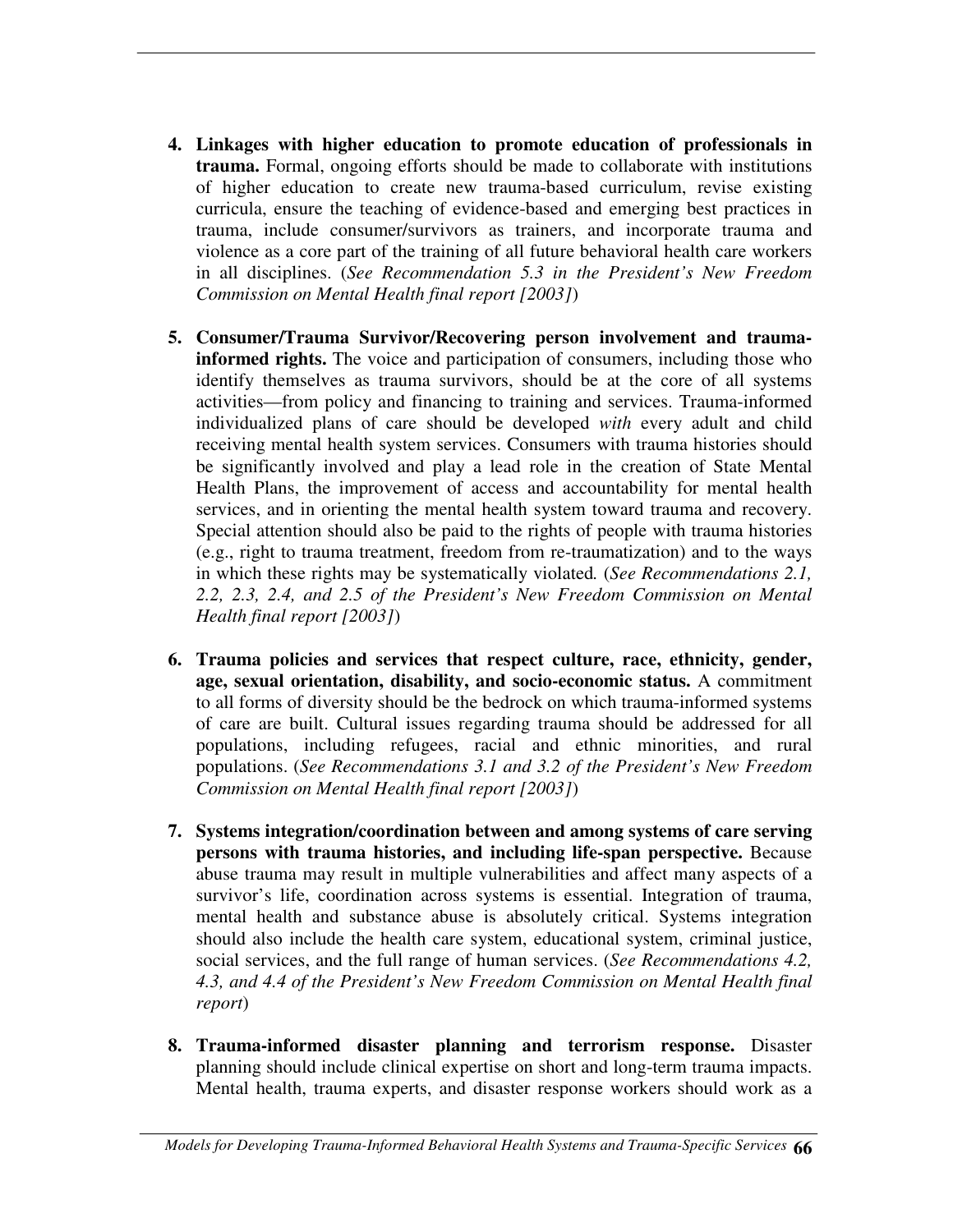- **4. Linkages with higher education to promote education of professionals in trauma.** Formal, ongoing efforts should be made to collaborate with institutions of higher education to create new trauma-based curriculum, revise existing curricula, ensure the teaching of evidence-based and emerging best practices in trauma, include consumer/survivors as trainers, and incorporate trauma and violence as a core part of the training of all future behavioral health care workers in all disciplines. (*See Recommendation 5.3 in the President's New Freedom Commission on Mental Health final report [2003]*)
- **5. Consumer/Trauma Survivor/Recovering person involvement and traumainformed rights.** The voice and participation of consumers, including those who identify themselves as trauma survivors, should be at the core of all systems activities—from policy and financing to training and services. Trauma-informed individualized plans of care should be developed *with* every adult and child receiving mental health system services. Consumers with trauma histories should be significantly involved and play a lead role in the creation of State Mental Health Plans, the improvement of access and accountability for mental health services, and in orienting the mental health system toward trauma and recovery. Special attention should also be paid to the rights of people with trauma histories (e.g., right to trauma treatment, freedom from re-traumatization) and to the ways in which these rights may be systematically violated*.* (*See Recommendations 2.1, 2.2, 2.3, 2.4, and 2.5 of the President's New Freedom Commission on Mental Health final report [2003]*)
- **6. Trauma policies and services that respect culture, race, ethnicity, gender, age, sexual orientation, disability, and socio-economic status.** A commitment to all forms of diversity should be the bedrock on which trauma-informed systems of care are built. Cultural issues regarding trauma should be addressed for all populations, including refugees, racial and ethnic minorities, and rural populations. (*See Recommendations 3.1 and 3.2 of the President's New Freedom Commission on Mental Health final report [2003]*)
- **7. Systems integration/coordination between and among systems of care serving persons with trauma histories, and including life-span perspective.** Because abuse trauma may result in multiple vulnerabilities and affect many aspects of a survivor's life, coordination across systems is essential. Integration of trauma, mental health and substance abuse is absolutely critical. Systems integration should also include the health care system, educational system, criminal justice, social services, and the full range of human services. (*See Recommendations 4.2, 4.3, and 4.4 of the President's New Freedom Commission on Mental Health final report*)
- **8. Trauma-informed disaster planning and terrorism response.** Disaster planning should include clinical expertise on short and long-term trauma impacts. Mental health, trauma experts, and disaster response workers should work as a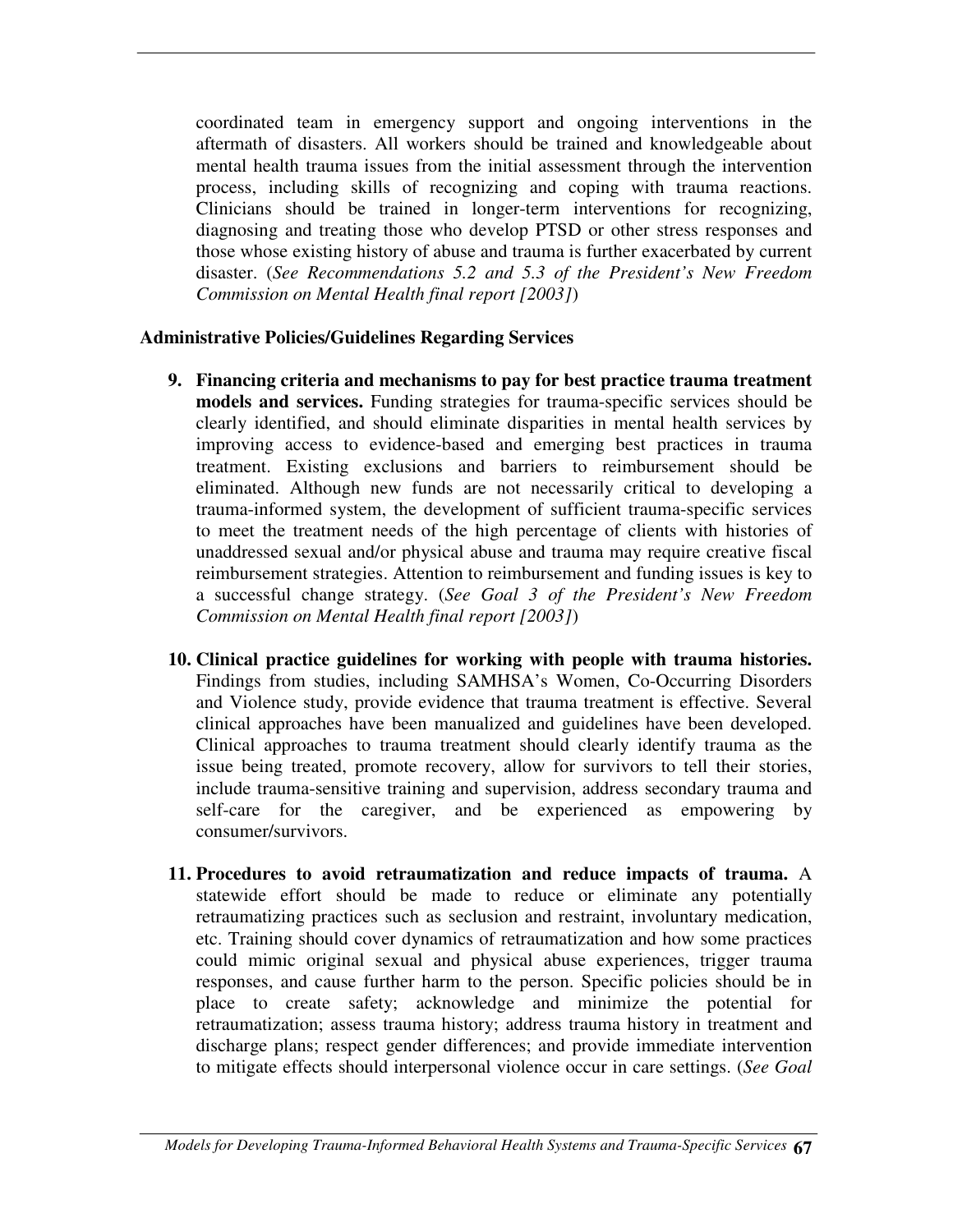coordinated team in emergency support and ongoing interventions in the aftermath of disasters. All workers should be trained and knowledgeable about mental health trauma issues from the initial assessment through the intervention process, including skills of recognizing and coping with trauma reactions. Clinicians should be trained in longer-term interventions for recognizing, diagnosing and treating those who develop PTSD or other stress responses and those whose existing history of abuse and trauma is further exacerbated by current disaster. (*See Recommendations 5.2 and 5.3 of the President's New Freedom Commission on Mental Health final report [2003]*)

#### **Administrative Policies/Guidelines Regarding Services**

- **9. Financing criteria and mechanisms to pay for best practice trauma treatment models and services.** Funding strategies for trauma-specific services should be clearly identified, and should eliminate disparities in mental health services by improving access to evidence-based and emerging best practices in trauma treatment. Existing exclusions and barriers to reimbursement should be eliminated. Although new funds are not necessarily critical to developing a trauma-informed system, the development of sufficient trauma-specific services to meet the treatment needs of the high percentage of clients with histories of unaddressed sexual and/or physical abuse and trauma may require creative fiscal reimbursement strategies. Attention to reimbursement and funding issues is key to a successful change strategy. (*See Goal 3 of the President's New Freedom Commission on Mental Health final report [2003]*)
- **10. Clinical practice guidelines for working with people with trauma histories.** Findings from studies, including SAMHSA's Women, Co-Occurring Disorders and Violence study, provide evidence that trauma treatment is effective. Several clinical approaches have been manualized and guidelines have been developed. Clinical approaches to trauma treatment should clearly identify trauma as the issue being treated, promote recovery, allow for survivors to tell their stories, include trauma-sensitive training and supervision, address secondary trauma and self-care for the caregiver, and be experienced as empowering by consumer/survivors.
- **11. Procedures to avoid retraumatization and reduce impacts of trauma.** A statewide effort should be made to reduce or eliminate any potentially retraumatizing practices such as seclusion and restraint, involuntary medication, etc. Training should cover dynamics of retraumatization and how some practices could mimic original sexual and physical abuse experiences, trigger trauma responses, and cause further harm to the person. Specific policies should be in place to create safety; acknowledge and minimize the potential for retraumatization; assess trauma history; address trauma history in treatment and discharge plans; respect gender differences; and provide immediate intervention to mitigate effects should interpersonal violence occur in care settings. (*See Goal*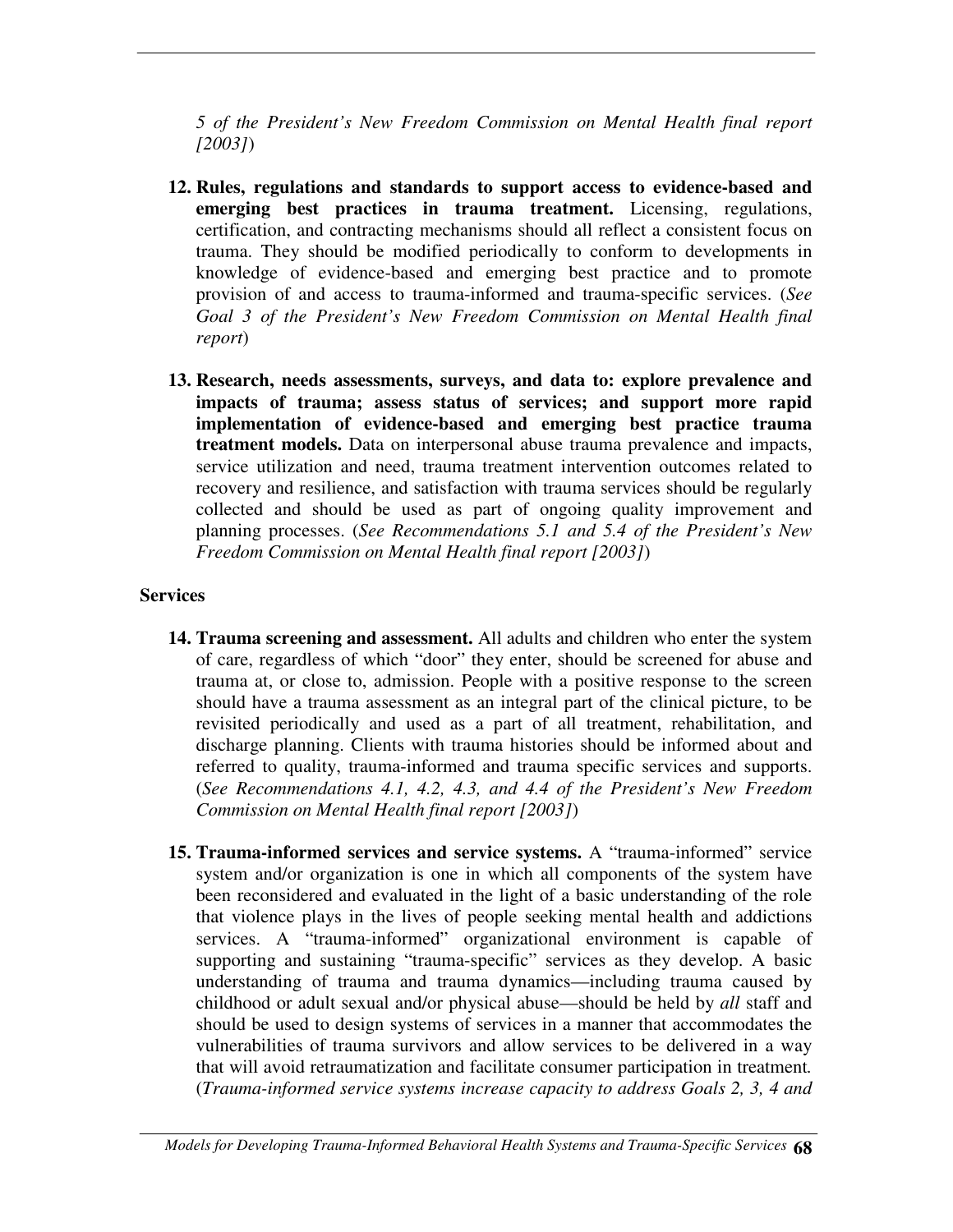*5 of the President's New Freedom Commission on Mental Health final report [2003]*)

- **12. Rules, regulations and standards to support access to evidence-based and emerging best practices in trauma treatment.** Licensing, regulations, certification, and contracting mechanisms should all reflect a consistent focus on trauma. They should be modified periodically to conform to developments in knowledge of evidence-based and emerging best practice and to promote provision of and access to trauma-informed and trauma-specific services. (*See Goal 3 of the President's New Freedom Commission on Mental Health final report*)
- **13. Research, needs assessments, surveys, and data to: explore prevalence and impacts of trauma; assess status of services; and support more rapid implementation of evidence-based and emerging best practice trauma treatment models.** Data on interpersonal abuse trauma prevalence and impacts, service utilization and need, trauma treatment intervention outcomes related to recovery and resilience, and satisfaction with trauma services should be regularly collected and should be used as part of ongoing quality improvement and planning processes. (*See Recommendations 5.1 and 5.4 of the President's New Freedom Commission on Mental Health final report [2003]*)

#### **Services**

- **14. Trauma screening and assessment.** All adults and children who enter the system of care, regardless of which "door" they enter, should be screened for abuse and trauma at, or close to, admission. People with a positive response to the screen should have a trauma assessment as an integral part of the clinical picture, to be revisited periodically and used as a part of all treatment, rehabilitation, and discharge planning. Clients with trauma histories should be informed about and referred to quality, trauma-informed and trauma specific services and supports. (*See Recommendations 4.1, 4.2, 4.3, and 4.4 of the President's New Freedom Commission on Mental Health final report [2003]*)
- **15. Trauma-informed services and service systems.** A "trauma-informed" service system and/or organization is one in which all components of the system have been reconsidered and evaluated in the light of a basic understanding of the role that violence plays in the lives of people seeking mental health and addictions services. A "trauma-informed" organizational environment is capable of supporting and sustaining "trauma-specific" services as they develop. A basic understanding of trauma and trauma dynamics—including trauma caused by childhood or adult sexual and/or physical abuse—should be held by *all* staff and should be used to design systems of services in a manner that accommodates the vulnerabilities of trauma survivors and allow services to be delivered in a way that will avoid retraumatization and facilitate consumer participation in treatment*.* (*Trauma-informed service systems increase capacity to address Goals 2, 3, 4 and*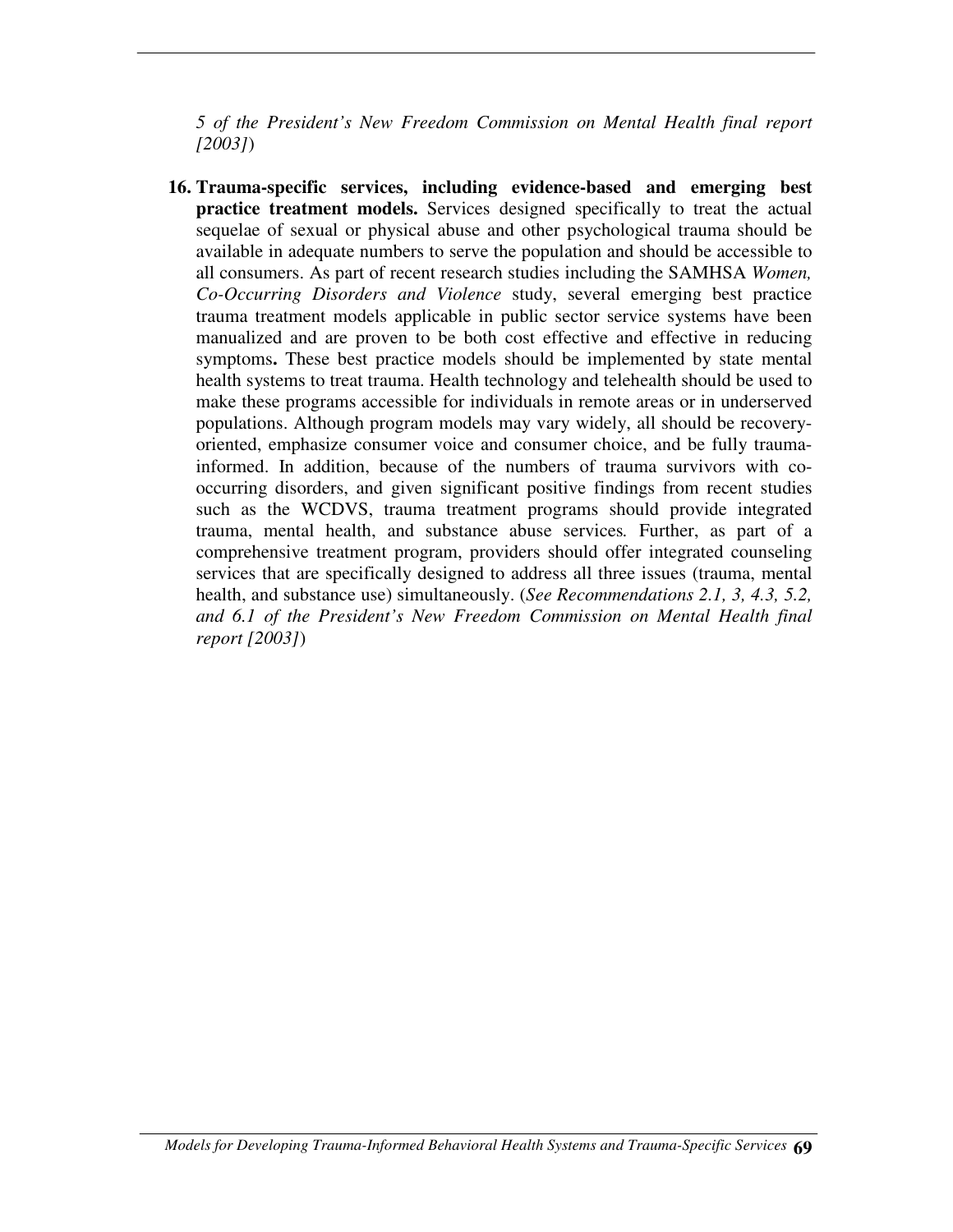*5 of the President's New Freedom Commission on Mental Health final report [2003]*)

**16. Trauma-specific services, including evidence-based and emerging best practice treatment models.** Services designed specifically to treat the actual sequelae of sexual or physical abuse and other psychological trauma should be available in adequate numbers to serve the population and should be accessible to all consumers. As part of recent research studies including the SAMHSA *Women, Co-Occurring Disorders and Violence* study, several emerging best practice trauma treatment models applicable in public sector service systems have been manualized and are proven to be both cost effective and effective in reducing symptoms**.** These best practice models should be implemented by state mental health systems to treat trauma. Health technology and telehealth should be used to make these programs accessible for individuals in remote areas or in underserved populations. Although program models may vary widely, all should be recoveryoriented, emphasize consumer voice and consumer choice, and be fully traumainformed. In addition, because of the numbers of trauma survivors with cooccurring disorders, and given significant positive findings from recent studies such as the WCDVS, trauma treatment programs should provide integrated trauma, mental health, and substance abuse services*.* Further, as part of a comprehensive treatment program, providers should offer integrated counseling services that are specifically designed to address all three issues (trauma, mental health, and substance use) simultaneously. (*See Recommendations 2.1, 3, 4.3, 5.2, and 6.1 of the President's New Freedom Commission on Mental Health final report [2003]*)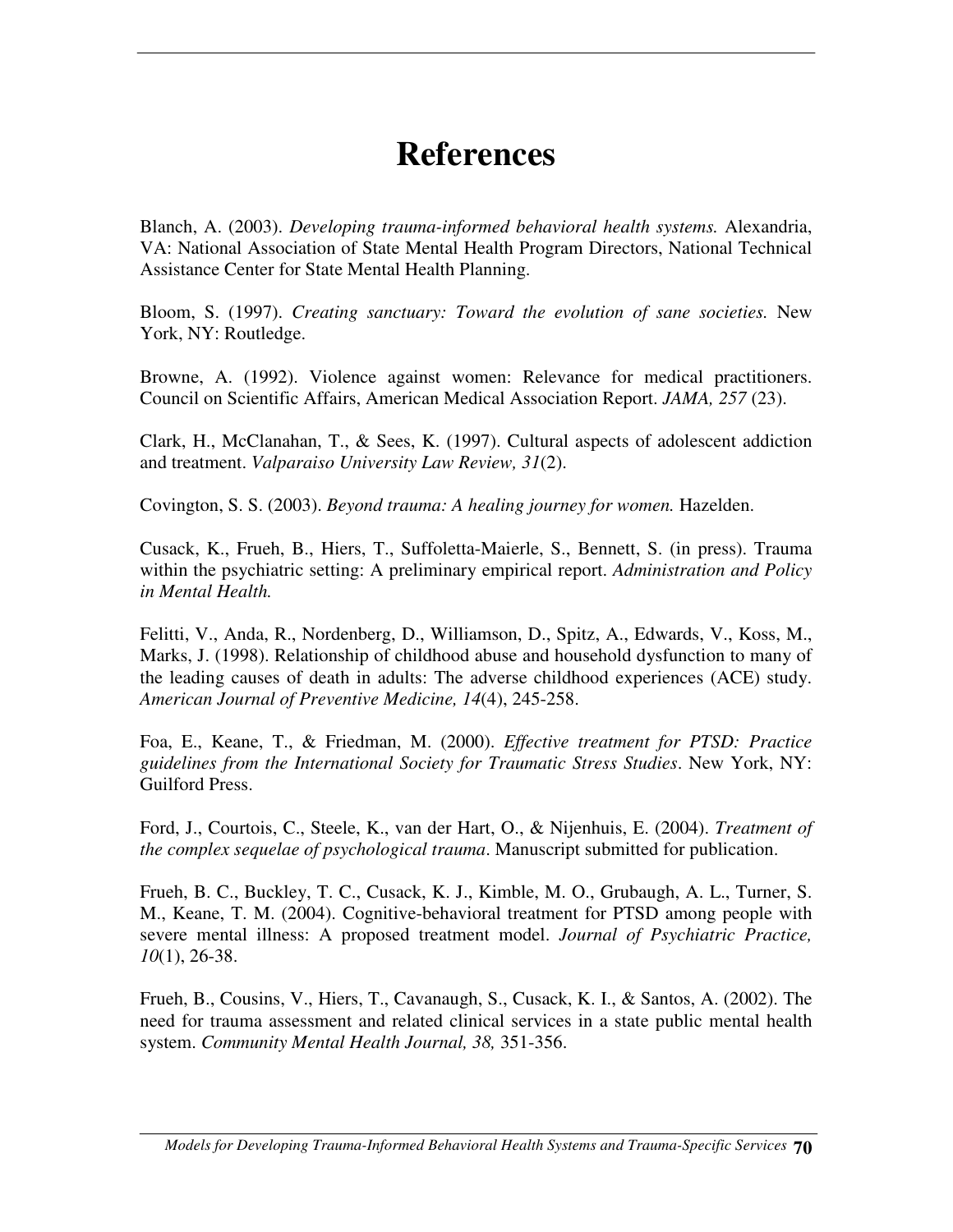# **References**

Blanch, A. (2003). *Developing trauma-informed behavioral health systems.* Alexandria, VA: National Association of State Mental Health Program Directors, National Technical Assistance Center for State Mental Health Planning.

Bloom, S. (1997). *Creating sanctuary: Toward the evolution of sane societies.* New York, NY: Routledge.

Browne, A. (1992). Violence against women: Relevance for medical practitioners. Council on Scientific Affairs, American Medical Association Report. *JAMA, 257* (23).

Clark, H., McClanahan, T., & Sees, K. (1997). Cultural aspects of adolescent addiction and treatment. *Valparaiso University Law Review, 31*(2).

Covington, S. S. (2003). *Beyond trauma: A healing journey for women.* Hazelden.

Cusack, K., Frueh, B., Hiers, T., Suffoletta-Maierle, S., Bennett, S. (in press). Trauma within the psychiatric setting: A preliminary empirical report. *Administration and Policy in Mental Health.*

Felitti, V., Anda, R., Nordenberg, D., Williamson, D., Spitz, A., Edwards, V., Koss, M., Marks, J. (1998). Relationship of childhood abuse and household dysfunction to many of the leading causes of death in adults: The adverse childhood experiences (ACE) study. *American Journal of Preventive Medicine, 14*(4), 245-258.

Foa, E., Keane, T., & Friedman, M. (2000). *Effective treatment for PTSD: Practice guidelines from the International Society for Traumatic Stress Studies*. New York, NY: Guilford Press.

Ford, J., Courtois, C., Steele, K., van der Hart, O., & Nijenhuis, E. (2004). *Treatment of the complex sequelae of psychological trauma*. Manuscript submitted for publication.

Frueh, B. C., Buckley, T. C., Cusack, K. J., Kimble, M. O., Grubaugh, A. L., Turner, S. M., Keane, T. M. (2004). Cognitive-behavioral treatment for PTSD among people with severe mental illness: A proposed treatment model. *Journal of Psychiatric Practice, 10*(1), 26-38.

Frueh, B., Cousins, V., Hiers, T., Cavanaugh, S., Cusack, K. I., & Santos, A. (2002). The need for trauma assessment and related clinical services in a state public mental health system. *Community Mental Health Journal, 38,* 351-356.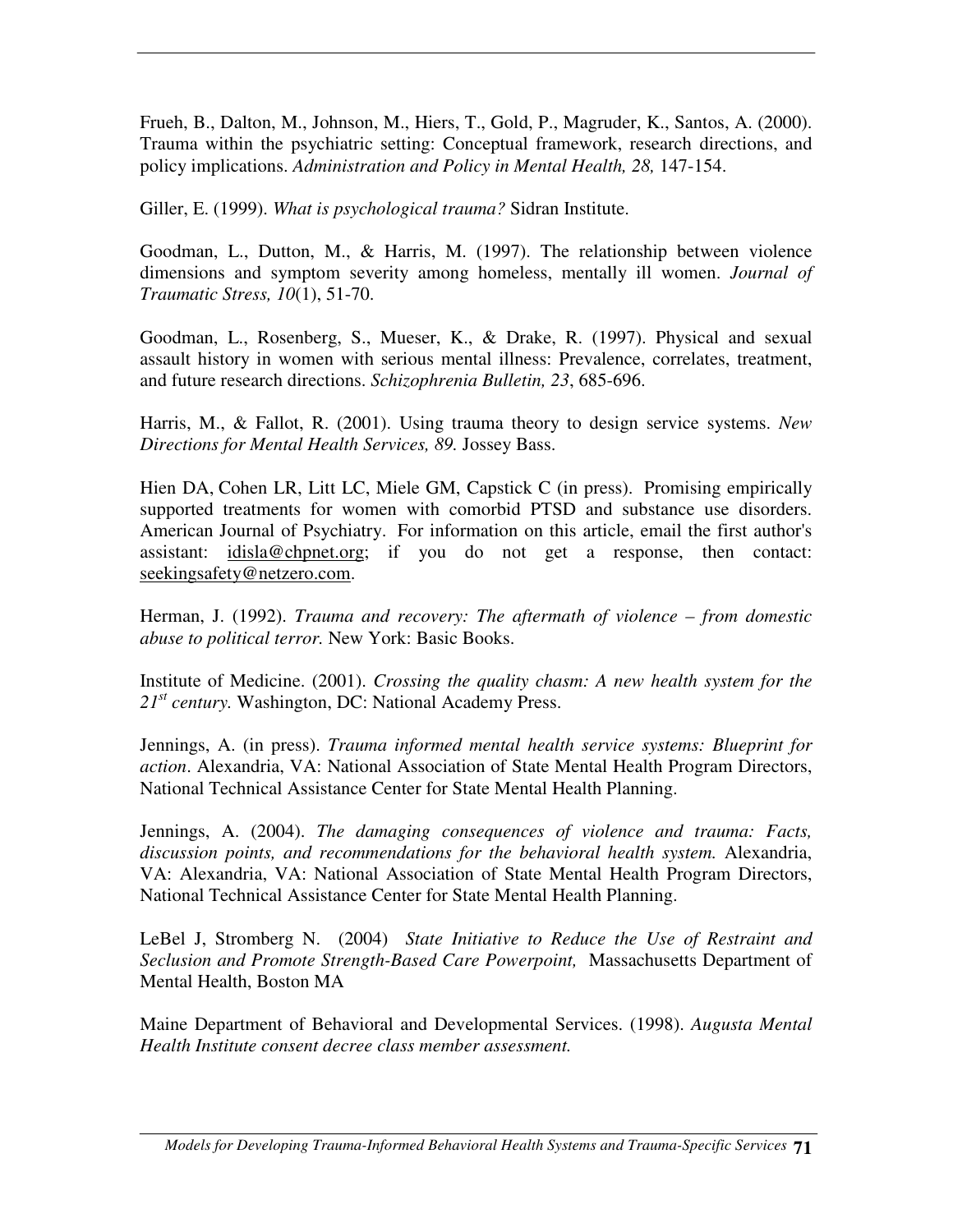Frueh, B., Dalton, M., Johnson, M., Hiers, T., Gold, P., Magruder, K., Santos, A. (2000). Trauma within the psychiatric setting: Conceptual framework, research directions, and policy implications. *Administration and Policy in Mental Health, 28,* 147-154.

Giller, E. (1999). *What is psychological trauma?* Sidran Institute.

Goodman, L., Dutton, M., & Harris, M. (1997). The relationship between violence dimensions and symptom severity among homeless, mentally ill women. *Journal of Traumatic Stress, 10*(1), 51-70.

Goodman, L., Rosenberg, S., Mueser, K., & Drake, R. (1997). Physical and sexual assault history in women with serious mental illness: Prevalence, correlates, treatment, and future research directions. *Schizophrenia Bulletin, 23*, 685-696.

Harris, M., & Fallot, R. (2001). Using trauma theory to design service systems. *New Directions for Mental Health Services, 89.* Jossey Bass.

Hien DA, Cohen LR, Litt LC, Miele GM, Capstick C (in press). Promising empirically supported treatments for women with comorbid PTSD and substance use disorders. American Journal of Psychiatry. For information on this article, email the first author's assistant: idisla@chpnet.org; if you do not get a response, then contact: seekingsafety@netzero.com.

Herman, J. (1992). *Trauma and recovery: The aftermath of violence – from domestic abuse to political terror.* New York: Basic Books.

Institute of Medicine. (2001). *Crossing the quality chasm: A new health system for the* 21<sup>st</sup> century. Washington, DC: National Academy Press.

Jennings, A. (in press). *Trauma informed mental health service systems: Blueprint for action*. Alexandria, VA: National Association of State Mental Health Program Directors, National Technical Assistance Center for State Mental Health Planning.

Jennings, A. (2004). *The damaging consequences of violence and trauma: Facts, discussion points, and recommendations for the behavioral health system.* Alexandria, VA: Alexandria, VA: National Association of State Mental Health Program Directors, National Technical Assistance Center for State Mental Health Planning.

LeBel J, Stromberg N. (2004) *State Initiative to Reduce the Use of Restraint and Seclusion and Promote Strength-Based Care Powerpoint,* Massachusetts Department of Mental Health, Boston MA

Maine Department of Behavioral and Developmental Services. (1998). *Augusta Mental Health Institute consent decree class member assessment.*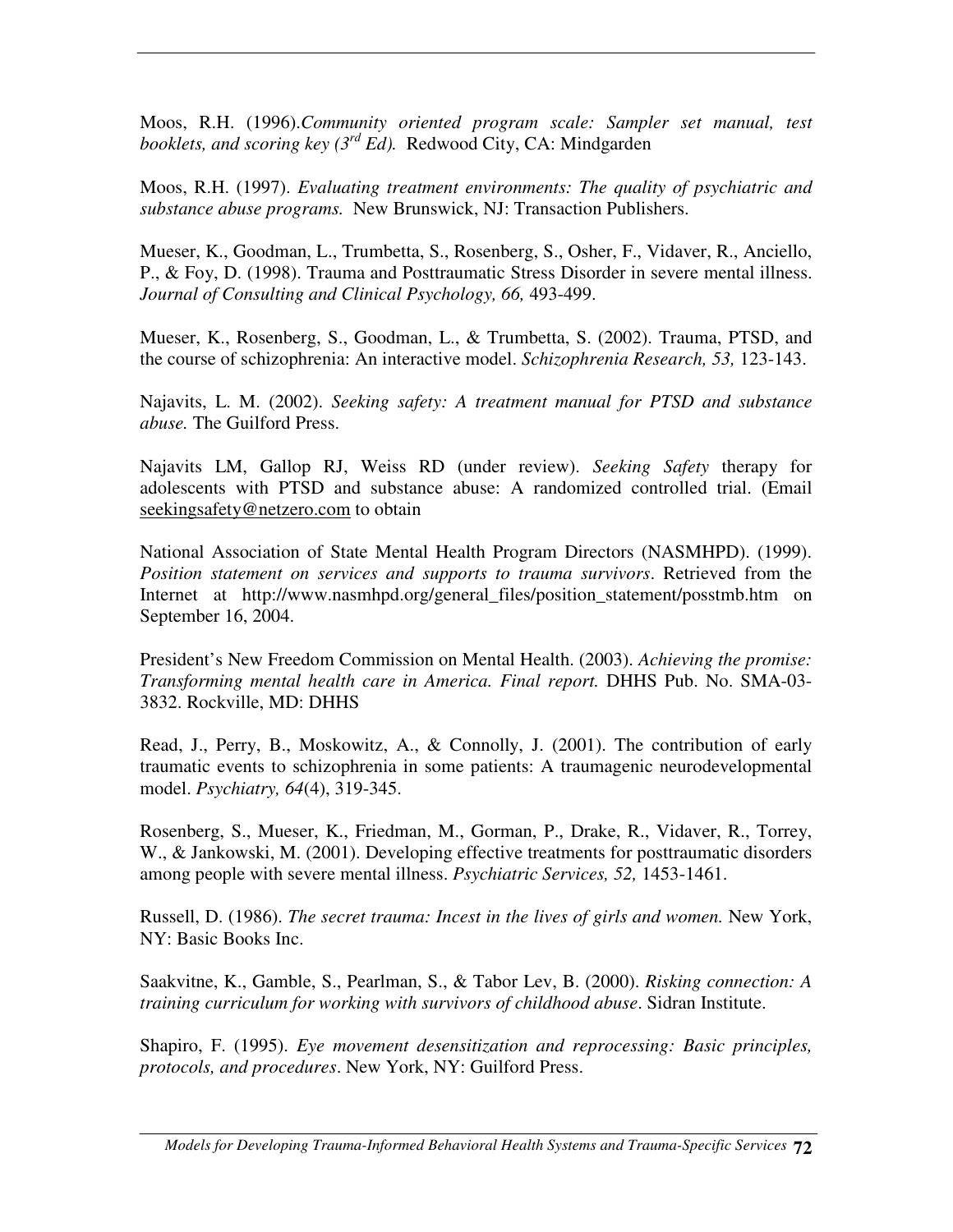Moos, R.H. (1996).*Community oriented program scale: Sampler set manual, test booklets, and scoring key (3 rd Ed).* Redwood City, CA: Mindgarden

Moos, R.H. (1997). *Evaluating treatment environments: The quality of psychiatric and substance abuse programs.* New Brunswick, NJ: Transaction Publishers.

Mueser, K., Goodman, L., Trumbetta, S., Rosenberg, S., Osher, F., Vidaver, R., Anciello, P., & Foy, D. (1998). Trauma and Posttraumatic Stress Disorder in severe mental illness. *Journal of Consulting and Clinical Psychology, 66,* 493-499.

Mueser, K., Rosenberg, S., Goodman, L., & Trumbetta, S. (2002). Trauma, PTSD, and the course of schizophrenia: An interactive model. *Schizophrenia Research, 53,* 123-143.

Najavits, L. M. (2002). *Seeking safety: A treatment manual for PTSD and substance abuse.* The Guilford Press.

Najavits LM, Gallop RJ, Weiss RD (under review). *Seeking Safety* therapy for adolescents with PTSD and substance abuse: A randomized controlled trial. (Email seekingsafety@netzero.com to obtain

National Association of State Mental Health Program Directors (NASMHPD). (1999). *Position statement on services and supports to trauma survivors*. Retrieved from the Internet at http://www.nasmhpd.org/general\_files/position\_statement/posstmb.htm on September 16, 2004.

President's New Freedom Commission on Mental Health. (2003). *Achieving the promise: Transforming mental health care in America. Final report.* DHHS Pub. No. SMA-03- 3832. Rockville, MD: DHHS

Read, J., Perry, B., Moskowitz, A., & Connolly, J. (2001). The contribution of early traumatic events to schizophrenia in some patients: A traumagenic neurodevelopmental model. *Psychiatry, 64*(4), 319-345.

Rosenberg, S., Mueser, K., Friedman, M., Gorman, P., Drake, R., Vidaver, R., Torrey, W., & Jankowski, M. (2001). Developing effective treatments for posttraumatic disorders among people with severe mental illness. *Psychiatric Services, 52,* 1453-1461.

Russell, D. (1986). *The secret trauma: Incest in the lives of girls and women.* New York, NY: Basic Books Inc.

Saakvitne, K., Gamble, S., Pearlman, S., & Tabor Lev, B. (2000). *Risking connection: A training curriculum for working with survivors of childhood abuse*. Sidran Institute.

Shapiro, F. (1995). *Eye movement desensitization and reprocessing: Basic principles, protocols, and procedures*. New York, NY: Guilford Press.